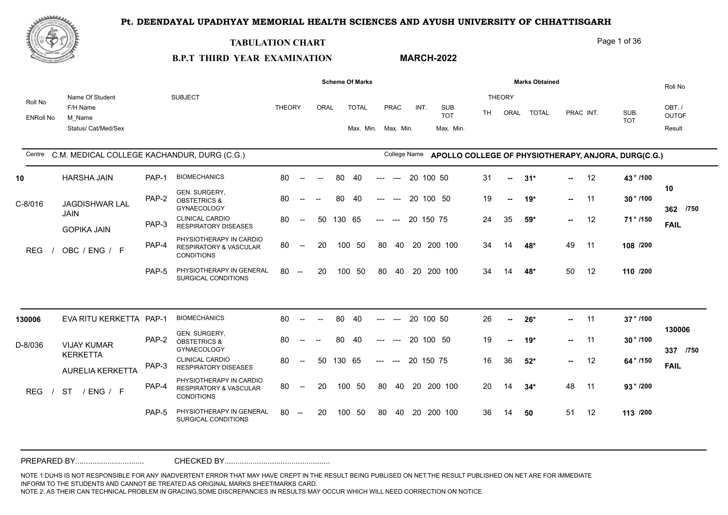

#### **TABULATION CHART**

# Page 1 of 36

# **B.P.T THIRD YEAR EXAMINATION**

**MARCH-2022**

|                             |                                                              |       |                                                                                   |               |                                                     |                          |        | <b>Scheme Of Marks</b>              |                                    |           |                                 |    |                       | <b>Marks Obtained</b> |        |           |                                                                  | Roll No                         |
|-----------------------------|--------------------------------------------------------------|-------|-----------------------------------------------------------------------------------|---------------|-----------------------------------------------------|--------------------------|--------|-------------------------------------|------------------------------------|-----------|---------------------------------|----|-----------------------|-----------------------|--------|-----------|------------------------------------------------------------------|---------------------------------|
| Roll No<br><b>ENRoll No</b> | Name Of Student<br>F/H Name<br>M Name<br>Status/ Cat/Med/Sex |       | <b>SUBJECT</b>                                                                    | <b>THEORY</b> |                                                     | ORAL                     |        | <b>TOTAL</b><br>Max. Min. Max. Min. | PRAC                               | INT.      | SUB.<br><b>TOT</b><br>Max. Min. | TH | <b>THEORY</b><br>ORAL | <b>TOTAL</b>          |        | PRAC INT. | SUB.<br><b>TOT</b>                                               | OBT./<br><b>OUTOF</b><br>Result |
| Centre                      | C.M. MEDICAL COLLEGE KACHANDUR, DURG (C.G.)                  |       |                                                                                   |               |                                                     |                          |        |                                     |                                    |           |                                 |    |                       |                       |        |           | College Name APOLLO COLLEGE OF PHYSIOTHERAPY, ANJORA, DURG(C.G.) |                                 |
| 10                          | <b>HARSHA JAIN</b>                                           | PAP-1 | <b>BIOMECHANICS</b>                                                               | 80            | $\sim$                                              |                          | 80     | 40                                  | $---$<br>$---$                     | 20 100 50 |                                 | 31 | ш,                    | $31*$                 | $\sim$ | 12        | 43*/100                                                          |                                 |
| C-8/016                     | JAGDISHWAR LAL                                               | PAP-2 | GEN. SURGERY,<br><b>OBSTETRICS &amp;</b><br>GYNAECOLOGY                           | 80            |                                                     |                          | 80     | 40                                  | $---$                              |           | 20 100 50                       | 19 | $\sim$                | $19*$                 | ш.     | -11       | $30 * 1100$                                                      | 10<br>362<br>/750               |
|                             | <b>JAIN</b><br><b>GOPIKA JAIN</b>                            | PAP-3 | <b>CLINICAL CARDIO</b><br><b>RESPIRATORY DISEASES</b>                             | 80            | $\hspace{0.05cm} -\hspace{0.05cm} -\hspace{0.05cm}$ | 50                       | 130 65 |                                     | $---$<br>$---$                     | 20 150 75 |                                 | 24 | 35                    | 59*                   | $\sim$ | 12        | $71*1150$                                                        | <b>FAIL</b>                     |
| <b>REG</b>                  | OBC / ENG / F                                                | PAP-4 | PHYSIOTHERAPY IN CARDIO<br><b>RESPIRATORY &amp; VASCULAR</b><br><b>CONDITIONS</b> | 80            | $--$                                                | 20                       |        | 100 50                              | 80<br>40                           |           | 20 200 100                      | 34 | 14                    | 48*                   | 49     | 11        | 108 /200                                                         |                                 |
|                             |                                                              | PAP-5 | PHYSIOTHERAPY IN GENERAL<br>SURGICAL CONDITIONS                                   | 80            | $\sim$                                              | 20                       |        | 100 50                              | 80<br>- 40                         |           | 20 200 100                      | 34 | 14                    | 48*                   | 50     | 12        | 110 /200                                                         |                                 |
|                             |                                                              |       |                                                                                   |               |                                                     |                          |        |                                     |                                    |           |                                 |    |                       |                       |        |           |                                                                  |                                 |
| 130006                      | EVA RITU KERKETTA PAP-1                                      |       | <b>BIOMECHANICS</b>                                                               | 80            | $\sim$                                              | $\overline{\phantom{a}}$ | 80     | 40                                  | $\qquad \qquad -\qquad -$<br>$---$ | 20 100 50 |                                 | 26 | $\sim$                | $26*$                 | $\sim$ | 11        | 37 * /100                                                        | 130006                          |
| D-8/036                     | <b>VIJAY KUMAR</b>                                           | PAP-2 | GEN. SURGERY,<br><b>OBSTETRICS &amp;</b><br>GYNAECOLOGY                           | 80            |                                                     |                          | 80     | 40                                  |                                    | 20 100 50 |                                 | 19 | $\sim$                | $19*$                 | ш.     | 11        | $30 * / 100$                                                     | /750<br>337                     |
|                             | <b>KERKETTA</b><br><b>AURELIA KERKETTA</b>                   | PAP-3 | <b>CLINICAL CARDIO</b><br><b>RESPIRATORY DISEASES</b>                             | 80            | $\sim$                                              | 50                       | 130 65 |                                     | $---$<br>$---$                     | 20 150 75 |                                 | 16 | 36                    | $52*$                 | ш.     | 12        | 64 * /150                                                        | <b>FAIL</b>                     |
| <b>REG</b>                  | <b>ST</b><br>/ENG / F                                        | PAP-4 | PHYSIOTHERAPY IN CARDIO<br><b>RESPIRATORY &amp; VASCULAR</b><br><b>CONDITIONS</b> | 80            | $--$                                                | 20                       |        | 100 50                              | 80<br>40                           |           | 20 200 100                      | 20 | 14                    | $34*$                 | 48     | 11        | $93 * 7200$                                                      |                                 |
|                             |                                                              | PAP-5 | PHYSIOTHERAPY IN GENERAL<br>SURGICAL CONDITIONS                                   | 80            | $\hspace{0.1mm}-\hspace{0.1mm}-\hspace{0.1mm}$      | 20                       |        | 100 50                              | 80<br>40                           |           | 20 200 100                      | 36 | 14                    | 50                    | 51     | 12        | 113 /200                                                         |                                 |
|                             |                                                              |       |                                                                                   |               |                                                     |                          |        |                                     |                                    |           |                                 |    |                       |                       |        |           |                                                                  |                                 |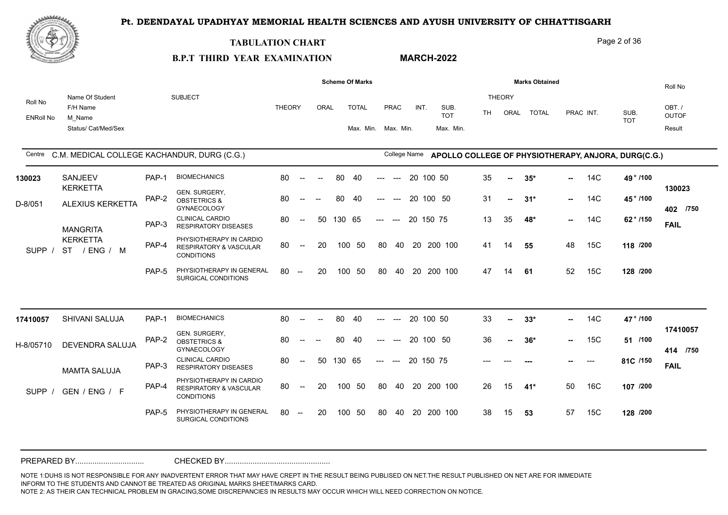**MARCH-2022**



#### **TABULATION CHART**

# Page 2 of 36

# **B.P.T THIRD YEAR EXAMINATION**

|                             |                                                              |       |                                                                                   |               |                                                |      |        | <b>Scheme Of Marks</b>              |       |              |           |                                 |    |                       | <b>Marks Obtained</b> |        |           |                                                     | Roll No                         |
|-----------------------------|--------------------------------------------------------------|-------|-----------------------------------------------------------------------------------|---------------|------------------------------------------------|------|--------|-------------------------------------|-------|--------------|-----------|---------------------------------|----|-----------------------|-----------------------|--------|-----------|-----------------------------------------------------|---------------------------------|
| Roll No<br><b>ENRoll No</b> | Name Of Student<br>F/H Name<br>M Name<br>Status/ Cat/Med/Sex |       | <b>SUBJECT</b>                                                                    | <b>THEORY</b> |                                                | ORAL |        | <b>TOTAL</b><br>Max. Min. Max. Min. |       | PRAC         | INT.      | SUB.<br><b>TOT</b><br>Max. Min. | TH | <b>THEORY</b><br>ORAL | <b>TOTAL</b>          |        | PRAC INT. | SUB.<br><b>TOT</b>                                  | OBT./<br><b>OUTOF</b><br>Result |
| Centre                      | C.M. MEDICAL COLLEGE KACHANDUR, DURG (C.G.)                  |       |                                                                                   |               |                                                |      |        |                                     |       | College Name |           |                                 |    |                       |                       |        |           | APOLLO COLLEGE OF PHYSIOTHERAPY, ANJORA, DURG(C.G.) |                                 |
| 130023                      | SANJEEV                                                      | PAP-1 | <b>BIOMECHANICS</b>                                                               | 80            | $\hspace{0.1mm}-\hspace{0.1mm}-\hspace{0.1mm}$ |      | 80     | 40                                  |       | $---$        | 20 100 50 |                                 | 35 | н.                    | $35*$                 | $\sim$ | 14C       | 49 * /100                                           |                                 |
| D-8/051                     | <b>KERKETTA</b><br>ALEXIUS KERKETTA                          | PAP-2 | GEN. SURGERY,<br><b>OBSTETRICS &amp;</b><br><b>GYNAECOLOGY</b>                    | 80            |                                                |      | 80     | 40                                  | $---$ | $---$        |           | 20 100 50                       | 31 | -−                    | $31*$                 | $\sim$ | 14C       | 45*/100                                             | 130023<br>402 /750              |
|                             | <b>MANGRITA</b>                                              | PAP-3 | <b>CLINICAL CARDIO</b><br><b>RESPIRATORY DISEASES</b>                             | 80            | $\overline{\phantom{m}}$                       | 50   | 130 65 |                                     | $---$ | $\sim$       | 20 150 75 |                                 | 13 | 35                    | 48*                   | $\sim$ | 14C       | 62 * /150                                           | <b>FAIL</b>                     |
| <b>SUPP</b>                 | <b>KERKETTA</b><br>ST / ENG / M                              | PAP-4 | PHYSIOTHERAPY IN CARDIO<br><b>RESPIRATORY &amp; VASCULAR</b><br><b>CONDITIONS</b> | 80            | $\mathbf{u}$                                   | 20   | 100    | - 50                                | 80    |              |           | 40 20 200 100                   | 41 | 14                    | 55                    | 48     | 15C       | 118 /200                                            |                                 |
|                             |                                                              | PAP-5 | PHYSIOTHERAPY IN GENERAL<br>SURGICAL CONDITIONS                                   | 80            | $\hspace{0.1mm}-\hspace{0.1mm}-\hspace{0.1mm}$ | 20   | 100    | -50                                 | 80    | 40           |           | 20 200 100                      | 47 | 14                    | 61                    | 52     | 15C       | 128 /200                                            |                                 |
|                             |                                                              |       |                                                                                   |               |                                                |      |        |                                     |       |              |           |                                 |    |                       |                       |        |           |                                                     |                                 |
| 17410057                    | SHIVANI SALUJA                                               | PAP-1 | <b>BIOMECHANICS</b>                                                               | 80            |                                                |      | 80     | 40                                  |       |              | 20 100 50 |                                 | 33 | --                    | $33*$                 | н.,    | 14C       | 47 * /100                                           |                                 |
| H-8/05710                   | DEVENDRA SALUJA                                              | PAP-2 | GEN. SURGERY,<br><b>OBSTETRICS &amp;</b><br>GYNAECOLOGY                           | 80            |                                                |      | 80     | 40                                  |       |              |           | 20 100 50                       | 36 | н.                    | $36*$                 | $\sim$ | 15C       | 51 /100                                             | 17410057<br>414 /750            |
|                             | <b>MAMTA SALUJA</b>                                          | PAP-3 | <b>CLINICAL CARDIO</b><br><b>RESPIRATORY DISEASES</b>                             | 80            | $\overline{\phantom{a}}$                       | 50   | 130 65 |                                     | $---$ | $---$        | 20 150 75 |                                 |    |                       |                       |        | ---       | 81C /150                                            | <b>FAIL</b>                     |
| <b>SUPP</b>                 | GEN / ENG / F                                                | PAP-4 | PHYSIOTHERAPY IN CARDIO<br><b>RESPIRATORY &amp; VASCULAR</b><br><b>CONDITIONS</b> | 80            | $\hspace{0.1mm}-\hspace{0.1mm}-\hspace{0.1mm}$ | 20   |        | 100 50                              | 80    |              |           | 40 20 200 100                   | 26 | 15                    | 41*                   | 50     | 16C       | 107 /200                                            |                                 |
|                             |                                                              | PAP-5 | PHYSIOTHERAPY IN GENERAL<br>SURGICAL CONDITIONS                                   | 80            | $\hspace{0.1mm}-\hspace{0.1mm}-\hspace{0.1mm}$ | 20   | 100    | 50                                  | 80    | 40           | -20       | 200 100                         | 38 | 15                    | 53                    | 57     | 15C       | 128 /200                                            |                                 |
|                             |                                                              |       |                                                                                   |               |                                                |      |        |                                     |       |              |           |                                 |    |                       |                       |        |           |                                                     |                                 |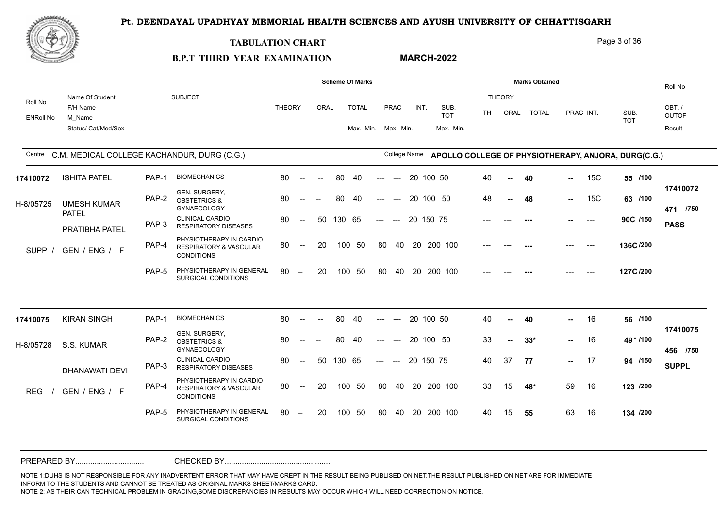

#### **TABULATION CHART**

Page 3 of 36

#### **B.P.T THIRD YEAR EXAMINATION MARCH-2022**

|                             |                                                              |       |                                                                                   |               |                                                |                          |        | <b>Scheme Of Marks</b>              |       |                                        |           |           |                                 |     |                       | <b>Marks Obtained</b> |               |           |                                                     | Roll No                         |
|-----------------------------|--------------------------------------------------------------|-------|-----------------------------------------------------------------------------------|---------------|------------------------------------------------|--------------------------|--------|-------------------------------------|-------|----------------------------------------|-----------|-----------|---------------------------------|-----|-----------------------|-----------------------|---------------|-----------|-----------------------------------------------------|---------------------------------|
| Roll No<br><b>ENRoll No</b> | Name Of Student<br>F/H Name<br>M Name<br>Status/ Cat/Med/Sex |       | <b>SUBJECT</b>                                                                    | <b>THEORY</b> |                                                | ORAL                     |        | <b>TOTAL</b><br>Max. Min. Max. Min. |       | PRAC                                   | INT.      |           | SUB.<br><b>TOT</b><br>Max. Min. | TH. | <b>THEORY</b><br>ORAL | <b>TOTAL</b>          |               | PRAC INT. | SUB.<br><b>TOT</b>                                  | OBT./<br><b>OUTOF</b><br>Result |
| Centre                      | C.M. MEDICAL COLLEGE KACHANDUR, DURG (C.G.)                  |       |                                                                                   |               |                                                |                          |        |                                     |       | College Name                           |           |           |                                 |     |                       |                       |               |           | APOLLO COLLEGE OF PHYSIOTHERAPY, ANJORA, DURG(C.G.) |                                 |
| 17410072                    | <b>ISHITA PATEL</b>                                          | PAP-1 | <b>BIOMECHANICS</b>                                                               | 80            | $\sim$                                         | $\overline{\phantom{a}}$ | 80     | 40                                  | ---   | $\hspace{0.05cm}---$                   |           | 20 100 50 |                                 | 40  | $\sim$                | 40                    | --            | 15C       | 55 /100                                             |                                 |
| H-8/05725                   | <b>UMESH KUMAR</b>                                           | PAP-2 | GEN. SURGERY,<br><b>OBSTETRICS &amp;</b><br><b>GYNAECOLOGY</b>                    | 80            | $\sim$ $\sim$                                  | $\overline{a}$           | 80     | -40                                 | ---   | $---$                                  |           |           | 20 100 50                       | 48  | $\overline{a}$        | 48                    | н.,           | 15C       | 63 /100                                             | 17410072<br>471 /750            |
|                             | <b>PATEL</b><br>PRATIBHA PATEL                               | PAP-3 | <b>CLINICAL CARDIO</b><br><b>RESPIRATORY DISEASES</b>                             | 80            | $\mathcal{L}_{\mathcal{F}}$                    | 50                       | 130 65 |                                     | $---$ | $\hspace{0.1em} \ldots \hspace{0.1em}$ | 20 150 75 |           |                                 |     |                       |                       |               | $---$     | 90C /150                                            | <b>PASS</b>                     |
| <b>SUPP</b>                 | GEN / ENG / F                                                | PAP-4 | PHYSIOTHERAPY IN CARDIO<br><b>RESPIRATORY &amp; VASCULAR</b><br><b>CONDITIONS</b> | 80            | $\overline{\phantom{a}}$                       | 20                       | 100    | -50                                 | 80    | 40                                     | 20        |           | 200 100                         |     |                       |                       |               | $---$     | 136C/200                                            |                                 |
|                             |                                                              | PAP-5 | PHYSIOTHERAPY IN GENERAL<br>SURGICAL CONDITIONS                                   | 80            | $\hspace{0.1mm}-\hspace{0.1mm}-\hspace{0.1mm}$ | 20                       | 100    | 50                                  | 80    | 40                                     | 20        |           | 200 100                         |     |                       |                       |               | $---$     | 127C/200                                            |                                 |
|                             |                                                              |       |                                                                                   |               |                                                |                          |        |                                     |       |                                        |           |           |                                 |     |                       |                       |               |           |                                                     |                                 |
| 17410075                    | <b>KIRAN SINGH</b>                                           | PAP-1 | <b>BIOMECHANICS</b>                                                               | 80            | $\sim$                                         | $\overline{\phantom{a}}$ | 80     | 40                                  | ---   | $\hspace{0.05cm}---$                   | 20 100 50 |           |                                 | 40  | н.                    | 40                    | н.,           | 16        | 56 /100                                             | 17410075                        |
| H-8/05728                   | S.S. KUMAR                                                   | PAP-2 | GEN. SURGERY,<br><b>OBSTETRICS &amp;</b><br><b>GYNAECOLOGY</b>                    | 80            | $--$                                           | $\overline{\phantom{m}}$ | 80     | 40                                  | ---   | $---$                                  | 20        |           | 100 50                          | 33  | --                    | $33*$                 |               | 16        | 49 * /100                                           | 456 /750                        |
|                             | <b>DHANAWATI DEVI</b>                                        | PAP-3 | <b>CLINICAL CARDIO</b><br><b>RESPIRATORY DISEASES</b>                             | 80            | $--$                                           | -50                      | 130 65 |                                     | $---$ | $\sim$ $\sim$                          | 20 150 75 |           |                                 | 40  | 37                    | 77                    | $\sim$ $\sim$ | - 17      | 94 /150                                             | <b>SUPPL</b>                    |
| <b>REG</b>                  | GEN / ENG / F                                                | PAP-4 | PHYSIOTHERAPY IN CARDIO<br><b>RESPIRATORY &amp; VASCULAR</b><br><b>CONDITIONS</b> | 80            | $--$                                           | 20                       | 100    | 50                                  | 80    | 40                                     |           |           | 20 200 100                      | 33  | 15                    | 48*                   | 59            | 16        | 123 /200                                            |                                 |
|                             |                                                              | PAP-5 | PHYSIOTHERAPY IN GENERAL<br>SURGICAL CONDITIONS                                   | 80            | $\sim$                                         | 20                       | 100    | 50                                  | 80    | 40                                     |           |           | 20 200 100                      | 40  | 15                    | 55                    | 63            | 16        | 134 /200                                            |                                 |
|                             |                                                              |       |                                                                                   |               |                                                |                          |        |                                     |       |                                        |           |           |                                 |     |                       |                       |               |           |                                                     |                                 |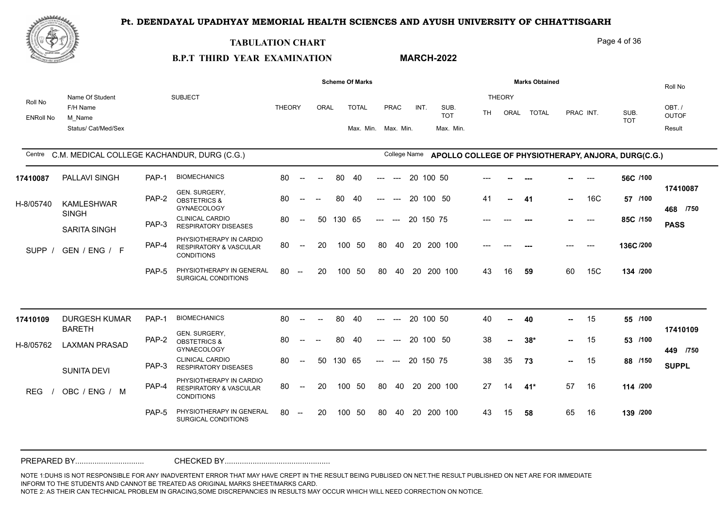**MARCH-2022**



#### **TABULATION CHART**

#### Page 4 of 36

# **B.P.T THIRD YEAR EXAMINATION**

|                             |                                                              |       |                                                                                   |               |                          |        |        | <b>Scheme Of Marks</b>              |       |                       |           |                                 |           |                       | <b>Marks Obtained</b> |     |           |                                                     | Roll No                         |
|-----------------------------|--------------------------------------------------------------|-------|-----------------------------------------------------------------------------------|---------------|--------------------------|--------|--------|-------------------------------------|-------|-----------------------|-----------|---------------------------------|-----------|-----------------------|-----------------------|-----|-----------|-----------------------------------------------------|---------------------------------|
| Roll No<br><b>ENRoll No</b> | Name Of Student<br>F/H Name<br>M Name<br>Status/ Cat/Med/Sex |       | <b>SUBJECT</b>                                                                    | <b>THEORY</b> |                          | ORAL   |        | <b>TOTAL</b><br>Max. Min. Max. Min. |       | PRAC                  | INT.      | SUB.<br><b>TOT</b><br>Max. Min. | <b>TH</b> | <b>THEORY</b><br>ORAL | <b>TOTAL</b>          |     | PRAC INT. | SUB.<br><b>TOT</b>                                  | OBT./<br><b>OUTOF</b><br>Result |
| Centre                      | C.M. MEDICAL COLLEGE KACHANDUR, DURG (C.G.)                  |       |                                                                                   |               |                          |        |        |                                     |       | College Name          |           |                                 |           |                       |                       |     |           | APOLLO COLLEGE OF PHYSIOTHERAPY, ANJORA, DURG(C.G.) |                                 |
| 17410087                    | PALLAVI SINGH                                                | PAP-1 | <b>BIOMECHANICS</b>                                                               | 80            | $--$                     | $\sim$ | 80     | 40                                  | ---   | $---$                 | 20        | 100 50                          |           |                       |                       |     | $---$     | 56C /100                                            |                                 |
| H-8/05740                   | <b>KAMLESHWAR</b>                                            | PAP-2 | GEN. SURGERY,<br><b>OBSTETRICS &amp;</b><br><b>GYNAECOLOGY</b>                    | 80            | $--$                     |        | 80     | 40                                  | $---$ | $---$                 | 20 100 50 |                                 | 41        |                       | -41                   | н., | 16C       | 57 /100                                             | 17410087<br>468 /750            |
|                             | <b>SINGH</b><br><b>SARITA SINGH</b>                          | PAP-3 | <b>CLINICAL CARDIO</b><br><b>RESPIRATORY DISEASES</b>                             | 80            | $\overline{\phantom{a}}$ | 50     | 130 65 |                                     | $---$ | $---$                 | 20 150 75 |                                 |           |                       |                       |     | $---$     | 85C /150                                            | <b>PASS</b>                     |
| <b>SUPP</b>                 | GEN / ENG / F                                                | PAP-4 | PHYSIOTHERAPY IN CARDIO<br><b>RESPIRATORY &amp; VASCULAR</b><br><b>CONDITIONS</b> | 80            | $--$                     | 20     | 100    | -50                                 | 80    | 40                    |           | 20 200 100                      | $---$     | ---                   |                       | --- | $---$     | 136C/200                                            |                                 |
|                             |                                                              | PAP-5 | PHYSIOTHERAPY IN GENERAL<br>SURGICAL CONDITIONS                                   | 80            | $\sim$                   | 20     | 100    | 50                                  | 80    | 40                    | 20        | 200 100                         | 43        | 16                    | 59                    | 60  | 15C       | 134 /200                                            |                                 |
| 17410109                    | <b>DURGESH KUMAR</b>                                         | PAP-1 | <b>BIOMECHANICS</b>                                                               | 80            | $\sim$                   | $\sim$ | 80     | 40                                  | ---   | $---$                 | 20 100 50 |                                 | 40        | $\sim$                | 40                    | --  | 15        | 55 /100                                             |                                 |
| H-8/05762                   | <b>BARETH</b><br><b>LAXMAN PRASAD</b>                        | PAP-2 | GEN. SURGERY,<br><b>OBSTETRICS &amp;</b><br><b>GYNAECOLOGY</b>                    | 80            | $\overline{\phantom{a}}$ |        | 80     | -40                                 |       | $---$                 | 20 100 50 |                                 | 38        |                       | $38*$                 | m., | 15        | 53 /100                                             | 17410109<br>449 /750            |
|                             | <b>SUNITA DEVI</b>                                           | PAP-3 | <b>CLINICAL CARDIO</b><br><b>RESPIRATORY DISEASES</b>                             | 80            | $--$                     | 50     | 130 65 |                                     | $---$ | $\hspace{0.05cm}$ --- | 20 150 75 |                                 | 38        | 35                    | 73                    |     | 15        | 88 /150                                             | <b>SUPPL</b>                    |
| <b>REG</b>                  | OBC / ENG / M                                                | PAP-4 | PHYSIOTHERAPY IN CARDIO<br><b>RESPIRATORY &amp; VASCULAR</b><br><b>CONDITIONS</b> | 80            | $--$                     | 20     |        | 100 50                              | 80    | 40                    |           | 20 200 100                      | 27        | 14                    | $41*$                 | 57  | 16        | 114 /200                                            |                                 |
|                             |                                                              | PAP-5 | PHYSIOTHERAPY IN GENERAL<br>SURGICAL CONDITIONS                                   | 80            | $\overline{\phantom{a}}$ | 20     | 100    | 50                                  | 80    | 40                    |           | 20 200 100                      | 43        | 15                    | 58                    | 65  | 16        | 139 /200                                            |                                 |
|                             |                                                              |       |                                                                                   |               |                          |        |        |                                     |       |                       |           |                                 |           |                       |                       |     |           |                                                     |                                 |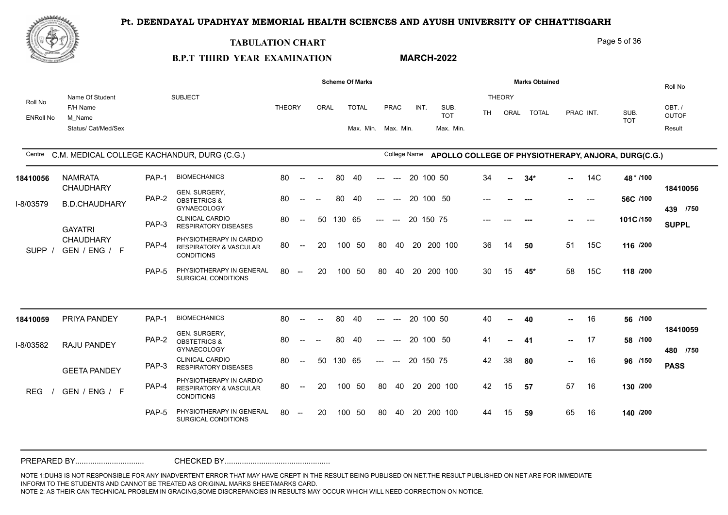**MARCH-2022**



#### **TABULATION CHART**

### Page 5 of 36

# **B.P.T THIRD YEAR EXAMINATION**

|                             |                                                              |       |                                                                                   |               |                                                |      |        | <b>Scheme Of Marks</b>              |       |                                        |           |        |                                 |           |                       | <b>Marks Obtained</b> |        |           |                                                     | Roll No                         |
|-----------------------------|--------------------------------------------------------------|-------|-----------------------------------------------------------------------------------|---------------|------------------------------------------------|------|--------|-------------------------------------|-------|----------------------------------------|-----------|--------|---------------------------------|-----------|-----------------------|-----------------------|--------|-----------|-----------------------------------------------------|---------------------------------|
| Roll No<br><b>ENRoll No</b> | Name Of Student<br>F/H Name<br>M Name<br>Status/ Cat/Med/Sex |       | <b>SUBJECT</b>                                                                    | <b>THEORY</b> |                                                | ORAL |        | <b>TOTAL</b><br>Max. Min. Max. Min. |       | <b>PRAC</b>                            | INT.      |        | SUB.<br><b>TOT</b><br>Max. Min. | <b>TH</b> | <b>THEORY</b><br>ORAL | <b>TOTAL</b>          |        | PRAC INT. | SUB.<br><b>TOT</b>                                  | OBT./<br><b>OUTOF</b><br>Result |
| Centre                      | C.M. MEDICAL COLLEGE KACHANDUR, DURG (C.G.)                  |       |                                                                                   |               |                                                |      |        |                                     |       | College Name                           |           |        |                                 |           |                       |                       |        |           | APOLLO COLLEGE OF PHYSIOTHERAPY, ANJORA, DURG(C.G.) |                                 |
| 18410056                    | <b>NAMRATA</b>                                               | PAP-1 | <b>BIOMECHANICS</b>                                                               | 80            | $\overline{\phantom{a}}$                       |      | 80     | 40                                  |       | $-$                                    | 20        | 100 50 |                                 | 34        |                       | $34*$                 | -- 1   | 14C       | 48 * /100                                           |                                 |
| I-8/03579                   | <b>CHAUDHARY</b><br><b>B.D.CHAUDHARY</b>                     | PAP-2 | GEN. SURGERY,<br><b>OBSTETRICS &amp;</b><br><b>GYNAECOLOGY</b>                    | 80            | $--$                                           |      | 80     | -40                                 | ---   | $---$                                  | 20 100 50 |        |                                 | $---$     |                       | $--$                  | н.     | ----      | 56C /100                                            | 18410056<br>439 /750            |
|                             | <b>GAYATRI</b>                                               | PAP-3 | <b>CLINICAL CARDIO</b><br><b>RESPIRATORY DISEASES</b>                             | 80            | $--$                                           | 50   | 130 65 |                                     | $---$ | $---$                                  | 20 150 75 |        |                                 |           |                       | ---                   |        | ----      | 101C/150                                            | <b>SUPPL</b>                    |
| <b>SUPP</b>                 | <b>CHAUDHARY</b><br>GEN / ENG / F                            | PAP-4 | PHYSIOTHERAPY IN CARDIO<br><b>RESPIRATORY &amp; VASCULAR</b><br><b>CONDITIONS</b> | 80            | $\overline{\phantom{a}}$                       | 20   | 100    | -50                                 | 80    | 40                                     |           |        | 20 200 100                      | 36        | 14                    | 50                    | 51     | 15C       | 116 /200                                            |                                 |
|                             |                                                              | PAP-5 | PHYSIOTHERAPY IN GENERAL<br>SURGICAL CONDITIONS                                   | 80            | $\sim$                                         | 20   | 100    | 50                                  | 80    | 40                                     | 20        |        | 200 100                         | 30        | 15                    | 45*                   | 58     | 15C       | 118 /200                                            |                                 |
|                             |                                                              |       |                                                                                   |               |                                                |      |        |                                     |       |                                        |           |        |                                 |           |                       |                       |        |           |                                                     |                                 |
| 18410059                    | PRIYA PANDEY                                                 | PAP-1 | <b>BIOMECHANICS</b>                                                               | 80            | $\overline{\phantom{a}}$                       |      | 80     | 40                                  |       |                                        | 20 100 50 |        |                                 | 40        |                       | 40                    | --     | 16        | 56 /100                                             |                                 |
| I-8/03582                   | RAJU PANDEY                                                  | PAP-2 | GEN. SURGERY,<br><b>OBSTETRICS &amp;</b><br><b>GYNAECOLOGY</b>                    | 80            |                                                |      | 80     | -40                                 |       |                                        | 20 100 50 |        |                                 | 41        | $\overline{a}$        | 41                    | $\sim$ | 17        | 58 /100                                             | 18410059<br>480 /750            |
|                             | <b>GEETA PANDEY</b>                                          | PAP-3 | <b>CLINICAL CARDIO</b><br><b>RESPIRATORY DISEASES</b>                             | 80            | $\overline{\phantom{a}}$                       | 50   | 130 65 |                                     | $---$ | $\hspace{0.1em} \ldots \hspace{0.1em}$ | 20 150 75 |        |                                 | 42        | 38                    | 80                    | $\sim$ | 16        | 96 /150                                             | <b>PASS</b>                     |
| <b>REG</b>                  | GEN / ENG / F                                                | PAP-4 | PHYSIOTHERAPY IN CARDIO<br>RESPIRATORY & VASCULAR<br><b>CONDITIONS</b>            | 80            | $\overline{\phantom{a}}$                       | 20   | 100    | -50                                 | 80    | 40                                     |           |        | 20 200 100                      | 42        | 15                    | 57                    | 57     | 16        | 130 /200                                            |                                 |
|                             |                                                              | PAP-5 | PHYSIOTHERAPY IN GENERAL<br>SURGICAL CONDITIONS                                   | 80            | $\hspace{0.1mm}-\hspace{0.1mm}-\hspace{0.1mm}$ | 20   | 100    | -50                                 | 80    | 40                                     |           |        | 20 200 100                      | 44        | 15                    | 59                    | 65     | 16        | 140 /200                                            |                                 |
|                             |                                                              |       |                                                                                   |               |                                                |      |        |                                     |       |                                        |           |        |                                 |           |                       |                       |        |           |                                                     |                                 |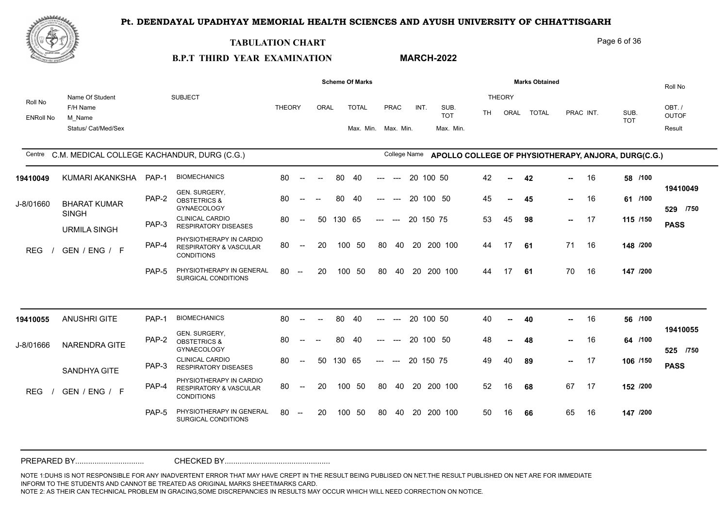**MARCH-2022**



#### **TABULATION CHART**

### Page 6 of 36

# **B.P.T THIRD YEAR EXAMINATION**

|                             |                                                              |       |                                                                                   |               |                                                |        |        | <b>Scheme Of Marks</b>              |       |              |    |           |                                 |     |                       | <b>Marks Obtained</b> |        |           |                                                     | Roll No                          |
|-----------------------------|--------------------------------------------------------------|-------|-----------------------------------------------------------------------------------|---------------|------------------------------------------------|--------|--------|-------------------------------------|-------|--------------|----|-----------|---------------------------------|-----|-----------------------|-----------------------|--------|-----------|-----------------------------------------------------|----------------------------------|
| Roll No<br><b>ENRoll No</b> | Name Of Student<br>F/H Name<br>M Name<br>Status/ Cat/Med/Sex |       | <b>SUBJECT</b>                                                                    | <b>THEORY</b> |                                                | ORAL   |        | <b>TOTAL</b><br>Max. Min. Max. Min. |       | PRAC         |    | INT.      | SUB.<br><b>TOT</b><br>Max. Min. | TH. | <b>THEORY</b><br>ORAL | <b>TOTAL</b>          |        | PRAC INT. | SUB.<br><b>TOT</b>                                  | OBT. /<br><b>OUTOF</b><br>Result |
|                             | Centre C.M. MEDICAL COLLEGE KACHANDUR, DURG (C.G.)           |       |                                                                                   |               |                                                |        |        |                                     |       | College Name |    |           |                                 |     |                       |                       |        |           | APOLLO COLLEGE OF PHYSIOTHERAPY, ANJORA, DURG(C.G.) |                                  |
| 19410049                    | KUMARI AKANKSHA                                              | PAP-1 | <b>BIOMECHANICS</b>                                                               | 80            | $\sim$                                         | $\sim$ | 80     | 40                                  | ---   | $---$        | 20 | 100 50    |                                 | 42  | --                    | 42                    | --     | 16        | 58 /100                                             |                                  |
| J-8/01660                   | <b>BHARAT KUMAR</b><br><b>SINGH</b>                          | PAP-2 | GEN. SURGERY,<br><b>OBSTETRICS &amp;</b><br><b>GYNAECOLOGY</b>                    | 80            |                                                |        | 80     | 40                                  |       | $---$        |    | 20 100 50 |                                 | 45  | ⊷.                    | 45                    | н.,    | 16        | 61 /100                                             | 19410049<br>529 /750             |
|                             | <b>URMILA SINGH</b>                                          | PAP-3 | <b>CLINICAL CARDIO</b><br><b>RESPIRATORY DISEASES</b>                             | 80            | $---$                                          | 50     | 130 65 |                                     | $---$ | $---$        |    | 20 150 75 |                                 | 53  | 45                    | 98                    | $\sim$ | 17        | 115 /150                                            | <b>PASS</b>                      |
| <b>REG</b>                  | GEN / ENG / F                                                | PAP-4 | PHYSIOTHERAPY IN CARDIO<br><b>RESPIRATORY &amp; VASCULAR</b><br><b>CONDITIONS</b> | 80            | $--$                                           | 20     |        | 100 50                              | 80    |              |    |           | 40 20 200 100                   | 44  | 17                    | 61                    | 71     | 16        | 148 /200                                            |                                  |
|                             |                                                              | PAP-5 | PHYSIOTHERAPY IN GENERAL<br>SURGICAL CONDITIONS                                   | 80            | $\hspace{0.1mm}-\hspace{0.1mm}-\hspace{0.1mm}$ | 20     |        | 100 50                              | 80    | 40           |    |           | 20 200 100                      | 44  | 17                    | 61                    | 70     | 16        | 147 /200                                            |                                  |
|                             |                                                              |       |                                                                                   |               |                                                |        |        |                                     |       |              |    |           |                                 |     |                       |                       |        |           |                                                     |                                  |
| 19410055                    | <b>ANUSHRI GITE</b>                                          | PAP-1 | <b>BIOMECHANICS</b>                                                               | 80            | $\sim$                                         |        | 80     | 40                                  | ---   | $---$        |    | 20 100 50 |                                 | 40  | $\mathbf{u}$          | 40                    | -- 1   | 16        | 56 /100                                             |                                  |
| J-8/01666                   | <b>NARENDRA GITE</b>                                         | PAP-2 | GEN. SURGERY,<br><b>OBSTETRICS &amp;</b><br><b>GYNAECOLOGY</b>                    | 80            |                                                |        | 80     | 40                                  |       |              |    |           | 20 100 50                       | 48  |                       | 48                    | н.,    | 16        | 64 /100                                             | 19410055<br>525 /750             |
|                             | SANDHYA GITE                                                 | PAP-3 | <b>CLINICAL CARDIO</b><br><b>RESPIRATORY DISEASES</b>                             | 80            | $\overline{\phantom{a}}$                       | 50     | 130 65 |                                     | $---$ | $\sim$       |    | 20 150 75 |                                 | 49  | 40                    | 89                    | -- 1   | 17        | 106 /150                                            | <b>PASS</b>                      |
| <b>REG</b>                  | GEN / ENG / F                                                | PAP-4 | PHYSIOTHERAPY IN CARDIO<br><b>RESPIRATORY &amp; VASCULAR</b><br><b>CONDITIONS</b> | 80            | $--$                                           | 20     |        | 100 50                              | 80    | 40           |    |           | 20 200 100                      | 52  | 16                    | 68                    | 67     | 17        | 152 /200                                            |                                  |
|                             |                                                              | PAP-5 | PHYSIOTHERAPY IN GENERAL<br>SURGICAL CONDITIONS                                   | 80            | $\overline{\phantom{a}}$                       | 20     | 100    | 50                                  | 80    | 40           |    |           | 20 200 100                      | 50  | 16                    | 66                    | 65     | 16        | 147 /200                                            |                                  |
|                             |                                                              |       |                                                                                   |               |                                                |        |        |                                     |       |              |    |           |                                 |     |                       |                       |        |           |                                                     |                                  |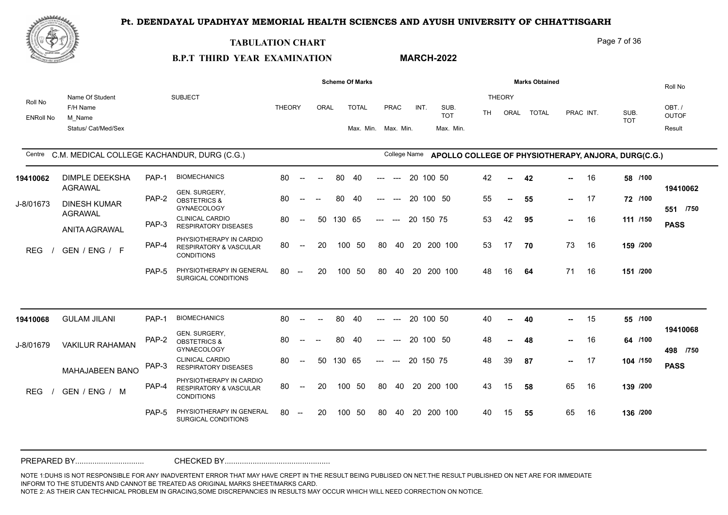**MARCH-2022**



#### **TABULATION CHART**

#### Page 7 of 36

# **B.P.T THIRD YEAR EXAMINATION**

|                             |                                                              |       |                                                                                   |               |                          |      |        | <b>Scheme Of Marks</b>              |       |              |      |           |                                 |           |                       | <b>Marks Obtained</b> |               |           |                                                     | Roll No                         |
|-----------------------------|--------------------------------------------------------------|-------|-----------------------------------------------------------------------------------|---------------|--------------------------|------|--------|-------------------------------------|-------|--------------|------|-----------|---------------------------------|-----------|-----------------------|-----------------------|---------------|-----------|-----------------------------------------------------|---------------------------------|
| Roll No<br><b>ENRoll No</b> | Name Of Student<br>F/H Name<br>M Name<br>Status/ Cat/Med/Sex |       | <b>SUBJECT</b>                                                                    | <b>THEORY</b> |                          | ORAL |        | <b>TOTAL</b><br>Max. Min. Max. Min. |       | PRAC         | INT. |           | SUB.<br><b>TOT</b><br>Max. Min. | <b>TH</b> | <b>THEORY</b><br>ORAL | <b>TOTAL</b>          |               | PRAC INT. | SUB.<br><b>TOT</b>                                  | OBT./<br><b>OUTOF</b><br>Result |
|                             | Centre C.M. MEDICAL COLLEGE KACHANDUR, DURG (C.G.)           |       |                                                                                   |               |                          |      |        |                                     |       | College Name |      |           |                                 |           |                       |                       |               |           | APOLLO COLLEGE OF PHYSIOTHERAPY, ANJORA, DURG(C.G.) |                                 |
| 19410062                    | <b>DIMPLE DEEKSHA</b>                                        | PAP-1 | <b>BIOMECHANICS</b>                                                               | 80            | $--$                     |      | 80     | 40                                  |       |              | 20   | 100 50    |                                 | 42        | --                    | 42                    | н.            | 16        | 58 /100                                             |                                 |
| J-8/01673                   | <b>AGRAWAL</b><br><b>DINESH KUMAR</b>                        | PAP-2 | GEN. SURGERY,<br><b>OBSTETRICS &amp;</b><br><b>GYNAECOLOGY</b>                    | 80            | $--$                     |      | 80     | 40                                  | ---   | $---$        |      | 20 100 50 |                                 | 55        | $\overline{a}$        | 55                    | $\sim 10$     | 17        | 72 /100                                             | 19410062<br>551 /750            |
|                             | <b>AGRAWAL</b><br><b>ANITA AGRAWAL</b>                       | PAP-3 | <b>CLINICAL CARDIO</b><br><b>RESPIRATORY DISEASES</b>                             | 80            | $--$                     | 50   | 130 65 |                                     | $---$ | $---$        |      | 20 150 75 |                                 | 53        | 42                    | 95                    | н.,           | 16        | 111 /150                                            | <b>PASS</b>                     |
| <b>REG</b>                  | GEN / ENG / F                                                | PAP-4 | PHYSIOTHERAPY IN CARDIO<br><b>RESPIRATORY &amp; VASCULAR</b><br><b>CONDITIONS</b> | 80            | $\overline{\phantom{a}}$ | 20   | 100    | -50                                 | 80    | 40           |      |           | 20 200 100                      | 53        | 17                    | 70                    | 73            | 16        | 159 /200                                            |                                 |
|                             |                                                              | PAP-5 | PHYSIOTHERAPY IN GENERAL<br>SURGICAL CONDITIONS                                   | 80            | $\sim$                   | 20   | 100    | 50                                  | 80    | 40           |      |           | 20 200 100                      | 48        | 16                    | 64                    | 71            | 16        | 151 /200                                            |                                 |
|                             |                                                              |       |                                                                                   |               |                          |      |        |                                     |       |              |      |           |                                 |           |                       |                       |               |           |                                                     |                                 |
| 19410068                    | <b>GULAM JILANI</b>                                          | PAP-1 | <b>BIOMECHANICS</b>                                                               | 80            | $\overline{\phantom{a}}$ |      | 80     | 40                                  | ---   | $---$        |      | 20 100 50 |                                 | 40        | $\overline{a}$        | 40                    | ш.            | 15        | 55 /100                                             |                                 |
| J-8/01679                   | <b>VAKILUR RAHAMAN</b>                                       | PAP-2 | GEN. SURGERY,<br><b>OBSTETRICS &amp;</b><br><b>GYNAECOLOGY</b>                    | 80            | $\mathbf{u}$             |      | 80     | -40                                 | ---   |              |      | 20 100 50 |                                 | 48        |                       | 48                    | -- 1          | 16        | 64 /100                                             | 19410068<br>498 /750            |
|                             | MAHAJABEEN BANO                                              | PAP-3 | <b>CLINICAL CARDIO</b><br><b>RESPIRATORY DISEASES</b>                             | 80            | $--$                     | 50   | 130 65 |                                     | $---$ | $---$        |      | 20 150 75 |                                 | 48        | 39                    | 87                    | $\sim$ $\sim$ | 17        | 104 /150                                            | <b>PASS</b>                     |
| <b>REG</b>                  | GEN / ENG / M                                                | PAP-4 | PHYSIOTHERAPY IN CARDIO<br><b>RESPIRATORY &amp; VASCULAR</b><br><b>CONDITIONS</b> | 80            | $--$                     | 20   | 100    | 50                                  | 80    | 40           |      |           | 20 200 100                      | 43        | 15                    | 58                    | 65            | 16        | 139 /200                                            |                                 |
|                             |                                                              | PAP-5 | PHYSIOTHERAPY IN GENERAL<br>SURGICAL CONDITIONS                                   | 80            | $\overline{\phantom{a}}$ | 20   | 100    | 50                                  | 80    | 40           |      |           | 20 200 100                      | 40        | 15                    | 55                    | 65            | 16        | 136 /200                                            |                                 |
|                             |                                                              |       |                                                                                   |               |                          |      |        |                                     |       |              |      |           |                                 |           |                       |                       |               |           |                                                     |                                 |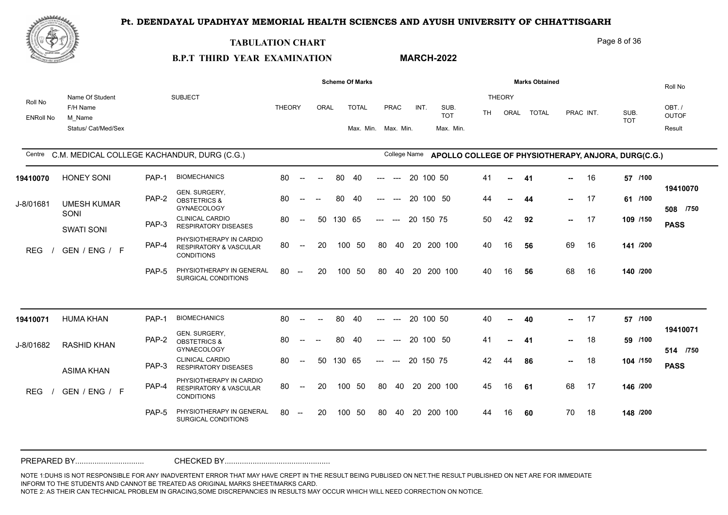**MARCH-2022**



#### **TABULATION CHART**

### Page 8 of 36

# **B.P.T THIRD YEAR EXAMINATION**

|                             |                                                              |       |                                                                                   |               |                                                |        |        | <b>Scheme Of Marks</b>              |                     |                                        |    |           |                                 |           |                       | <b>Marks Obtained</b> |               |           |                                                     | Roll No                         |
|-----------------------------|--------------------------------------------------------------|-------|-----------------------------------------------------------------------------------|---------------|------------------------------------------------|--------|--------|-------------------------------------|---------------------|----------------------------------------|----|-----------|---------------------------------|-----------|-----------------------|-----------------------|---------------|-----------|-----------------------------------------------------|---------------------------------|
| Roll No<br><b>ENRoll No</b> | Name Of Student<br>F/H Name<br>M Name<br>Status/ Cat/Med/Sex |       | <b>SUBJECT</b>                                                                    | <b>THEORY</b> |                                                | ORAL   |        | <b>TOTAL</b><br>Max. Min. Max. Min. |                     | PRAC                                   |    | INT.      | SUB.<br><b>TOT</b><br>Max. Min. | <b>TH</b> | <b>THEORY</b><br>ORAL | <b>TOTAL</b>          |               | PRAC INT. | SUB.<br><b>TOT</b>                                  | OBT./<br><b>OUTOF</b><br>Result |
|                             | Centre C.M. MEDICAL COLLEGE KACHANDUR, DURG (C.G.)           |       |                                                                                   |               |                                                |        |        |                                     |                     | College Name                           |    |           |                                 |           |                       |                       |               |           | APOLLO COLLEGE OF PHYSIOTHERAPY, ANJORA, DURG(C.G.) |                                 |
| 19410070                    | <b>HONEY SONI</b>                                            | PAP-1 | <b>BIOMECHANICS</b>                                                               | 80            | $\sim$                                         | $\sim$ | 80     | 40                                  | ---                 | $---$                                  |    | 20 100 50 |                                 | 41        | $\sim$                | 41                    | --            | 16        | 57 /100                                             |                                 |
| J-8/01681                   | <b>UMESH KUMAR</b>                                           | PAP-2 | GEN. SURGERY,<br><b>OBSTETRICS &amp;</b><br><b>GYNAECOLOGY</b>                    | 80            |                                                |        | 80     | 40                                  | ---                 | $---$                                  |    | 20 100 50 |                                 | 44        | --                    | 44                    |               | $- 17$    | 61 /100                                             | 19410070<br>508 /750            |
|                             | SONI<br><b>SWATI SONI</b>                                    | PAP-3 | <b>CLINICAL CARDIO</b><br><b>RESPIRATORY DISEASES</b>                             | 80            | $\overline{\phantom{a}}$                       | 50     | 130 65 |                                     | $---$               | $---$                                  |    | 20 150 75 |                                 | 50        | 42                    | 92                    | $\sim$ $\sim$ | 17        | 109 /150                                            | <b>PASS</b>                     |
| <b>REG</b>                  | GEN / ENG / F                                                | PAP-4 | PHYSIOTHERAPY IN CARDIO<br><b>RESPIRATORY &amp; VASCULAR</b><br><b>CONDITIONS</b> | 80            | $\sim$                                         | 20     |        | 100 50                              | 80                  | 40                                     |    |           | 20 200 100                      | 40        | 16                    | -56                   | 69            | 16        | 141 /200                                            |                                 |
|                             |                                                              | PAP-5 | PHYSIOTHERAPY IN GENERAL<br>SURGICAL CONDITIONS                                   | 80            | $\hspace{0.1mm}-\hspace{0.1mm}-\hspace{0.1mm}$ | 20     |        | 100 50                              | 80                  | 40                                     |    |           | 20 200 100                      | 40        | 16                    | 56                    | 68            | 16        | 140 /200                                            |                                 |
|                             |                                                              |       |                                                                                   |               |                                                |        |        |                                     |                     |                                        |    |           |                                 |           |                       |                       |               |           |                                                     |                                 |
| 19410071                    | <b>HUMA KHAN</b>                                             | PAP-1 | <b>BIOMECHANICS</b>                                                               | 80            | $\sim$                                         |        | 80     | 40                                  |                     |                                        |    | 20 100 50 |                                 | 40        | $\sim$                | 40                    | -- 1          | 17        | 57 /100                                             |                                 |
| J-8/01682                   | <b>RASHID KHAN</b>                                           | PAP-2 | GEN. SURGERY,<br><b>OBSTETRICS &amp;</b><br><b>GYNAECOLOGY</b>                    | 80            | $-$                                            |        | 80     | -40                                 |                     | $\overline{a}$                         | 20 |           | 100 50                          | 41        | $\overline{a}$        | -41                   | $\sim$        | 18        | 59 /100                                             | 19410071<br>514 /750            |
|                             | <b>ASIMA KHAN</b>                                            | PAP-3 | <b>CLINICAL CARDIO</b><br><b>RESPIRATORY DISEASES</b>                             | 80            | $\overline{\phantom{a}}$                       | 50     | 130 65 |                                     | $\qquad \qquad - -$ | $\hspace{0.1em} \ldots \hspace{0.1em}$ |    | 20 150 75 |                                 | 42        | 44                    | 86                    | н.,           | 18        | 104 /150                                            | <b>PASS</b>                     |
| <b>REG</b>                  | GEN / ENG / F                                                | PAP-4 | PHYSIOTHERAPY IN CARDIO<br><b>RESPIRATORY &amp; VASCULAR</b><br><b>CONDITIONS</b> | 80            | $\overline{\phantom{a}}$                       | 20     | 100    | - 50                                | 80                  | 40                                     |    |           | 20 200 100                      | 45        | 16                    | 61                    | 68            | 17        | 146 /200                                            |                                 |
|                             |                                                              | PAP-5 | PHYSIOTHERAPY IN GENERAL<br>SURGICAL CONDITIONS                                   | 80            | $\hspace{0.1mm}-\hspace{0.1mm}-\hspace{0.1mm}$ | 20     | 100    | 50                                  | 80                  | 40                                     |    |           | 20 200 100                      | 44        | 16                    | 60                    | 70            | 18        | 148 /200                                            |                                 |
|                             |                                                              |       |                                                                                   |               |                                                |        |        |                                     |                     |                                        |    |           |                                 |           |                       |                       |               |           |                                                     |                                 |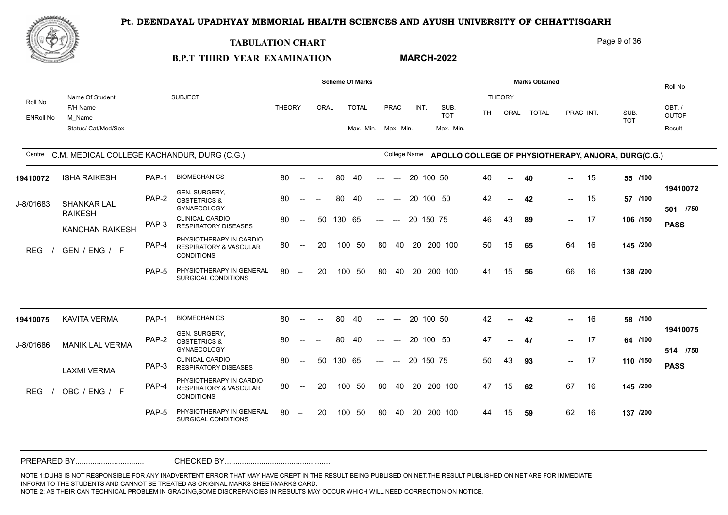

#### **TABULATION CHART**

Page 9 of 36

#### **B.P.T THIRD YEAR EXAMINATION MARCH-2022**

|                             |                                                              |       |                                                                                   |               |                          |                          |        | <b>Scheme Of Marks</b>              |       |                                        |           |                                 |     |                       | <b>Marks Obtained</b> |               |           |                                                     | Roll No                         |
|-----------------------------|--------------------------------------------------------------|-------|-----------------------------------------------------------------------------------|---------------|--------------------------|--------------------------|--------|-------------------------------------|-------|----------------------------------------|-----------|---------------------------------|-----|-----------------------|-----------------------|---------------|-----------|-----------------------------------------------------|---------------------------------|
| Roll No<br><b>ENRoll No</b> | Name Of Student<br>F/H Name<br>M Name<br>Status/ Cat/Med/Sex |       | <b>SUBJECT</b>                                                                    | <b>THEORY</b> |                          | ORAL                     |        | <b>TOTAL</b><br>Max. Min. Max. Min. |       | PRAC                                   | INT.      | SUB.<br><b>TOT</b><br>Max. Min. | TH. | <b>THEORY</b><br>ORAL | <b>TOTAL</b>          |               | PRAC INT. | SUB.<br><b>TOT</b>                                  | OBT./<br><b>OUTOF</b><br>Result |
|                             | Centre C.M. MEDICAL COLLEGE KACHANDUR, DURG (C.G.)           |       |                                                                                   |               |                          |                          |        |                                     |       | College Name                           |           |                                 |     |                       |                       |               |           | APOLLO COLLEGE OF PHYSIOTHERAPY, ANJORA, DURG(C.G.) |                                 |
| 19410072                    | <b>ISHA RAIKESH</b>                                          | PAP-1 | <b>BIOMECHANICS</b>                                                               | 80            | $\sim$                   | $\sim$                   | 80     | 40                                  |       | $---$                                  | 20 100 50 |                                 | 40  | $\sim$                | 40                    | --            | 15        | 55 /100                                             |                                 |
| J-8/01683                   | <b>SHANKAR LAL</b>                                           | PAP-2 | GEN. SURGERY,<br><b>OBSTETRICS &amp;</b><br><b>GYNAECOLOGY</b>                    | 80            | $\overline{\phantom{a}}$ |                          | 80     | 40                                  | ---   | $\hspace{0.05cm} \ldots$               | 20 100 50 |                                 | 42  | --                    | 42                    | $\sim$ $\sim$ | 15        | 57 /100                                             | 19410072<br>501 /750            |
|                             | <b>RAIKESH</b><br><b>KANCHAN RAIKESH</b>                     | PAP-3 | <b>CLINICAL CARDIO</b><br><b>RESPIRATORY DISEASES</b>                             | 80            | $--$                     | 50                       | 130 65 |                                     | $---$ | $\hspace{0.1em} \ldots \hspace{0.1em}$ | 20 150 75 |                                 | 46  | 43                    | 89                    | $\sim$ $\sim$ | 17        | 106 /150                                            | <b>PASS</b>                     |
| <b>REG</b>                  | GEN / ENG / F                                                | PAP-4 | PHYSIOTHERAPY IN CARDIO<br><b>RESPIRATORY &amp; VASCULAR</b><br><b>CONDITIONS</b> | 80            | $--$                     | 20                       |        | 100 50                              | 80    | 40                                     |           | 20 200 100                      | 50  | 15                    | 65                    | 64            | 16        | 145 /200                                            |                                 |
|                             |                                                              | PAP-5 | PHYSIOTHERAPY IN GENERAL<br>SURGICAL CONDITIONS                                   | 80            | $\sim$                   | 20                       | 100    | -50                                 | 80    | 40                                     |           | 20 200 100                      | 41  | 15                    | 56                    | 66            | 16        | 138 /200                                            |                                 |
| 19410075                    | <b>KAVITA VERMA</b>                                          | PAP-1 | <b>BIOMECHANICS</b>                                                               | 80            | $\sim$                   | $\overline{\phantom{a}}$ | 80     | 40                                  | ---   | $---$                                  | 20 100 50 |                                 | 42  | $\sim$                | 42                    | --            | 16        | 58 /100                                             |                                 |
| J-8/01686                   | <b>MANIK LAL VERMA</b>                                       | PAP-2 | GEN. SURGERY,<br><b>OBSTETRICS &amp;</b><br>GYNAECOLOGY                           | 80            |                          |                          | 80     | 40                                  |       |                                        | 20 100 50 |                                 | 47  |                       | 47                    | н.,           | 17        | 64 /100                                             | 19410075<br>514 /750            |
|                             | <b>LAXMI VERMA</b>                                           | PAP-3 | <b>CLINICAL CARDIO</b><br><b>RESPIRATORY DISEASES</b>                             | 80            | $\sim$                   | 50                       | 130 65 |                                     | $---$ | $\hspace{0.05cm} \ldots$               | 20 150 75 |                                 | 50  | 43                    | 93                    |               | $- 17$    | 110 /150                                            | <b>PASS</b>                     |
| <b>REG</b>                  | OBC / ENG / F                                                | PAP-4 | PHYSIOTHERAPY IN CARDIO<br><b>RESPIRATORY &amp; VASCULAR</b><br><b>CONDITIONS</b> | 80            | $\overline{\phantom{a}}$ | 20                       |        | 100 50                              | 80    | 40                                     |           | 20 200 100                      | 47  | 15                    | 62                    | 67            | 16        | 145 /200                                            |                                 |
|                             |                                                              | PAP-5 | PHYSIOTHERAPY IN GENERAL<br>SURGICAL CONDITIONS                                   | 80            | $\sim$                   | 20                       |        | 100 50                              | 80    | 40                                     |           | 20 200 100                      | 44  | 15                    | 59                    | 62            | 16        | 137 /200                                            |                                 |
|                             |                                                              |       |                                                                                   |               |                          |                          |        |                                     |       |                                        |           |                                 |     |                       |                       |               |           |                                                     |                                 |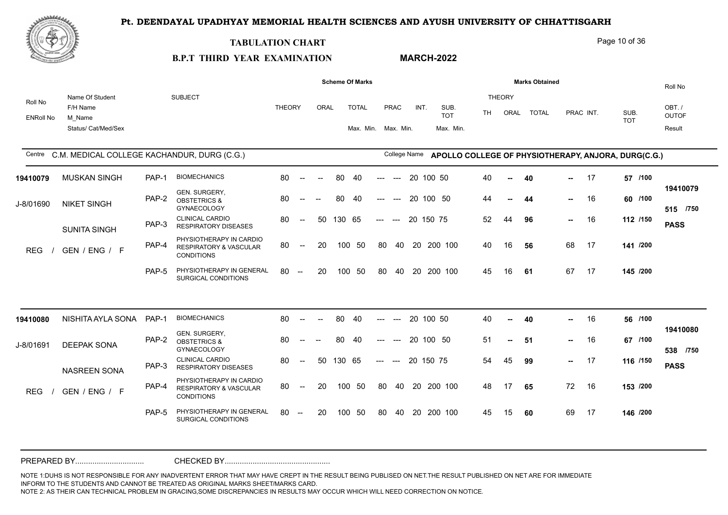**MARCH-2022**



#### **TABULATION CHART**

#### Page 10 of 36

# **B.P.T THIRD YEAR EXAMINATION**

|                             |                                                              |       |                                                                                   |               |                                                  |                          |        | <b>Scheme Of Marks</b>              |       |                                        |    |           |                                 |     |                       | <b>Marks Obtained</b> |               |           |                                                     | Roll No                         |
|-----------------------------|--------------------------------------------------------------|-------|-----------------------------------------------------------------------------------|---------------|--------------------------------------------------|--------------------------|--------|-------------------------------------|-------|----------------------------------------|----|-----------|---------------------------------|-----|-----------------------|-----------------------|---------------|-----------|-----------------------------------------------------|---------------------------------|
| Roll No<br><b>ENRoll No</b> | Name Of Student<br>F/H Name<br>M Name<br>Status/ Cat/Med/Sex |       | <b>SUBJECT</b>                                                                    | <b>THEORY</b> |                                                  | ORAL                     |        | <b>TOTAL</b><br>Max. Min. Max. Min. |       | PRAC                                   |    | INT.      | SUB.<br><b>TOT</b><br>Max. Min. | TH. | <b>THEORY</b><br>ORAL | <b>TOTAL</b>          |               | PRAC INT. | SUB.<br><b>TOT</b>                                  | OBT./<br><b>OUTOF</b><br>Result |
| Centre                      | C.M. MEDICAL COLLEGE KACHANDUR, DURG (C.G.)                  |       |                                                                                   |               |                                                  |                          |        |                                     |       | College Name                           |    |           |                                 |     |                       |                       |               |           | APOLLO COLLEGE OF PHYSIOTHERAPY, ANJORA, DURG(C.G.) |                                 |
| 19410079                    | <b>MUSKAN SINGH</b>                                          | PAP-1 | <b>BIOMECHANICS</b>                                                               | 80            | $\overline{\phantom{a}}$                         | $\overline{\phantom{a}}$ | 80     | 40                                  | ---   | $---$                                  |    | 20 100 50 |                                 | 40  | --                    | 40                    | -- 1          | 17        | 57 /100                                             |                                 |
| J-8/01690                   | <b>NIKET SINGH</b>                                           | PAP-2 | GEN. SURGERY,<br><b>OBSTETRICS &amp;</b><br><b>GYNAECOLOGY</b>                    | 80            | $\sim$ $\sim$                                    |                          | 80     | -40                                 | ---   | $---$                                  |    | 20 100 50 |                                 | 44  |                       | 44                    | $\sim$        | 16        | 60 /100                                             | 19410079<br>515 /750            |
|                             | <b>SUNITA SINGH</b>                                          | PAP-3 | <b>CLINICAL CARDIO</b><br><b>RESPIRATORY DISEASES</b>                             | 80            | $--$                                             | 50                       | 130 65 |                                     | $---$ | $\hspace{0.1em} \ldots \hspace{0.1em}$ |    | 20 150 75 |                                 | 52  | 44                    | 96                    | $\sim$ $\sim$ | 16        | 112 /150                                            | <b>PASS</b>                     |
| <b>REG</b>                  | GEN / ENG / F                                                | PAP-4 | PHYSIOTHERAPY IN CARDIO<br><b>RESPIRATORY &amp; VASCULAR</b><br><b>CONDITIONS</b> | 80            | $--$                                             | 20                       |        | 100 50                              | 80    |                                        |    |           | 40 20 200 100                   | 40  | 16                    | 56                    | 68            | 17        | 141 /200                                            |                                 |
|                             |                                                              | PAP-5 | PHYSIOTHERAPY IN GENERAL<br>SURGICAL CONDITIONS                                   | 80            | $-$                                              | 20                       | 100    | 50                                  | 80    | 40                                     |    |           | 20 200 100                      | 45  | 16                    | 61                    | 67            | 17        | 145 /200                                            |                                 |
|                             |                                                              |       |                                                                                   |               |                                                  |                          |        |                                     |       |                                        |    |           |                                 |     |                       |                       |               |           |                                                     |                                 |
| 19410080                    | NISHITA AYLA SONA PAP-1                                      |       | <b>BIOMECHANICS</b>                                                               | 80            | $---$                                            |                          | 80     | 40                                  |       |                                        |    | 20 100 50 |                                 | 40  | $\sim$                | 40                    | н.            | 16        | 56 /100                                             |                                 |
| J-8/01691                   | <b>DEEPAK SONA</b>                                           | PAP-2 | GEN. SURGERY,<br><b>OBSTETRICS &amp;</b><br><b>GYNAECOLOGY</b>                    | 80            |                                                  |                          | 80     | 40                                  |       |                                        |    | 20 100 50 |                                 | 51  | $\overline{a}$        | 51                    | $\sim$        | 16        | 67 /100                                             | 19410080<br>538 /750            |
|                             | <b>NASREEN SONA</b>                                          | PAP-3 | <b>CLINICAL CARDIO</b><br><b>RESPIRATORY DISEASES</b>                             | 80            | $\mathcal{L}_{\mathcal{F}}$                      | 50                       | 130 65 |                                     | $---$ | $\hspace{0.1em} \ldots \hspace{0.1em}$ |    | 20 150 75 |                                 | 54  | 45                    | 99                    | $\sim$        | 17        | 116 /150                                            | <b>PASS</b>                     |
| <b>REG</b>                  | GEN / ENG / F                                                | PAP-4 | PHYSIOTHERAPY IN CARDIO<br><b>RESPIRATORY &amp; VASCULAR</b><br><b>CONDITIONS</b> | 80            | $\hspace{0.1em} -\hspace{0.1em} -\hspace{0.1em}$ | 20                       |        | 100 50                              | 80    |                                        |    |           | 40 20 200 100                   | 48  | 17                    | 65                    | 72            | 16        | 153 /200                                            |                                 |
|                             |                                                              | PAP-5 | PHYSIOTHERAPY IN GENERAL<br>SURGICAL CONDITIONS                                   | 80            | $-$                                              | 20                       | 100    | 50                                  | 80    | 40                                     | 20 |           | 200 100                         | 45  | 15                    | 60                    | 69            | 17        | 146 /200                                            |                                 |
|                             |                                                              |       |                                                                                   |               |                                                  |                          |        |                                     |       |                                        |    |           |                                 |     |                       |                       |               |           |                                                     |                                 |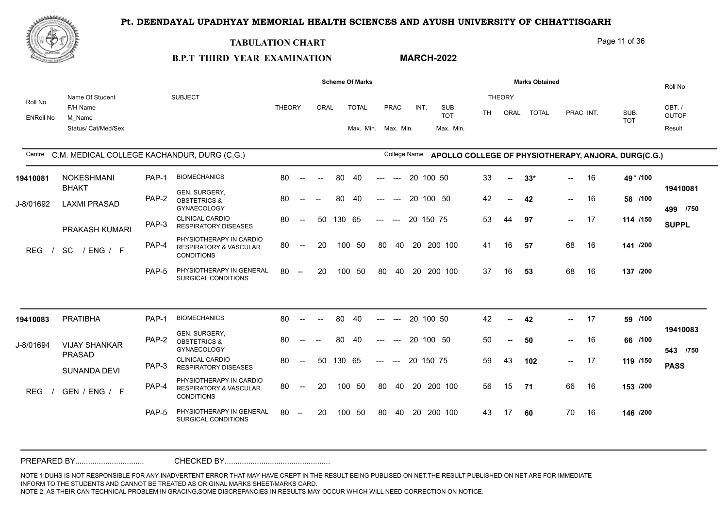**MARCH-2022**



#### **TABULATION CHART**

#### Page 11 of 36

# **B.P.T THIRD YEAR EXAMINATION**

|                             |                                                              |       |                                                                                   |               |                          |        |        | <b>Scheme Of Marks</b>              |       |              |           |        |                                 |           |                       | <b>Marks Obtained</b> |                 |           |                                                     | Roll No                         |
|-----------------------------|--------------------------------------------------------------|-------|-----------------------------------------------------------------------------------|---------------|--------------------------|--------|--------|-------------------------------------|-------|--------------|-----------|--------|---------------------------------|-----------|-----------------------|-----------------------|-----------------|-----------|-----------------------------------------------------|---------------------------------|
| Roll No<br><b>ENRoll No</b> | Name Of Student<br>F/H Name<br>M Name<br>Status/ Cat/Med/Sex |       | <b>SUBJECT</b>                                                                    | <b>THEORY</b> |                          | ORAL   |        | <b>TOTAL</b><br>Max. Min. Max. Min. |       | PRAC         | INT.      |        | SUB.<br><b>TOT</b><br>Max. Min. | <b>TH</b> | <b>THEORY</b><br>ORAL | <b>TOTAL</b>          |                 | PRAC INT. | SUB.<br><b>TOT</b>                                  | OBT./<br><b>OUTOF</b><br>Result |
|                             | Centre C.M. MEDICAL COLLEGE KACHANDUR, DURG (C.G.)           |       |                                                                                   |               |                          |        |        |                                     |       | College Name |           |        |                                 |           |                       |                       |                 |           | APOLLO COLLEGE OF PHYSIOTHERAPY, ANJORA, DURG(C.G.) |                                 |
| 19410081                    | NOKESHMANI                                                   | PAP-1 | <b>BIOMECHANICS</b>                                                               | 80            | $\sim$ $\sim$            | $\sim$ | 80     | 40                                  | ---   | $---$        | 20        | 100 50 |                                 | 33        | $\blacksquare$        | $33*$                 | ш.              | 16        | 49 * /100                                           |                                 |
| J-8/01692                   | <b>BHAKT</b><br><b>LAXMI PRASAD</b>                          | PAP-2 | GEN. SURGERY,<br><b>OBSTETRICS &amp;</b><br><b>GYNAECOLOGY</b>                    | 80            | $\overline{\phantom{a}}$ |        | 80     | 40                                  | ---   | $---$        | 20 100 50 |        |                                 | 42        |                       | 42                    | $\sim$          | 16        | 58 /100                                             | 19410081<br>499 /750            |
|                             | PRAKASH KUMARI                                               | PAP-3 | <b>CLINICAL CARDIO</b><br><b>RESPIRATORY DISEASES</b>                             | 80            | $\overline{\phantom{a}}$ | 50     | 130 65 |                                     | $---$ | $---$        | 20 150 75 |        |                                 | 53        | 44                    | 97                    | $\sim$          | - 17      | 114 /150                                            | <b>SUPPL</b>                    |
| <b>REG</b>                  | <b>SC</b><br>/ENG / F                                        | PAP-4 | PHYSIOTHERAPY IN CARDIO<br><b>RESPIRATORY &amp; VASCULAR</b><br><b>CONDITIONS</b> | 80            | $--$                     | 20     |        | 100 50                              | 80    | 40           |           |        | 20 200 100                      | 41        | 16                    | 57                    | 68              | 16        | 141 /200                                            |                                 |
|                             |                                                              | PAP-5 | PHYSIOTHERAPY IN GENERAL<br>SURGICAL CONDITIONS                                   | 80            | $\sim$                   | 20     | 100    | 50                                  | 80    | 40           |           |        | 20 200 100                      | 37        | 16                    | 53                    | 68              | 16        | 137 /200                                            |                                 |
|                             |                                                              |       |                                                                                   |               |                          |        |        |                                     |       |              |           |        |                                 |           |                       |                       |                 |           |                                                     |                                 |
| 19410083                    | <b>PRATIBHA</b>                                              | PAP-1 | <b>BIOMECHANICS</b>                                                               | 80            | $\overline{\phantom{a}}$ |        | 80     | 40                                  | ---   | $---$        | 20 100 50 |        |                                 | 42        | $\mathbf{u}$          | 42                    |                 | 17        | 59 /100                                             |                                 |
| J-8/01694                   | <b>VIJAY SHANKAR</b>                                         | PAP-2 | GEN. SURGERY,<br><b>OBSTETRICS &amp;</b><br><b>GYNAECOLOGY</b>                    | 80            | $\overline{\phantom{a}}$ |        | 80     | 40                                  |       |              | 20 100 50 |        |                                 | 50        |                       | 50                    | н.,             | 16        | 66 /100                                             | 19410083<br>543 /750            |
|                             | <b>PRASAD</b><br>SUNANDA DEVI                                | PAP-3 | <b>CLINICAL CARDIO</b><br><b>RESPIRATORY DISEASES</b>                             | 80            | $--$                     | 50     | 130 65 |                                     | $---$ | $---$        | 20 150 75 |        |                                 | 59        | 43                    | 102                   | $\sim 10^{-11}$ | 17        | 119 /150                                            | <b>PASS</b>                     |
| <b>REG</b>                  | GEN / ENG / F                                                | PAP-4 | PHYSIOTHERAPY IN CARDIO<br><b>RESPIRATORY &amp; VASCULAR</b><br><b>CONDITIONS</b> | 80            | $\overline{\phantom{a}}$ | 20     |        | 100 50                              | 80    | 40           |           |        | 20 200 100                      | 56        | 15                    | 71                    | 66              | 16        | 153 /200                                            |                                 |
|                             |                                                              | PAP-5 | PHYSIOTHERAPY IN GENERAL<br>SURGICAL CONDITIONS                                   | 80            | $\overline{\phantom{a}}$ | 20     | 100    | -50                                 | 80    | 40           | 20        |        | 200 100                         | 43        | 17                    | 60                    | 70              | 16        | 146 /200                                            |                                 |
|                             |                                                              |       |                                                                                   |               |                          |        |        |                                     |       |              |           |        |                                 |           |                       |                       |                 |           |                                                     |                                 |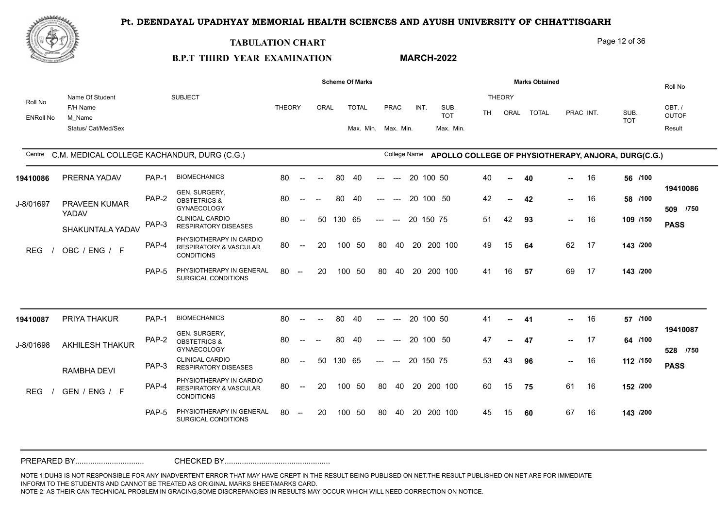**MARCH-2022**



#### **TABULATION CHART**

#### Page 12 of 36

# **B.P.T THIRD YEAR EXAMINATION**

|                             |                                                              |       |                                                                                   |               |                          |      |        | <b>Scheme Of Marks</b>              |       |              |           |           |                                 |           |                       | <b>Marks Obtained</b> |               |           |                                                     | Roll No                         |
|-----------------------------|--------------------------------------------------------------|-------|-----------------------------------------------------------------------------------|---------------|--------------------------|------|--------|-------------------------------------|-------|--------------|-----------|-----------|---------------------------------|-----------|-----------------------|-----------------------|---------------|-----------|-----------------------------------------------------|---------------------------------|
| Roll No<br><b>ENRoll No</b> | Name Of Student<br>F/H Name<br>M Name<br>Status/ Cat/Med/Sex |       | <b>SUBJECT</b>                                                                    | <b>THEORY</b> |                          | ORAL |        | <b>TOTAL</b><br>Max. Min. Max. Min. |       | PRAC         | INT.      |           | SUB.<br><b>TOT</b><br>Max. Min. | <b>TH</b> | <b>THEORY</b><br>ORAL | <b>TOTAL</b>          |               | PRAC INT. | SUB.<br><b>TOT</b>                                  | OBT./<br><b>OUTOF</b><br>Result |
|                             | Centre C.M. MEDICAL COLLEGE KACHANDUR, DURG (C.G.)           |       |                                                                                   |               |                          |      |        |                                     |       | College Name |           |           |                                 |           |                       |                       |               |           | APOLLO COLLEGE OF PHYSIOTHERAPY, ANJORA, DURG(C.G.) |                                 |
| 19410086                    | PRERNA YADAV                                                 | PAP-1 | <b>BIOMECHANICS</b>                                                               | 80            | $\sim$ $\sim$            |      | 80     | 40                                  |       | $-$          | 20        | 100 50    |                                 | 40        | $\overline{a}$        | 40                    |               | 16        | 56 /100                                             |                                 |
| J-8/01697                   | <b>PRAVEEN KUMAR</b>                                         | PAP-2 | GEN. SURGERY,<br><b>OBSTETRICS &amp;</b><br><b>GYNAECOLOGY</b>                    | 80            |                          |      | 80     | 40                                  | ---   | $---$        |           |           | 20 100 50                       | 42        |                       | 42                    | $\sim$        | 16        | 58 /100                                             | 19410086<br>509 /750            |
|                             | YADAV<br>SHAKUNTALA YADAV                                    | PAP-3 | <b>CLINICAL CARDIO</b><br><b>RESPIRATORY DISEASES</b>                             | 80            | $\overline{\phantom{a}}$ | 50   | 130 65 |                                     | $---$ | $---$        | 20 150 75 |           |                                 | 51        | 42                    | 93                    | н.,           | 16        | 109 /150                                            | <b>PASS</b>                     |
| <b>REG</b>                  | OBC / ENG / F                                                | PAP-4 | PHYSIOTHERAPY IN CARDIO<br><b>RESPIRATORY &amp; VASCULAR</b><br><b>CONDITIONS</b> | 80            | $--$                     | 20   |        | 100 50                              | 80    | 40           |           |           | 20 200 100                      | 49        | 15                    | 64                    | 62            | 17        | 143 /200                                            |                                 |
|                             |                                                              | PAP-5 | PHYSIOTHERAPY IN GENERAL<br>SURGICAL CONDITIONS                                   | 80            | $\sim$                   | 20   | 100    | 50                                  | 80    | 40           |           |           | 20 200 100                      | 41        | 16                    | 57                    | 69            | 17        | 143 /200                                            |                                 |
|                             |                                                              |       | <b>BIOMECHANICS</b>                                                               |               |                          |      |        |                                     |       |              |           |           |                                 |           |                       |                       |               |           |                                                     |                                 |
| 19410087                    | PRIYA THAKUR                                                 | PAP-1 |                                                                                   | 80            | $\overline{\phantom{a}}$ |      | 80     | 40                                  | ---   | $---$        |           | 20 100 50 |                                 | 41        | $\sim$                | 41                    | н.            | 16        | 57 /100                                             | 19410087                        |
| J-8/01698                   | <b>AKHILESH THAKUR</b>                                       | PAP-2 | GEN. SURGERY,<br><b>OBSTETRICS &amp;</b><br><b>GYNAECOLOGY</b>                    | 80            | $\sim$                   |      | 80     | 40                                  |       |              |           |           | 20 100 50                       | 47        |                       | 47                    | н.,           | 17        | 64 /100                                             | 528 /750                        |
|                             | RAMBHA DEVI                                                  | PAP-3 | <b>CLINICAL CARDIO</b><br><b>RESPIRATORY DISEASES</b>                             | 80            | $--$                     | 50   | 130 65 |                                     | $---$ | $---$        | 20 150 75 |           |                                 | 53        | 43                    | 96                    | $\sim$ $\sim$ | 16        | 112 /150                                            | <b>PASS</b>                     |
| <b>REG</b>                  | GEN / ENG / F                                                | PAP-4 | PHYSIOTHERAPY IN CARDIO<br><b>RESPIRATORY &amp; VASCULAR</b><br><b>CONDITIONS</b> | 80            | $\overline{\phantom{a}}$ | 20   |        | 100 50                              | 80    | 40           |           |           | 20 200 100                      | 60        | 15                    | 75                    | 61            | 16        | 152 /200                                            |                                 |
|                             |                                                              | PAP-5 | PHYSIOTHERAPY IN GENERAL<br>SURGICAL CONDITIONS                                   | 80            | $\overline{\phantom{a}}$ | 20   | 100    | 50                                  | 80    | 40           | 20        |           | 200 100                         | 45        | 15                    | 60                    | 67            | 16        | 143 /200                                            |                                 |
|                             |                                                              |       |                                                                                   |               |                          |      |        |                                     |       |              |           |           |                                 |           |                       |                       |               |           |                                                     |                                 |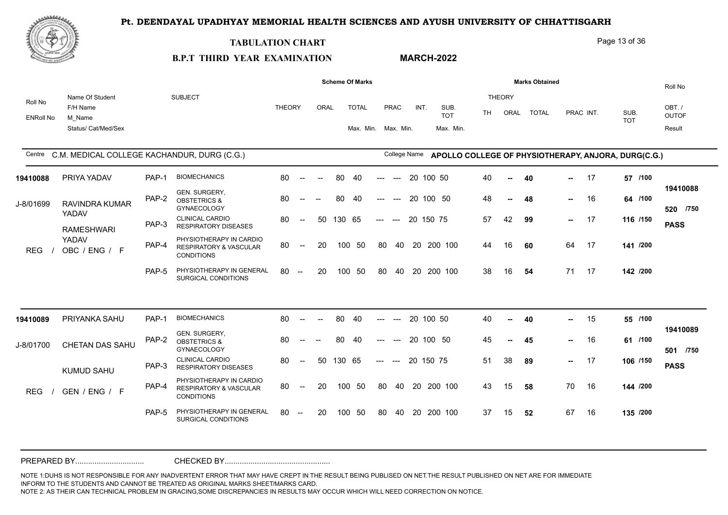**MARCH-2022**



#### **TABULATION CHART**

#### Page 13 of 36

# **B.P.T THIRD YEAR EXAMINATION**

|                             |                                                              |       |                                                                                   |               |                          |      |        | <b>Scheme Of Marks</b>              |       |                          |           |                                 |     |                       | <b>Marks Obtained</b> |               |           |                                                                  | Roll No                         |
|-----------------------------|--------------------------------------------------------------|-------|-----------------------------------------------------------------------------------|---------------|--------------------------|------|--------|-------------------------------------|-------|--------------------------|-----------|---------------------------------|-----|-----------------------|-----------------------|---------------|-----------|------------------------------------------------------------------|---------------------------------|
| Roll No<br><b>ENRoll No</b> | Name Of Student<br>F/H Name<br>M Name<br>Status/ Cat/Med/Sex |       | <b>SUBJECT</b>                                                                    | <b>THEORY</b> |                          | ORAL |        | <b>TOTAL</b><br>Max. Min. Max. Min. |       | PRAC                     | INT.      | SUB.<br><b>TOT</b><br>Max. Min. | TH. | <b>THEORY</b><br>ORAL | <b>TOTAL</b>          |               | PRAC INT. | SUB.<br><b>TOT</b>                                               | OBT./<br><b>OUTOF</b><br>Result |
|                             | Centre C.M. MEDICAL COLLEGE KACHANDUR, DURG (C.G.)           |       |                                                                                   |               |                          |      |        |                                     |       |                          |           |                                 |     |                       |                       |               |           | College Name APOLLO COLLEGE OF PHYSIOTHERAPY, ANJORA, DURG(C.G.) |                                 |
| 19410088                    | PRIYA YADAV                                                  | PAP-1 | <b>BIOMECHANICS</b>                                                               | 80            | $\sim$                   |      | 80     | 40                                  | ---   | $---$                    | 20 100 50 |                                 | 40  |                       | 40                    | -- 1          | 17        | 57 /100                                                          |                                 |
| J-8/01699                   | <b>RAVINDRA KUMAR</b>                                        | PAP-2 | GEN. SURGERY,<br><b>OBSTETRICS &amp;</b><br><b>GYNAECOLOGY</b>                    | 80            | $\overline{\phantom{a}}$ |      | 80     | 40                                  | ---   | $\hspace{0.05cm} \ldots$ | 20 100 50 |                                 | 48  | $\overline{a}$        | 48                    | $\sim$        | 16        | 64 /100                                                          | 19410088<br>520 /750            |
|                             | YADAV<br><b>RAMESHWARI</b>                                   | PAP-3 | <b>CLINICAL CARDIO</b><br><b>RESPIRATORY DISEASES</b>                             | 80            | $--$                     | 50   | 130 65 |                                     | $---$ | $---$                    | 20 150 75 |                                 | 57  | 42                    | 99                    | $\sim$ $\sim$ | 17        | 116 /150                                                         | <b>PASS</b>                     |
| <b>REG</b>                  | YADAV<br>OBC / ENG / F                                       | PAP-4 | PHYSIOTHERAPY IN CARDIO<br><b>RESPIRATORY &amp; VASCULAR</b><br><b>CONDITIONS</b> | 80            | $\overline{\phantom{a}}$ | 20   | 100    | 50                                  | 80    | 40                       |           | 20 200 100                      | 44  | 16                    | 60                    | 64            | 17        | 141 /200                                                         |                                 |
|                             |                                                              | PAP-5 | PHYSIOTHERAPY IN GENERAL<br>SURGICAL CONDITIONS                                   | 80            | $\sim$                   | 20   | 100    | 50                                  | 80    | 40                       |           | 20 200 100                      | 38  | 16                    | 54                    | 71            | 17        | 142 /200                                                         |                                 |
|                             |                                                              |       | <b>BIOMECHANICS</b>                                                               |               |                          |      |        |                                     |       |                          |           |                                 |     |                       |                       |               |           |                                                                  |                                 |
| 19410089                    | PRIYANKA SAHU                                                | PAP-1 |                                                                                   | 80            | $\sim$                   |      | 80     | 40                                  |       | $---$                    | 20 100 50 |                                 | 40  | $\overline{a}$        | 40                    | н.            | 15        | 55 /100                                                          | 19410089                        |
| J-8/01700                   | CHETAN DAS SAHU                                              | PAP-2 | GEN. SURGERY,<br><b>OBSTETRICS &amp;</b><br><b>GYNAECOLOGY</b>                    | 80            | $\overline{\phantom{a}}$ |      | 80     | -40                                 |       |                          | 20 100 50 |                                 | 45  |                       | 45                    | н.,           | 16        | 61 /100                                                          | 501 /750                        |
|                             | <b>KUMUD SAHU</b>                                            | PAP-3 | <b>CLINICAL CARDIO</b><br><b>RESPIRATORY DISEASES</b>                             | 80            | $\overline{\phantom{a}}$ | 50   | 130 65 |                                     | $---$ | $---$                    | 20 150 75 |                                 | 51  | 38                    | 89                    | $\sim$ $\sim$ | - 17      | 106 /150                                                         | <b>PASS</b>                     |
| <b>REG</b>                  | GEN / ENG / F                                                | PAP-4 | PHYSIOTHERAPY IN CARDIO<br><b>RESPIRATORY &amp; VASCULAR</b><br><b>CONDITIONS</b> | 80            | $\overline{\phantom{a}}$ | 20   |        | 100 50                              | 80    | 40                       |           | 20 200 100                      | 43  | 15                    | 58                    | 70            | 16        | 144 /200                                                         |                                 |
|                             |                                                              | PAP-5 | PHYSIOTHERAPY IN GENERAL<br>SURGICAL CONDITIONS                                   | 80            | $\sim$                   | 20   |        | 100 50                              | 80    | 40                       |           | 20 200 100                      | 37  | 15                    | 52                    | 67            | 16        | 135 /200                                                         |                                 |
|                             |                                                              |       |                                                                                   |               |                          |      |        |                                     |       |                          |           |                                 |     |                       |                       |               |           |                                                                  |                                 |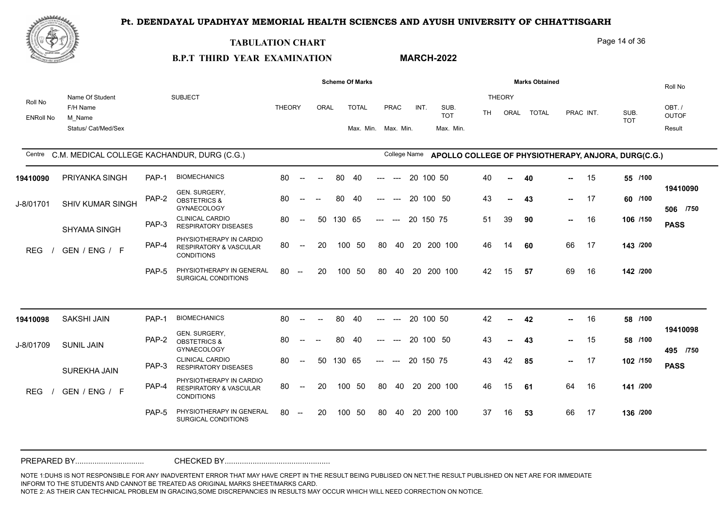**MARCH-2022**



#### **TABULATION CHART**

#### Page 14 of 36

#### **B.P.T THIRD YEAR EXAMINATION**

ORAL TOTAL ENRoll No Roll No Name Of Student F/H Name M\_Name Status/ Cat/Med/Sex SUBJECT THEORY AND THEORY IN THE SUBJECTIVE OF THE SUBJECTIVE OF THE SUBJECTIVE OF THE ORY AND THE ORY AND THE ORY TH ORAI TOTAI PRAC INT OBT. / OUTOF Roll No Result Centre C.M. MEDICAL COLLEGE KACHANDUR, DURG (C.G.) College Name SUB. TOT SUB. TOT THEORY ORAL TOTAL PRAC INT. Max. Min. Max. Min. **Scheme Of Marks Marks Marks Marks Marks** Obtained Max. Min. APOLLO COLLEGE OF PHYSIOTHERAPY, ANJORA, DURG(C.G.) PAP-5 PHYSIOTHERAPY IN GENERAL 80 --SURGICAL CONDITIONS PHYSIOTHERAPY IN CARDIO<br>RESPIRATORY & VASCULAR 80 -- 20 100 50 PAP-4 RESPIRATORY & VASCULAR 80 CONDITIONS CLINICAL CARDIO PAP-3 RESPIRATORY DISEASES GEN. SURGERY,<br>PAP-2 OBSTETRICS & **GYNAECOLOGY** PAP-1 BIOMECHANICS 80 -80 -- 50 130 65 --- --- 20 150 75  **-- -- 17 16 /750 506** -- 20 100 50 80 40 20 200 100 46 14 60 80 -- -- 80 40 --- --- 20 100 50 40 -- 40 80 -- -- 80 40 --- --- 20 100 50 80 -- 20 100 50 80 40 20 200 100 REG / GEN / ENG / F THE RESPIRATORT **43 /100** 43 -- **43** -- 17 60 /100 **/150 /200 /200** J-8/01701 SHIV KUMAR SINGH THE OBSTRINGS & 19410090 PRIYANKA SINGH PAP-1 BIOMECHANICS SHYAMA SINGH 40 **40** 15 **55** 51 39 **90** - 16 **106** /150 **page** 46 14 **60** 66 17 **143** 42 **57** 69 16 **142 PASS 19410090 43** 39 **90 --** 16 15 57 69 16 PAP-5 PHYSIOTHERAPY IN GENERAL 80 --SURGICAL CONDITIONS PHYSIOTHERAPY IN CARDIO<br>RESPIRATORY & VASCULAR 80 -- 20 100 50 PAP-4 RESPIRATORY & VASCULAR 80 CONDITIONS CLINICAL CARDIO PAP-3 RESPIRATORY DISEASES GEN. SURGERY,<br>PAP-2 OBSTETRICS & GYNAECOLOGY PAP-1 BIOMECHANICS 80 -80 -- 50 130 65 --- --- 20 150 75  **-- -- -- -- /750 495** -- 20 100 50 80 40 20 200 100 46 15 61 80 -- -- 80 40 --- --- 20 100 50 80 -- -- 80 40 --- --- 20 100 50 80 -- 20 100 50 80 40 20 200 100 REG / GEN / ENG / F TALL RESPIRATORT **43 /100 /100 /150** 43 **85** 17 **102 /200** 46 15 **61** 64 16 **141 /200** 37 **53** 66 17 **136** J-8/01709 SUNIL JAIN 19410098 SAKSHI JAIN PAP-1 BIOMECHANI SUREKHA JAIN 42 **42** 16 **58** 43 -- **43** -- 15 58/100 **PASS 19410098 43** 85 66 17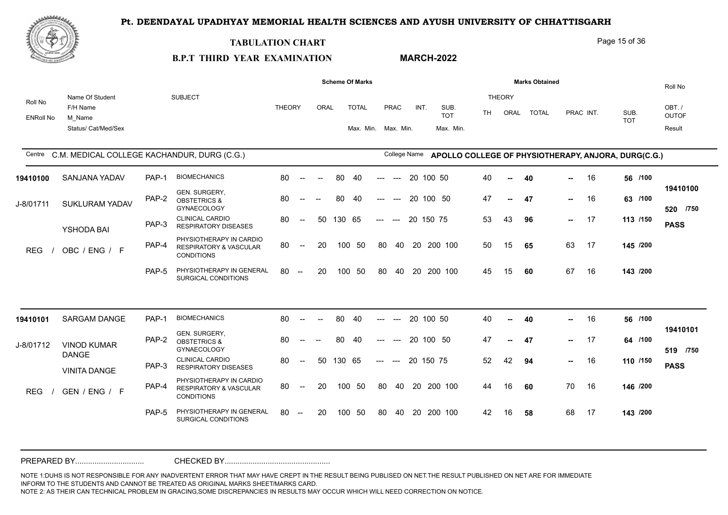**MARCH-2022**



#### **TABULATION CHART**

#### Page 15 of 36

# **B.P.T THIRD YEAR EXAMINATION**

|                             |                                                              |       |                                                                                   |               |                                                |        |        | <b>Scheme Of Marks</b>              |       |                                        |           |                                 |           |                       | <b>Marks Obtained</b> |                 |           |                                                     | Roll No                         |
|-----------------------------|--------------------------------------------------------------|-------|-----------------------------------------------------------------------------------|---------------|------------------------------------------------|--------|--------|-------------------------------------|-------|----------------------------------------|-----------|---------------------------------|-----------|-----------------------|-----------------------|-----------------|-----------|-----------------------------------------------------|---------------------------------|
| Roll No<br><b>ENRoll No</b> | Name Of Student<br>F/H Name<br>M Name<br>Status/ Cat/Med/Sex |       | <b>SUBJECT</b>                                                                    | <b>THEORY</b> |                                                | ORAL   |        | <b>TOTAL</b><br>Max. Min. Max. Min. |       | PRAC                                   | INT.      | SUB.<br><b>TOT</b><br>Max. Min. | <b>TH</b> | <b>THEORY</b><br>ORAL | <b>TOTAL</b>          |                 | PRAC INT. | SUB.<br><b>TOT</b>                                  | OBT./<br><b>OUTOF</b><br>Result |
| Centre                      | C.M. MEDICAL COLLEGE KACHANDUR, DURG (C.G.)                  |       |                                                                                   |               |                                                |        |        |                                     |       | College Name                           |           |                                 |           |                       |                       |                 |           | APOLLO COLLEGE OF PHYSIOTHERAPY, ANJORA, DURG(C.G.) |                                 |
| 19410100                    | SANJANA YADAV                                                | PAP-1 | <b>BIOMECHANICS</b>                                                               | 80            | $\sim$                                         | $\sim$ | 80     | 40                                  | ---   | $---$                                  | 20 100 50 |                                 | 40        | $\sim$                | 40                    | н.              | 16        | 56 /100                                             |                                 |
| J-8/01711                   | SUKLURAM YADAV                                               | PAP-2 | GEN. SURGERY,<br><b>OBSTETRICS &amp;</b><br><b>GYNAECOLOGY</b>                    | 80            | $\sim$ $\sim$                                  |        | 80     | 40                                  | ---   | $---$                                  | 20 100 50 |                                 | 47        |                       | 47                    | $\sim$          | 16        | 63 /100                                             | 19410100<br>520 /750            |
|                             | YSHODA BAI                                                   | PAP-3 | <b>CLINICAL CARDIO</b><br><b>RESPIRATORY DISEASES</b>                             | 80            | $\overline{\phantom{a}}$                       | 50     | 130 65 |                                     | $---$ | $---$                                  | 20 150 75 |                                 | 53        | 43                    | 96                    | $\sim$          | 17        | 113 /150                                            | <b>PASS</b>                     |
| <b>REG</b>                  | OBC / ENG / F                                                | PAP-4 | PHYSIOTHERAPY IN CARDIO<br>RESPIRATORY & VASCULAR<br><b>CONDITIONS</b>            | 80            | $\sim$                                         | 20     |        | 100 50                              | 80    | 40                                     |           | 20 200 100                      | 50        | 15                    | 65                    | 63              | 17        | 145 /200                                            |                                 |
|                             |                                                              | PAP-5 | PHYSIOTHERAPY IN GENERAL<br>SURGICAL CONDITIONS                                   | 80            | $\hspace{0.1mm}-\hspace{0.1mm}-\hspace{0.1mm}$ | 20     | 100    | 50                                  | 80    | 40                                     | 20        | 200 100                         | 45        | 15                    | 60                    | 67              | 16        | 143 /200                                            |                                 |
|                             |                                                              |       |                                                                                   |               |                                                |        |        |                                     |       |                                        |           |                                 |           |                       |                       |                 |           |                                                     |                                 |
| 19410101                    | <b>SARGAM DANGE</b>                                          | PAP-1 | <b>BIOMECHANICS</b>                                                               | 80            | $\overline{\phantom{a}}$                       |        | 80     | 40                                  |       |                                        | 20 100 50 |                                 | 40        | --                    | 40                    | -- 1            | 16        | 56 /100                                             |                                 |
| J-8/01712                   | <b>VINOD KUMAR</b><br><b>DANGE</b>                           | PAP-2 | GEN. SURGERY,<br><b>OBSTETRICS &amp;</b><br><b>GYNAECOLOGY</b>                    | 80            |                                                |        | 80     | 40                                  |       |                                        |           | 20 100 50                       | 47        |                       | 47                    | $\sim 10^{-11}$ | 17        | 64 /100                                             | 19410101<br>519 /750            |
|                             | <b>VINITA DANGE</b>                                          | PAP-3 | <b>CLINICAL CARDIO</b><br><b>RESPIRATORY DISEASES</b>                             | 80            | $--$                                           | 50     | 130 65 |                                     | $---$ | $\hspace{0.1em} \ldots \hspace{0.1em}$ | 20 150 75 |                                 | 52        | 42                    | 94                    | -- 1            | 16        | 110 /150                                            | <b>PASS</b>                     |
| <b>REG</b>                  | GEN / ENG / F                                                | PAP-4 | PHYSIOTHERAPY IN CARDIO<br><b>RESPIRATORY &amp; VASCULAR</b><br><b>CONDITIONS</b> | 80            | $\sim$                                         | 20     |        | 100 50                              | 80    |                                        |           | 40 20 200 100                   | 44        | 16                    | 60                    | 70              | 16        | 146 /200                                            |                                 |
|                             |                                                              | PAP-5 | PHYSIOTHERAPY IN GENERAL<br><b>SURGICAL CONDITIONS</b>                            | 80            | $- -$                                          | 20     |        | 100 50                              | 80    | 40                                     | 20        | 200 100                         | 42        | 16                    | 58                    | 68              | 17        | 143 /200                                            |                                 |
|                             |                                                              |       |                                                                                   |               |                                                |        |        |                                     |       |                                        |           |                                 |           |                       |                       |                 |           |                                                     |                                 |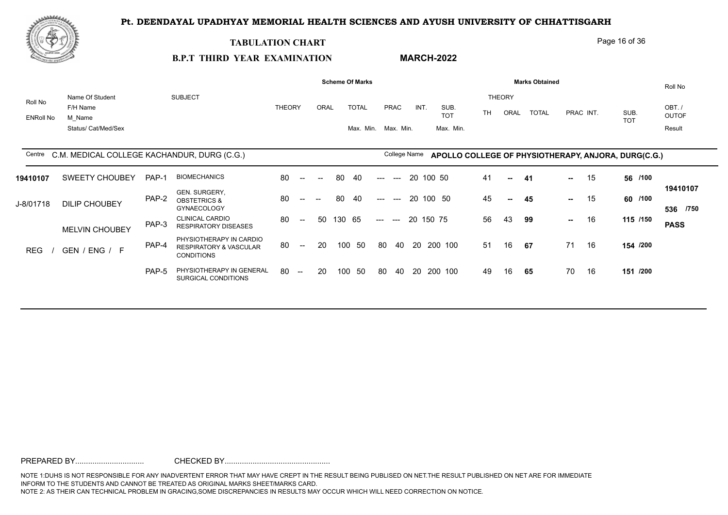

#### **TABULATION CHART**

#### Page 16 of 36

#### **B.P.T THIRD YEAR EXAMINATION MARCH-2022**

|                  |                                                    |       |                                                                        |               |                          |                          |        | <b>Scheme Of Marks</b> |       |              |           |                    |           |               | <b>Marks Obtained</b> |           |           |                                                     | Roll No               |
|------------------|----------------------------------------------------|-------|------------------------------------------------------------------------|---------------|--------------------------|--------------------------|--------|------------------------|-------|--------------|-----------|--------------------|-----------|---------------|-----------------------|-----------|-----------|-----------------------------------------------------|-----------------------|
| Roll No          | Name Of Student                                    |       | <b>SUBJECT</b>                                                         |               |                          |                          |        |                        |       |              |           |                    |           | <b>THEORY</b> |                       |           |           |                                                     |                       |
|                  | F/H Name                                           |       |                                                                        | <b>THEORY</b> |                          | ORAL                     |        | <b>TOTAL</b>           |       | PRAC         | INT.      | SUB.<br><b>TOT</b> | <b>TH</b> | ORAL          | TOTAL                 |           | PRAC INT. | SUB.                                                | OBT./<br><b>OUTOF</b> |
| <b>ENRoll No</b> | M Name<br>Status/ Cat/Med/Sex                      |       |                                                                        |               |                          |                          |        | Max. Min. Max. Min.    |       |              |           | Max. Min.          |           |               |                       |           |           | <b>TOT</b>                                          | Result                |
|                  |                                                    |       |                                                                        |               |                          |                          |        |                        |       |              |           |                    |           |               |                       |           |           |                                                     |                       |
|                  | Centre C.M. MEDICAL COLLEGE KACHANDUR, DURG (C.G.) |       |                                                                        |               |                          |                          |        |                        |       | College Name |           |                    |           |               |                       |           |           | APOLLO COLLEGE OF PHYSIOTHERAPY, ANJORA, DURG(C.G.) |                       |
|                  |                                                    |       |                                                                        |               |                          |                          |        |                        |       |              |           |                    |           |               |                       |           |           |                                                     |                       |
| 19410107         | SWEETY CHOUBEY                                     | PAP-1 | <b>BIOMECHANICS</b>                                                    | 80            | $\overline{\phantom{a}}$ | $\overline{\phantom{a}}$ | 80     | 40                     | ---   | $---$        | 20 100 50 |                    | 41        | $\sim$        | 41                    | $\sim 10$ | 15        | 56 /100                                             |                       |
| J-8/01718        | <b>DILIP CHOUBEY</b>                               | PAP-2 | GEN. SURGERY,<br><b>OBSTETRICS &amp;</b><br><b>GYNAECOLOGY</b>         | 80            | $- -$                    |                          | 80     | -40                    | ---   | $---$        | 20 100 50 |                    | 45        | $\sim$        | 45                    | н.,       | 15        | 60 /100                                             | 19410107<br>536 /750  |
|                  | <b>MELVIN CHOUBEY</b>                              | PAP-3 | <b>CLINICAL CARDIO</b><br><b>RESPIRATORY DISEASES</b>                  | 80            | $--$                     | 50                       | 130 65 |                        | $---$ | $---$        | 20 150 75 |                    | 56        | 43            | 99                    | $\sim$    | 16        | 115 /150                                            | <b>PASS</b>           |
| <b>REG</b>       | GEN / ENG / F                                      | PAP-4 | PHYSIOTHERAPY IN CARDIO<br>RESPIRATORY & VASCULAR<br><b>CONDITIONS</b> | 80            | $\sim$                   | 20                       |        | 100 50                 | 80    | 40           |           | 20 200 100         | 51        | 16            | 67                    | 71        | 16        | 154 /200                                            |                       |
|                  |                                                    | PAP-5 | PHYSIOTHERAPY IN GENERAL<br>SURGICAL CONDITIONS                        | 80            | $\overline{\phantom{a}}$ | -20                      | 100    | - 50                   | 80    | 40           |           | 20 200 100         | 49        | 16            | 65                    | 70        | 16        | 151 /200                                            |                       |
|                  |                                                    |       |                                                                        |               |                          |                          |        |                        |       |              |           |                    |           |               |                       |           |           |                                                     |                       |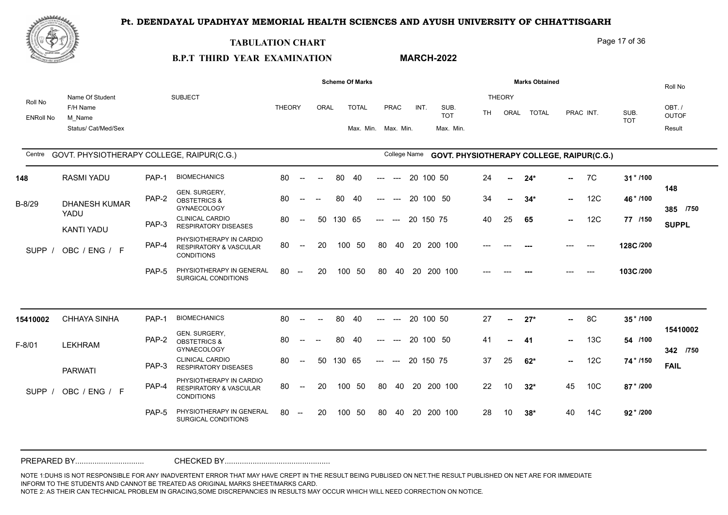

#### **TABULATION CHART**

**B.P.T THIRD YEAR EXAMINATION** 

### **MARCH-2022**

Page 17 of 36

|                             |                                                              |       |                                                                                   |               |                                                |                          |        | <b>Scheme Of Marks</b>              |                           |                                   |      |                                 |    |                       | <b>Marks Obtained</b> |        |                                           |                    | Roll No                         |
|-----------------------------|--------------------------------------------------------------|-------|-----------------------------------------------------------------------------------|---------------|------------------------------------------------|--------------------------|--------|-------------------------------------|---------------------------|-----------------------------------|------|---------------------------------|----|-----------------------|-----------------------|--------|-------------------------------------------|--------------------|---------------------------------|
| Roll No<br><b>ENRoll No</b> | Name Of Student<br>F/H Name<br>M Name<br>Status/ Cat/Med/Sex |       | <b>SUBJECT</b>                                                                    | <b>THEORY</b> |                                                | ORAL                     |        | <b>TOTAL</b><br>Max. Min. Max. Min. |                           | <b>PRAC</b>                       | INT. | SUB.<br><b>TOT</b><br>Max. Min. | TH | <b>THEORY</b><br>ORAL | <b>TOTAL</b>          |        | PRAC INT.                                 | SUB.<br><b>TOT</b> | OBT./<br><b>OUTOF</b><br>Result |
| Centre                      | GOVT. PHYSIOTHERAPY COLLEGE, RAIPUR(C.G.)                    |       |                                                                                   |               |                                                |                          |        |                                     |                           | College Name                      |      |                                 |    |                       |                       |        | GOVT. PHYSIOTHERAPY COLLEGE, RAIPUR(C.G.) |                    |                                 |
| 148                         | <b>RASMI YADU</b>                                            | PAP-1 | <b>BIOMECHANICS</b>                                                               | 80            | $\sim$                                         | $\overline{\phantom{a}}$ | 80     | 40                                  | $\qquad \qquad -\qquad -$ | $\hspace{0.05cm} \dashrightarrow$ |      | 20 100 50                       | 24 | $\sim$                | $24*$                 | $\sim$ | 7C                                        | $31 * 1100$        |                                 |
| B-8/29                      | <b>DHANESH KUMAR</b>                                         | PAP-2 | GEN. SURGERY,<br><b>OBSTETRICS &amp;</b><br><b>GYNAECOLOGY</b>                    | 80            | $\hspace{0.05cm}$ – $\hspace{0.05cm}$          | $\overline{\phantom{a}}$ | 80     | 40                                  |                           | $---$                             |      | 20 100 50                       | 34 | --                    | $34*$                 | $\sim$ | 12C                                       | 46*/100            | 148<br>385 /750                 |
|                             | YADU<br><b>KANTI YADU</b>                                    | PAP-3 | <b>CLINICAL CARDIO</b><br><b>RESPIRATORY DISEASES</b>                             | 80            | $\hspace{0.1mm}-\hspace{0.1mm}-\hspace{0.1mm}$ | 50                       | 130 65 |                                     | $\qquad \qquad - -$       | $---$                             |      | 20 150 75                       | 40 | 25                    | 65                    | $\sim$ | 12C                                       | 77 /150            | <b>SUPPL</b>                    |
| <b>SUPP</b>                 | OBC / ENG / F                                                | PAP-4 | PHYSIOTHERAPY IN CARDIO<br><b>RESPIRATORY &amp; VASCULAR</b><br><b>CONDITIONS</b> | 80            | $\sim$                                         | 20                       |        | 100 50                              | 80                        | 40                                |      | 20 200 100                      |    |                       |                       |        | $---$                                     | 128C/200           |                                 |
|                             |                                                              | PAP-5 | PHYSIOTHERAPY IN GENERAL<br>SURGICAL CONDITIONS                                   | 80            | $\sim$                                         | 20                       |        | 100 50                              |                           |                                   |      | 80 40 20 200 100                |    |                       |                       |        |                                           | 103C/200           |                                 |
|                             |                                                              |       |                                                                                   |               |                                                |                          |        |                                     |                           |                                   |      |                                 |    |                       |                       |        |                                           |                    |                                 |
| 15410002                    | <b>CHHAYA SINHA</b>                                          | PAP-1 | <b>BIOMECHANICS</b>                                                               | 80            | $\sim$                                         |                          | 80     | 40                                  |                           | $--$                              |      | 20 100 50                       | 27 | н.                    | $27*$                 | $\sim$ | 8C                                        | 35*/100            | 15410002                        |
| F-8/01                      | <b>LEKHRAM</b>                                               | PAP-2 | GEN. SURGERY,<br><b>OBSTETRICS &amp;</b><br><b>GYNAECOLOGY</b>                    | 80            |                                                |                          | 80     | 40                                  |                           | $---$                             |      | 20 100 50                       | 41 | -−                    | -41                   | $\sim$ | 13C                                       | 54 /100            | 342 /750                        |
|                             | <b>PARWATI</b>                                               | PAP-3 | <b>CLINICAL CARDIO</b><br><b>RESPIRATORY DISEASES</b>                             | 80            | $\sim$                                         | 50                       | 130 65 |                                     | $---$                     | $---$                             |      | 20 150 75                       | 37 | 25                    | $62*$                 | $\sim$ | 12C                                       | 74 * /150          | <b>FAIL</b>                     |
| <b>SUPP</b>                 | OBC / ENG / F                                                | PAP-4 | PHYSIOTHERAPY IN CARDIO<br><b>RESPIRATORY &amp; VASCULAR</b><br><b>CONDITIONS</b> | 80            | $\sim$                                         | 20                       |        | 100 50                              | 80                        |                                   |      | 40 20 200 100                   | 22 | 10                    | $32*$                 | 45     | 10 <sup>C</sup>                           | 87 * /200          |                                 |
|                             |                                                              | PAP-5 | PHYSIOTHERAPY IN GENERAL<br>SURGICAL CONDITIONS                                   | 80            | $\hspace{0.1mm}-\hspace{0.1mm}-\hspace{0.1mm}$ | 20                       |        | 100 50                              | 80                        | 40                                |      | 20 200 100                      | 28 | 10                    | $38*$                 | 40     | 14C                                       | 92 * /200          |                                 |
|                             |                                                              |       |                                                                                   |               |                                                |                          |        |                                     |                           |                                   |      |                                 |    |                       |                       |        |                                           |                    |                                 |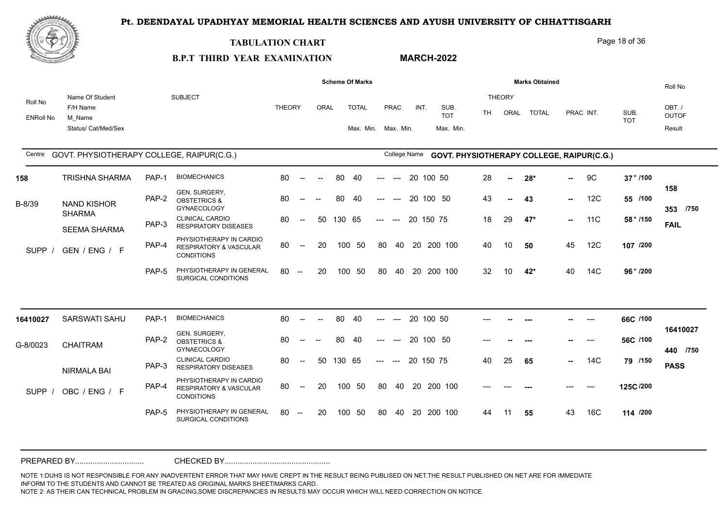

#### **TABULATION CHART**

Page 18 of 36

#### **B.P.T THIRD YEAR EXAMINATION MARCH-2022**

|                             |                                                              |       |                                                                                   |               |                                                  |                          |        | <b>Scheme Of Marks</b>              |       |              |           |                                           |       |                       | <b>Marks Obtained</b> |        |           |                    | Roll No                         |
|-----------------------------|--------------------------------------------------------------|-------|-----------------------------------------------------------------------------------|---------------|--------------------------------------------------|--------------------------|--------|-------------------------------------|-------|--------------|-----------|-------------------------------------------|-------|-----------------------|-----------------------|--------|-----------|--------------------|---------------------------------|
| Roll No<br><b>ENRoll No</b> | Name Of Student<br>F/H Name<br>M Name<br>Status/ Cat/Med/Sex |       | <b>SUBJECT</b>                                                                    | <b>THEORY</b> |                                                  | ORAL                     |        | <b>TOTAL</b><br>Max. Min. Max. Min. |       | PRAC         | INT.      | SUB.<br><b>TOT</b><br>Max. Min.           | TH.   | <b>THEORY</b><br>ORAL | <b>TOTAL</b>          |        | PRAC INT. | SUB.<br><b>TOT</b> | OBT./<br><b>OUTOF</b><br>Result |
| Centre                      | GOVT. PHYSIOTHERAPY COLLEGE, RAIPUR(C.G.)                    |       |                                                                                   |               |                                                  |                          |        |                                     |       | College Name |           | GOVT. PHYSIOTHERAPY COLLEGE, RAIPUR(C.G.) |       |                       |                       |        |           |                    |                                 |
| 158                         | <b>TRISHNA SHARMA</b>                                        | PAP-1 | <b>BIOMECHANICS</b>                                                               | 80            | $\sim$                                           | $\sim$                   | 80     | 40                                  | ---   | $---$        | 20 100 50 |                                           | 28    | $\mathbf{u}$          | $28*$                 | --     | 9C        | $37 * 1100$        |                                 |
| B-8/39                      | <b>NAND KISHOR</b>                                           | PAP-2 | GEN. SURGERY,<br><b>OBSTETRICS &amp;</b><br><b>GYNAECOLOGY</b>                    | 80            | $--$                                             | $-$                      | 80     | 40                                  | ---   | $---$        | 20 100 50 |                                           | 43    | --                    | 43                    | н.,    | 12C       | 55 /100            | 158<br>353 /750                 |
|                             | <b>SHARMA</b><br><b>SEEMA SHARMA</b>                         | PAP-3 | <b>CLINICAL CARDIO</b><br><b>RESPIRATORY DISEASES</b>                             | 80            | $\overline{\phantom{a}}$                         | 50                       | 130 65 |                                     | $---$ | $---$        | 20 150 75 |                                           | 18    | 29                    | $47*$                 | $\sim$ | 11C       | 58 * /150          | <b>FAIL</b>                     |
| <b>SUPP</b>                 | GEN / ENG / F                                                | PAP-4 | PHYSIOTHERAPY IN CARDIO<br><b>RESPIRATORY &amp; VASCULAR</b><br><b>CONDITIONS</b> | 80            | $--$                                             | 20                       |        | 100 50                              | 80    | 40           |           | 20 200 100                                | 40    | 10                    | 50                    | 45     | 12C       | 107 /200           |                                 |
|                             |                                                              | PAP-5 | PHYSIOTHERAPY IN GENERAL<br>SURGICAL CONDITIONS                                   | 80            | $\sim$                                           | 20                       | 100    | 50                                  | 80    | 40           |           | 20 200 100                                | 32    | 10                    | 42*                   | 40     | 14C       | 96 * /200          |                                 |
| 16410027                    | <b>SARSWATI SAHU</b>                                         | PAP-1 | <b>BIOMECHANICS</b>                                                               | 80            | $\sim$                                           | $\overline{\phantom{a}}$ | 80     | 40                                  | ---   | $---$        | 20 100 50 |                                           |       |                       | ---                   |        | $---$     | 66C /100           |                                 |
| G-8/0023                    | <b>CHAITRAM</b>                                              | PAP-2 | GEN. SURGERY,<br><b>OBSTETRICS &amp;</b><br><b>GYNAECOLOGY</b>                    | 80            |                                                  |                          | 80     | 40                                  |       | $---$        | 20 100 50 |                                           | $---$ |                       |                       |        | $---$     | 56C /100           | 16410027<br>440 /750            |
|                             | NIRMALA BAI                                                  | PAP-3 | <b>CLINICAL CARDIO</b><br><b>RESPIRATORY DISEASES</b>                             | 80            | $\hspace{0.1em} -\hspace{0.1em} -\hspace{0.1em}$ | 50                       | 130 65 |                                     | $---$ | $---$        | 20 150 75 |                                           | 40    | 25                    | 65                    | н.,    | 14C       | 79 /150            | <b>PASS</b>                     |
| <b>SUPP</b>                 | OBC / ENG / F                                                | PAP-4 | PHYSIOTHERAPY IN CARDIO<br><b>RESPIRATORY &amp; VASCULAR</b><br><b>CONDITIONS</b> | 80            | $--$                                             | 20                       | 100    | 50                                  | 80    | 40           |           | 20 200 100                                | $---$ |                       |                       | ---    | $---$     | 125C/200           |                                 |
|                             |                                                              | PAP-5 | PHYSIOTHERAPY IN GENERAL<br>SURGICAL CONDITIONS                                   | 80            | $\hspace{0.1mm}-\hspace{0.1mm}-\hspace{0.1mm}$   | 20                       |        | 100 50                              | 80    | 40           |           | 20 200 100                                | 44    | 11                    | 55                    | 43     | 16C       | 114 /200           |                                 |
|                             |                                                              |       |                                                                                   |               |                                                  |                          |        |                                     |       |              |           |                                           |       |                       |                       |        |           |                    |                                 |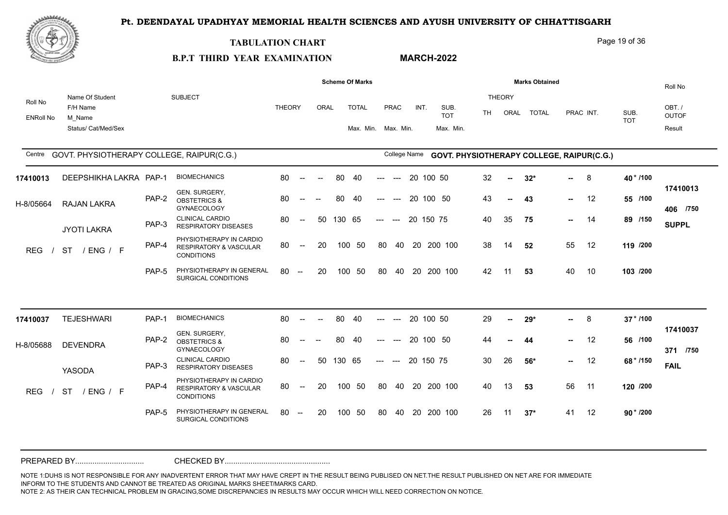

#### **TABULATION CHART**

**B.P.T THIRD YEAR EXAMINATION** 

### **MARCH-2022**

Page 19 of 36

|                             |                                                              |       |                                                                                   |               |                                                |                          |        | <b>Scheme Of Marks</b>              |                                     |             |              |                                           |    |                       | <b>Marks Obtained</b> |        |           |                    | Roll No                         |
|-----------------------------|--------------------------------------------------------------|-------|-----------------------------------------------------------------------------------|---------------|------------------------------------------------|--------------------------|--------|-------------------------------------|-------------------------------------|-------------|--------------|-------------------------------------------|----|-----------------------|-----------------------|--------|-----------|--------------------|---------------------------------|
| Roll No<br><b>ENRoll No</b> | Name Of Student<br>F/H Name<br>M Name<br>Status/ Cat/Med/Sex |       | <b>SUBJECT</b>                                                                    | <b>THEORY</b> |                                                | <b>ORAL</b>              |        | <b>TOTAL</b><br>Max. Min. Max. Min. |                                     | <b>PRAC</b> | INT.         | SUB.<br><b>TOT</b><br>Max. Min.           | TH | <b>THEORY</b><br>ORAL | <b>TOTAL</b>          |        | PRAC INT. | SUB.<br><b>TOT</b> | OBT./<br><b>OUTOF</b><br>Result |
| Centre                      | GOVT. PHYSIOTHERAPY COLLEGE, RAIPUR(C.G.)                    |       |                                                                                   |               |                                                |                          |        |                                     |                                     |             | College Name | GOVT. PHYSIOTHERAPY COLLEGE, RAIPUR(C.G.) |    |                       |                       |        |           |                    |                                 |
| 17410013                    | DEEPSHIKHA LAKRA PAP-1                                       |       | <b>BIOMECHANICS</b>                                                               | 80            | $\sim$                                         | $\overline{\phantom{a}}$ | 80     | 40                                  | $---$                               | $--$        | 20 100 50    |                                           | 32 | $\sim$                | $32*$                 | $\sim$ | 8         | 40 * /100          |                                 |
| H-8/05664                   | <b>RAJAN LAKRA</b>                                           | PAP-2 | GEN. SURGERY,<br><b>OBSTETRICS &amp;</b><br><b>GYNAECOLOGY</b>                    | 80            | $\overline{\phantom{a}}$                       | $\overline{\phantom{a}}$ | 80     | 40                                  | $---$                               | $---$       | 20 100 50    |                                           | 43 | $\sim$                | 43                    | $\sim$ | 12        | 55 /100            | 17410013<br>406 /750            |
|                             | JYOTI LAKRA                                                  | PAP-3 | <b>CLINICAL CARDIO</b><br><b>RESPIRATORY DISEASES</b>                             | 80            | $\sim$                                         | 50                       | 130 65 |                                     | $\qquad \qquad - -$                 | $---$       | 20 150 75    |                                           | 40 | 35                    | 75                    | $\sim$ | -14       | 89 /150            | <b>SUPPL</b>                    |
| <b>REG</b>                  | <b>ST</b><br>/ ENG / F                                       | PAP-4 | PHYSIOTHERAPY IN CARDIO<br><b>RESPIRATORY &amp; VASCULAR</b><br><b>CONDITIONS</b> | 80            | $\sim$                                         | 20                       | 100    | - 50                                | 80                                  | 40          |              | 20 200 100                                | 38 | 14                    | 52                    | 55     | 12        | 119 /200           |                                 |
|                             |                                                              | PAP-5 | PHYSIOTHERAPY IN GENERAL<br>SURGICAL CONDITIONS                                   | 80            | $\hspace{0.1mm}-\hspace{0.1mm}-\hspace{0.1mm}$ | 20                       | 100    | 50                                  | -80                                 | 40          |              | 20 200 100                                | 42 | 11                    | 53                    | 40     | 10        | 103 /200           |                                 |
|                             |                                                              |       |                                                                                   |               |                                                |                          |        |                                     |                                     |             |              |                                           |    |                       |                       |        |           |                    |                                 |
| 17410037                    | <b>TEJESHWARI</b>                                            | PAP-1 | <b>BIOMECHANICS</b>                                                               | 80            | $\sim$                                         | $\overline{\phantom{a}}$ | 80     | 40                                  | $\hspace{0.05cm}---\hspace{0.05cm}$ | $---$       | 20 100 50    |                                           | 29 | н.                    | $29*$                 | н.,    | 8         | 37 * /100          |                                 |
| H-8/05688                   | <b>DEVENDRA</b>                                              | PAP-2 | GEN. SURGERY,<br><b>OBSTETRICS &amp;</b><br>GYNAECOLOGY                           | 80            |                                                |                          | 80     | 40                                  |                                     |             | 20 100 50    |                                           | 44 | --                    | 44                    | $\sim$ | 12        | 56 /100            | 17410037<br>371 /750            |
|                             | YASODA                                                       | PAP-3 | CLINICAL CARDIO<br><b>RESPIRATORY DISEASES</b>                                    | 80            | $\overline{\phantom{a}}$                       | 50                       | 130 65 |                                     | $---$                               | $---$       | 20 150 75    |                                           | 30 | 26                    | $56*$                 | $\sim$ | 12        | 68 * /150          | <b>FAIL</b>                     |
| <b>REG</b>                  | <b>ST</b><br>/ENG / F                                        | PAP-4 | PHYSIOTHERAPY IN CARDIO<br><b>RESPIRATORY &amp; VASCULAR</b><br><b>CONDITIONS</b> | 80            | $\sim$                                         | 20                       |        | 100 50                              | 80                                  |             |              | 40 20 200 100                             | 40 | 13                    | 53                    | 56     | 11        | 120 /200           |                                 |
|                             |                                                              | PAP-5 | PHYSIOTHERAPY IN GENERAL<br>SURGICAL CONDITIONS                                   | 80            | $-$                                            | 20                       | 100    | - 50                                | 80                                  | 40          |              | 20 200 100                                | 26 | 11                    | $37*$                 | 41     | 12        | $90 * 7200$        |                                 |
|                             |                                                              |       |                                                                                   |               |                                                |                          |        |                                     |                                     |             |              |                                           |    |                       |                       |        |           |                    |                                 |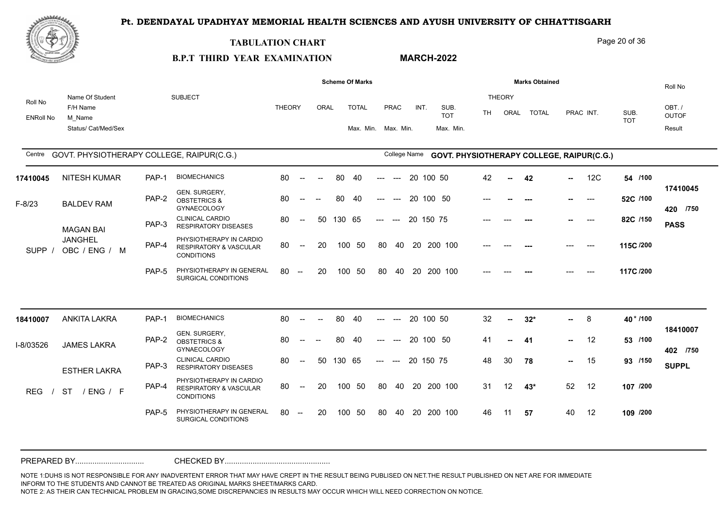

#### **TABULATION CHART**

**B.P.T THIRD YEAR EXAMINATION** 

# **MARCH-2022**

Page 20 of 36

|                             |                                           |       |                                                                                   |               |                                                |        |        | <b>Scheme Of Marks</b> |                     |                                        |                     |        |                    |           |                | <b>Marks Obtained</b>                            |        |           |            | Roll No                |
|-----------------------------|-------------------------------------------|-------|-----------------------------------------------------------------------------------|---------------|------------------------------------------------|--------|--------|------------------------|---------------------|----------------------------------------|---------------------|--------|--------------------|-----------|----------------|--------------------------------------------------|--------|-----------|------------|------------------------|
| Roll No<br><b>ENRoll No</b> | Name Of Student<br>F/H Name<br>M Name     |       | <b>SUBJECT</b>                                                                    | <b>THEORY</b> |                                                | ORAL   |        | <b>TOTAL</b>           |                     | <b>PRAC</b>                            | INT.                |        | SUB.<br><b>TOT</b> | <b>TH</b> | THEORY<br>ORAL | <b>TOTAL</b>                                     |        | PRAC INT. | SUB.       | OBT. /<br><b>OUTOF</b> |
|                             | Status/ Cat/Med/Sex                       |       |                                                                                   |               |                                                |        |        | Max. Min. Max. Min.    |                     |                                        |                     |        | Max. Min.          |           |                |                                                  |        |           | <b>TOT</b> | Result                 |
| Centre                      | GOVT. PHYSIOTHERAPY COLLEGE, RAIPUR(C.G.) |       |                                                                                   |               |                                                |        |        |                        |                     |                                        | <b>College Name</b> |        |                    |           |                | <b>GOVT. PHYSIOTHERAPY COLLEGE, RAIPUR(C.G.)</b> |        |           |            |                        |
| 17410045                    | <b>NITESH KUMAR</b>                       | PAP-1 | <b>BIOMECHANICS</b>                                                               | 80            | $\sim$                                         | $\sim$ | 80     | 40                     | ---                 | $\hspace{0.1em} \ldots \hspace{0.1em}$ | 20 100 50           |        |                    | 42        | $\sim$         | 42                                               | $\sim$ | 12C       | 54 /100    |                        |
| $F-8/23$                    | <b>BALDEV RAM</b>                         | PAP-2 | GEN. SURGERY,<br><b>OBSTETRICS &amp;</b><br><b>GYNAECOLOGY</b>                    | 80            | $\hspace{0.05cm}$ – $\hspace{0.05cm}$          | $-$    | 80     | 40                     | ---                 | $---$                                  | 20                  | 100 50 |                    |           |                | $---$                                            |        | $---$     | 52C /100   | 17410045<br>420 /750   |
|                             | <b>MAGAN BAI</b>                          | PAP-3 | <b>CLINICAL CARDIO</b><br><b>RESPIRATORY DISEASES</b>                             | 80            | $\sim$                                         | 50     | 130 65 |                        | $---$               | $---$                                  | 20 150 75           |        |                    |           |                |                                                  |        | $---$     | 82C /150   | <b>PASS</b>            |
| SUPP /                      | <b>JANGHEL</b><br>OBC / ENG / M           | PAP-4 | PHYSIOTHERAPY IN CARDIO<br><b>RESPIRATORY &amp; VASCULAR</b><br><b>CONDITIONS</b> | 80            | $\sim$                                         | 20     |        | 100 50                 | 80                  | 40                                     | 20 200 100          |        |                    |           |                |                                                  |        | $---$     | 115C /200  |                        |
|                             |                                           | PAP-5 | PHYSIOTHERAPY IN GENERAL<br>SURGICAL CONDITIONS                                   | 80            | $\sim$                                         | 20     |        | 100 50                 | -80                 | 40                                     | 20 200 100          |        |                    |           |                |                                                  |        | $---$     | 117C /200  |                        |
|                             |                                           |       |                                                                                   |               |                                                |        |        |                        |                     |                                        |                     |        |                    |           |                |                                                  |        |           |            |                        |
| 18410007                    | <b>ANKITA LAKRA</b>                       | PAP-1 | <b>BIOMECHANICS</b>                                                               | 80            | $\sim$                                         | $\sim$ | 80     | 40                     | ---                 | $---$                                  | 20 100 50           |        |                    | 32        | $\sim$         | $32*$                                            | н.,    | 8         | 40 * /100  | 18410007               |
| I-8/03526                   | <b>JAMES LAKRA</b>                        | PAP-2 | GEN. SURGERY,<br><b>OBSTETRICS &amp;</b><br><b>GYNAECOLOGY</b>                    | 80            |                                                |        | 80     | 40                     |                     |                                        | 20 100 50           |        |                    | 41        | $\sim$         | 41                                               | н.,    | 12        | 53 /100    | 402 /750               |
|                             | <b>ESTHER LAKRA</b>                       | PAP-3 | <b>CLINICAL CARDIO</b><br><b>RESPIRATORY DISEASES</b>                             | 80            | $\sim$                                         | 50     | 130 65 |                        | $\qquad \qquad - -$ | $\sim$                                 | 20 150 75           |        |                    | 48        | 30             | 78                                               | н.,    | 15        | 93 /150    | <b>SUPPL</b>           |
| <b>REG</b>                  | <b>ST</b><br>/ ENG / F                    | PAP-4 | PHYSIOTHERAPY IN CARDIO<br><b>RESPIRATORY &amp; VASCULAR</b><br><b>CONDITIONS</b> | 80            | $\sim$                                         | 20     |        | 100 50                 | 80                  |                                        | 40 20 200 100       |        |                    | 31        | 12             | $43*$                                            | 52     | 12        | 107 /200   |                        |
|                             |                                           | PAP-5 | PHYSIOTHERAPY IN GENERAL<br>SURGICAL CONDITIONS                                   | 80            | $\hspace{0.1mm}-\hspace{0.1mm}-\hspace{0.1mm}$ | 20     |        | 100 50                 | 80                  | 40                                     | 20 200 100          |        |                    | 46        | 11             | 57                                               | 40     | 12        | 109 /200   |                        |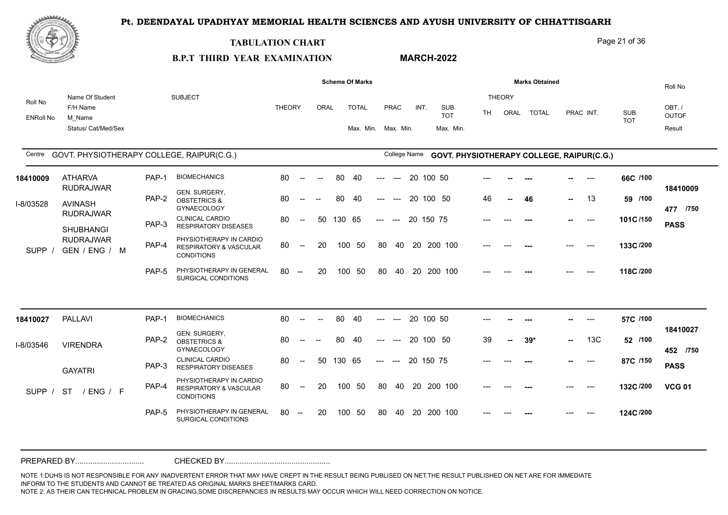

#### **TABULATION CHART**

#### Page 21 of 36

#### **B.P.T THIRD YEAR EXAMINATION MARCH-2022**

|                             |                                                              |       |                                                                                   |               |                                                |                          |        | <b>Scheme Of Marks</b>              |       |                                        |           |                                           |       |                       | <b>Marks Obtained</b> |     |           |                    | Roll No                         |
|-----------------------------|--------------------------------------------------------------|-------|-----------------------------------------------------------------------------------|---------------|------------------------------------------------|--------------------------|--------|-------------------------------------|-------|----------------------------------------|-----------|-------------------------------------------|-------|-----------------------|-----------------------|-----|-----------|--------------------|---------------------------------|
| Roll No<br><b>ENRoll No</b> | Name Of Student<br>F/H Name<br>M Name<br>Status/ Cat/Med/Sex |       | <b>SUBJECT</b>                                                                    | <b>THEORY</b> |                                                | ORAL                     |        | <b>TOTAL</b><br>Max. Min. Max. Min. |       | PRAC                                   | INT.      | SUB.<br><b>TOT</b><br>Max. Min.           | TH.   | <b>THEORY</b><br>ORAL | <b>TOTAL</b>          |     | PRAC INT. | SUB.<br><b>TOT</b> | OBT./<br><b>OUTOF</b><br>Result |
| Centre                      | GOVT. PHYSIOTHERAPY COLLEGE, RAIPUR(C.G.)                    |       |                                                                                   |               |                                                |                          |        |                                     |       | College Name                           |           | GOVT. PHYSIOTHERAPY COLLEGE, RAIPUR(C.G.) |       |                       |                       |     |           |                    |                                 |
| 18410009                    | <b>ATHARVA</b>                                               | PAP-1 | <b>BIOMECHANICS</b>                                                               | 80            | $\sim$                                         | $\sim$                   | 80     | 40                                  | ---   | $---$                                  | 20 100 50 |                                           |       |                       |                       |     | ---       | 66C /100           |                                 |
| I-8/03528                   | <b>RUDRAJWAR</b><br><b>AVINASH</b>                           | PAP-2 | GEN. SURGERY,<br><b>OBSTETRICS &amp;</b><br><b>GYNAECOLOGY</b>                    | 80            | $\overline{\phantom{a}}$                       |                          | 80     | 40                                  | ---   | $---$                                  | 20 100 50 |                                           | 46    | --                    | 46                    | н., | 13        | 59 /100            | 18410009<br>477 /750            |
|                             | <b>RUDRAJWAR</b><br><b>SHUBHANGI</b>                         | PAP-3 | <b>CLINICAL CARDIO</b><br><b>RESPIRATORY DISEASES</b>                             | 80            | $\overline{\phantom{a}}$                       | 50                       | 130 65 |                                     | $---$ | $\hspace{0.05cm}$ ---                  | 20 150 75 |                                           |       |                       |                       | --  | $---$     | 101C/150           | <b>PASS</b>                     |
| <b>SUPP</b>                 | <b>RUDRAJWAR</b><br>GEN / ENG / M                            | PAP-4 | PHYSIOTHERAPY IN CARDIO<br><b>RESPIRATORY &amp; VASCULAR</b><br><b>CONDITIONS</b> | 80            | $--$                                           | 20                       |        | 100 50                              | 80    | 40                                     |           | 20 200 100                                |       |                       |                       |     | $---$     | 133C/200           |                                 |
|                             |                                                              | PAP-5 | PHYSIOTHERAPY IN GENERAL<br>SURGICAL CONDITIONS                                   | 80            | $\sim$                                         | 20                       | 100    | 50                                  | 80    | 40                                     |           | 20 200 100                                |       |                       |                       |     |           | 118C /200          |                                 |
| 18410027                    | <b>PALLAVI</b>                                               | PAP-1 | <b>BIOMECHANICS</b>                                                               | 80            | $\sim$                                         | $\overline{\phantom{a}}$ | 80     | 40                                  | ---   | $---$                                  | 20 100 50 |                                           |       |                       | ---                   |     | $---$     | 57C /100           |                                 |
| I-8/03546                   | <b>VIRENDRA</b>                                              | PAP-2 | GEN. SURGERY,<br><b>OBSTETRICS &amp;</b><br><b>GYNAECOLOGY</b>                    | 80            |                                                |                          | 80     | 40                                  |       | $---$                                  | 20 100 50 |                                           | 39    |                       | $39*$                 | н.  | 13C       | 52 /100            | 18410027<br>452 /750            |
|                             | <b>GAYATRI</b>                                               | PAP-3 | <b>CLINICAL CARDIO</b><br><b>RESPIRATORY DISEASES</b>                             | 80            | $\overline{\phantom{a}}$                       | 50                       | 130 65 |                                     | $---$ | $\hspace{0.1em} \ldots \hspace{0.1em}$ | 20 150 75 |                                           |       |                       | ---                   |     | $---$     | 87C /150           | <b>PASS</b>                     |
| SUPP /                      | <b>ST</b><br>/ENG / F                                        | PAP-4 | PHYSIOTHERAPY IN CARDIO<br><b>RESPIRATORY &amp; VASCULAR</b><br><b>CONDITIONS</b> | 80            | $--$                                           | 20                       | 100    | 50                                  | 80    | 40                                     |           | 20 200 100                                | $---$ |                       |                       | --- | $---$     | 132C/200           | <b>VCG 01</b>                   |
|                             |                                                              | PAP-5 | PHYSIOTHERAPY IN GENERAL<br>SURGICAL CONDITIONS                                   | 80            | $\hspace{0.1mm}-\hspace{0.1mm}-\hspace{0.1mm}$ | 20                       |        | 100 50                              | 80    | 40                                     |           | 20 200 100                                |       |                       |                       |     | $---$     | 124C/200           |                                 |
|                             |                                                              |       |                                                                                   |               |                                                |                          |        |                                     |       |                                        |           |                                           |       |                       |                       |     |           |                    |                                 |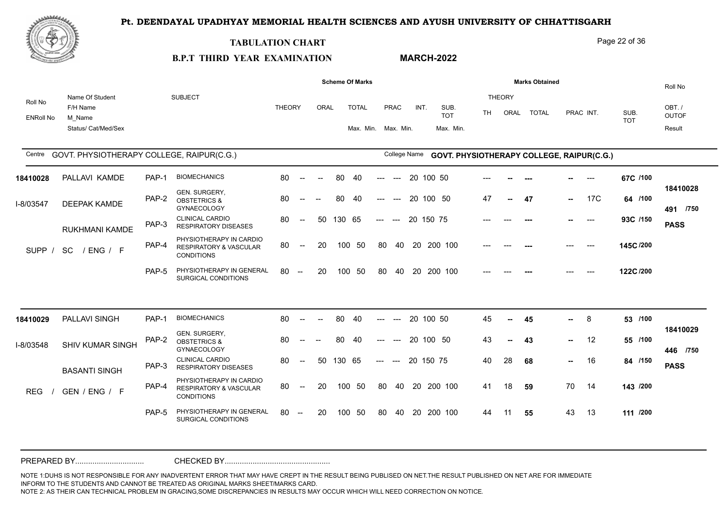

#### **TABULATION CHART**

#### Page 22 of 36

#### **B.P.T THIRD YEAR EXAMINATION MARCH-2022**

|                             |                                                              |       |                                                                                   |               |                          |      |        | <b>Scheme Of Marks</b>              |       |                                        |    |           |                                                  |       |                       | <b>Marks Obtained</b> |        |           |                    | Roll No                         |
|-----------------------------|--------------------------------------------------------------|-------|-----------------------------------------------------------------------------------|---------------|--------------------------|------|--------|-------------------------------------|-------|----------------------------------------|----|-----------|--------------------------------------------------|-------|-----------------------|-----------------------|--------|-----------|--------------------|---------------------------------|
| Roll No<br><b>ENRoll No</b> | Name Of Student<br>F/H Name<br>M Name<br>Status/ Cat/Med/Sex |       | <b>SUBJECT</b>                                                                    | <b>THEORY</b> |                          | ORAL |        | <b>TOTAL</b><br>Max. Min. Max. Min. |       | PRAC                                   |    | INT.      | SUB.<br><b>TOT</b><br>Max. Min.                  | TH.   | <b>THEORY</b><br>ORAL | <b>TOTAL</b>          |        | PRAC INT. | SUB.<br><b>TOT</b> | OBT./<br><b>OUTOF</b><br>Result |
| Centre                      | GOVT. PHYSIOTHERAPY COLLEGE, RAIPUR(C.G.)                    |       |                                                                                   |               |                          |      |        |                                     |       | College Name                           |    |           | <b>GOVT. PHYSIOTHERAPY COLLEGE, RAIPUR(C.G.)</b> |       |                       |                       |        |           |                    |                                 |
| 18410028                    | PALLAVI KAMDE                                                | PAP-1 | <b>BIOMECHANICS</b>                                                               | 80            | $\overline{\phantom{a}}$ |      | 80     | 40                                  |       |                                        |    | 20 100 50 |                                                  |       |                       |                       |        | $---$     | 67C /100           |                                 |
| I-8/03547                   | DEEPAK KAMDE                                                 | PAP-2 | GEN. SURGERY,<br><b>OBSTETRICS &amp;</b><br><b>GYNAECOLOGY</b>                    | 80            |                          |      | 80     | -40                                 |       | $---$                                  |    |           | 20 100 50                                        | 47    | ⊷.                    | 47                    | -- 1   | 17C       | 64 /100            | 18410028<br>491 /750            |
|                             | <b>RUKHMANI KAMDE</b>                                        | PAP-3 | <b>CLINICAL CARDIO</b><br><b>RESPIRATORY DISEASES</b>                             | 80            | $---$                    | -50  | 130 65 |                                     | $---$ | $---$                                  |    | 20 150 75 |                                                  |       |                       |                       |        | $---$     | 93C /150           | <b>PASS</b>                     |
| SUPP /                      | <b>SC</b><br>/ENG / F                                        | PAP-4 | PHYSIOTHERAPY IN CARDIO<br>RESPIRATORY & VASCULAR<br><b>CONDITIONS</b>            | 80            | $\sim$                   | 20   |        | 100 50                              | 80    | 40                                     |    |           | 20 200 100                                       | $---$ |                       |                       | ---    | $---$     | 145C /200          |                                 |
|                             |                                                              | PAP-5 | PHYSIOTHERAPY IN GENERAL<br>SURGICAL CONDITIONS                                   | 80            | $\sim$                   | 20   |        | 100 50                              | 80    | 40                                     |    |           | 20 200 100                                       |       |                       |                       |        |           | 122C/200           |                                 |
|                             |                                                              |       |                                                                                   |               |                          |      |        |                                     |       |                                        |    |           |                                                  |       |                       |                       |        |           |                    |                                 |
| 18410029                    | PALLAVI SINGH                                                | PAP-1 | <b>BIOMECHANICS</b>                                                               | 80            | $--$                     |      | 80     | 40                                  |       |                                        |    | 20 100 50 |                                                  | 45    | --                    | 45                    | --     | 8         | 53 /100            |                                 |
| I-8/03548                   | SHIV KUMAR SINGH                                             | PAP-2 | GEN. SURGERY,<br><b>OBSTETRICS &amp;</b><br><b>GYNAECOLOGY</b>                    | 80            |                          |      | 80     | 40                                  |       |                                        |    |           | 20 100 50                                        | 43    | ⊷.                    | 43                    | -- 1   | 12        | 55 /100            | 18410029<br>446 /750            |
|                             | <b>BASANTI SINGH</b>                                         | PAP-3 | <b>CLINICAL CARDIO</b><br><b>RESPIRATORY DISEASES</b>                             | 80            | $\overline{\phantom{a}}$ | 50   | 130 65 |                                     | $---$ | $\hspace{0.1em} \ldots \hspace{0.1em}$ |    | 20 150 75 |                                                  | 40    | 28                    | 68                    | $\sim$ | 16        | 84 /150            | <b>PASS</b>                     |
| <b>REG</b>                  | GEN / ENG / F                                                | PAP-4 | PHYSIOTHERAPY IN CARDIO<br><b>RESPIRATORY &amp; VASCULAR</b><br><b>CONDITIONS</b> | 80            | $--$                     | 20   |        | 100 50                              | 80    | 40                                     |    |           | 20 200 100                                       | 41    | 18                    | 59                    | 70     | 14        | 143 /200           |                                 |
|                             |                                                              | PAP-5 | PHYSIOTHERAPY IN GENERAL<br>SURGICAL CONDITIONS                                   | 80            | $\overline{\phantom{a}}$ | 20   | 100    | -50                                 | 80    | 40                                     | 20 |           | 200 100                                          | 44    | 11                    | 55                    | 43     | 13        | 111 /200           |                                 |
|                             |                                                              |       |                                                                                   |               |                          |      |        |                                     |       |                                        |    |           |                                                  |       |                       |                       |        |           |                    |                                 |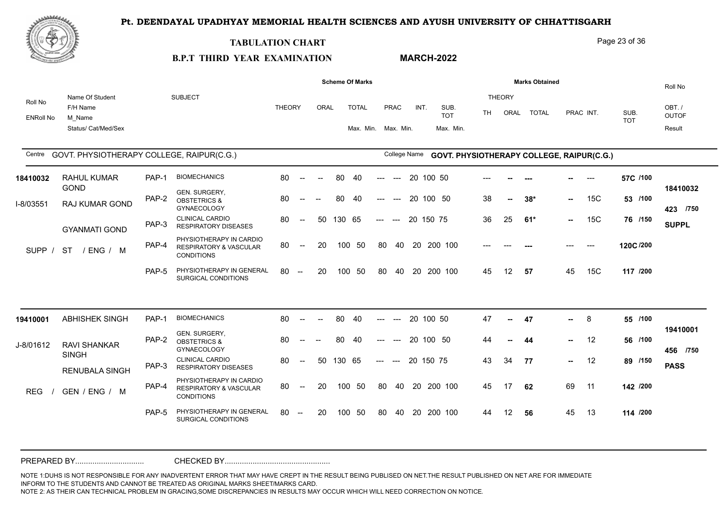

#### **TABULATION CHART**

**B.P.T THIRD YEAR EXAMINATION** 

## **MARCH-2022**

Page 23 of 36

| Roll No          |                                           |       |                                                                                   |               |                          |                          |        |                     |                     |                      |              |                                           |     |                |              |        |           |                    | Roll No              |
|------------------|-------------------------------------------|-------|-----------------------------------------------------------------------------------|---------------|--------------------------|--------------------------|--------|---------------------|---------------------|----------------------|--------------|-------------------------------------------|-----|----------------|--------------|--------|-----------|--------------------|----------------------|
|                  | Name Of Student<br>F/H Name               |       | <b>SUBJECT</b>                                                                    | <b>THEORY</b> |                          | ORAL                     |        | <b>TOTAL</b>        |                     | PRAC                 | INT.         | SUB.                                      |     | THEORY         |              |        |           |                    | OBT./                |
| <b>ENRoll No</b> | M Name                                    |       |                                                                                   |               |                          |                          |        |                     |                     |                      |              | <b>TOT</b>                                | TH. | ORAL           | <b>TOTAL</b> |        | PRAC INT. | SUB.<br><b>TOT</b> | <b>OUTOF</b>         |
|                  | Status/ Cat/Med/Sex                       |       |                                                                                   |               |                          |                          |        | Max. Min. Max. Min. |                     |                      |              | Max. Min.                                 |     |                |              |        |           |                    | Result               |
| Centre           | GOVT. PHYSIOTHERAPY COLLEGE, RAIPUR(C.G.) |       |                                                                                   |               |                          |                          |        |                     |                     |                      | College Name | GOVT. PHYSIOTHERAPY COLLEGE, RAIPUR(C.G.) |     |                |              |        |           |                    |                      |
| 18410032         | <b>RAHUL KUMAR</b><br><b>GOND</b>         | PAP-1 | <b>BIOMECHANICS</b>                                                               | 80            | $\sim$                   | $\overline{\phantom{a}}$ | 80     | 40                  | ---                 | $\hspace{0.05cm}---$ | 20 100 50    |                                           |     |                |              |        | $---$     | 57C /100           |                      |
| I-8/03551        | RAJ KUMAR GOND                            | PAP-2 | GEN. SURGERY,<br><b>OBSTETRICS &amp;</b><br><b>GYNAECOLOGY</b>                    | 80            |                          | $\sim$                   | 80     | 40                  | ---                 | $---$                |              | 20 100 50                                 | 38  | $\overline{a}$ | $38*$        | $\sim$ | 15C       | 53 /100            | 18410032<br>423 /750 |
|                  | <b>GYANMATI GOND</b>                      | PAP-3 | <b>CLINICAL CARDIO</b><br><b>RESPIRATORY DISEASES</b>                             | 80            | $--$                     | 50                       | 130 65 |                     | $\qquad \qquad - -$ | $---$                | 20 150 75    |                                           | 36  | 25             | $61*$        | $\sim$ | 15C       | 76 /150            | <b>SUPPL</b>         |
| SUPP /           | <b>ST</b><br>/ ENG / M                    | PAP-4 | PHYSIOTHERAPY IN CARDIO<br><b>RESPIRATORY &amp; VASCULAR</b><br><b>CONDITIONS</b> | 80            | $\overline{\phantom{a}}$ | 20                       | 100    | - 50                | 80                  | 40                   |              | 20 200 100                                |     |                | ---          |        | $---$     | 120C/200           |                      |
|                  |                                           | PAP-5 | PHYSIOTHERAPY IN GENERAL<br>SURGICAL CONDITIONS                                   | 80            | $\overline{\phantom{a}}$ | 20                       |        | 100 50              | 80                  | -40                  |              | 20 200 100                                | 45  | 12             | 57           | 45     | 15C       | 117 /200           |                      |
|                  |                                           |       |                                                                                   |               |                          |                          |        |                     |                     |                      |              |                                           |     |                |              |        |           |                    |                      |
| 19410001         | <b>ABHISHEK SINGH</b>                     | PAP-1 | <b>BIOMECHANICS</b>                                                               | 80            | $\sim$                   |                          | 80     | 40                  | $---$               | $---$                | 20 100 50    |                                           | 47  | ж.             | 47           | н.,    | - 8       | 55 /100            |                      |
| J-8/01612        | <b>RAVI SHANKAR</b>                       | PAP-2 | GEN. SURGERY,<br><b>OBSTETRICS &amp;</b><br><b>GYNAECOLOGY</b>                    | 80            |                          |                          | 80     | 40                  |                     |                      |              | 20 100 50                                 | 44  | $\mathbf{u}$   | 44           | -- 1   | 12        | 56 /100            | 19410001<br>456 /750 |
|                  | <b>SINGH</b><br><b>RENUBALA SINGH</b>     | PAP-3 | <b>CLINICAL CARDIO</b><br><b>RESPIRATORY DISEASES</b>                             | 80            | $\sim$                   | 50                       | 130 65 |                     | $---$               | $---$                | 20 150 75    |                                           | 43  | 34             | 77           | н.,    | 12        | 89 /150            | <b>PASS</b>          |
| <b>REG</b>       | GEN / ENG / M                             | PAP-4 | PHYSIOTHERAPY IN CARDIO<br><b>RESPIRATORY &amp; VASCULAR</b><br><b>CONDITIONS</b> | 80            | $\overline{\phantom{a}}$ | 20                       |        | 100 50              | 80                  |                      |              | 40 20 200 100                             | 45  | 17             | 62           | 69     | 11        | 142 /200           |                      |
|                  |                                           | PAP-5 | PHYSIOTHERAPY IN GENERAL<br>SURGICAL CONDITIONS                                   | 80            | $\overline{\phantom{a}}$ | 20                       |        | 100 50              | 80                  | -40                  |              | 20 200 100                                | 44  | 12             | 56           | 45     | 13        | 114 /200           |                      |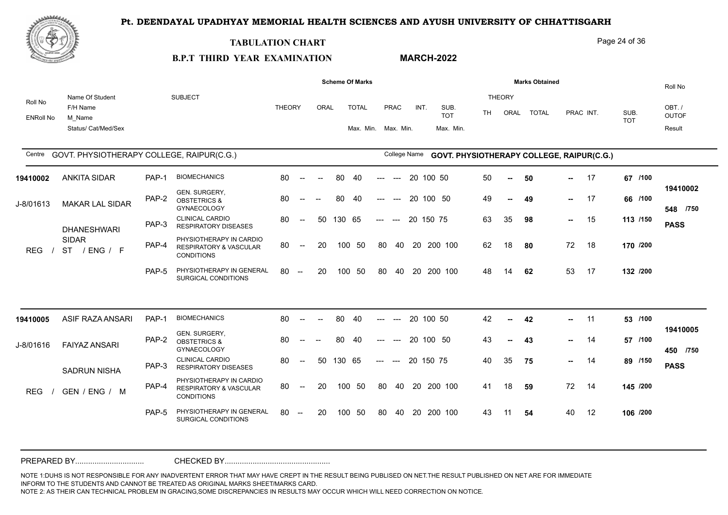**MARCH-2022**



#### **TABULATION CHART**

#### Page 24 of 36

# **B.P.T THIRD YEAR EXAMINATION**

|                             |                                                              |       |                                                                                   |               |                                                |      |        | <b>Scheme Of Marks</b>              |       |              |           |           |                                           |           |                       | <b>Marks Obtained</b> |        |           |                    | Roll No                         |
|-----------------------------|--------------------------------------------------------------|-------|-----------------------------------------------------------------------------------|---------------|------------------------------------------------|------|--------|-------------------------------------|-------|--------------|-----------|-----------|-------------------------------------------|-----------|-----------------------|-----------------------|--------|-----------|--------------------|---------------------------------|
| Roll No<br><b>ENRoll No</b> | Name Of Student<br>F/H Name<br>M Name<br>Status/ Cat/Med/Sex |       | <b>SUBJECT</b>                                                                    | <b>THEORY</b> |                                                | ORAL |        | <b>TOTAL</b><br>Max. Min. Max. Min. |       | PRAC         | INT.      |           | SUB.<br><b>TOT</b><br>Max. Min.           | <b>TH</b> | <b>THEORY</b><br>ORAL | <b>TOTAL</b>          |        | PRAC INT. | SUB.<br><b>TOT</b> | OBT./<br><b>OUTOF</b><br>Result |
|                             |                                                              |       |                                                                                   |               |                                                |      |        |                                     |       |              |           |           |                                           |           |                       |                       |        |           |                    |                                 |
|                             | Centre GOVT. PHYSIOTHERAPY COLLEGE, RAIPUR(C.G.)             |       |                                                                                   |               |                                                |      |        |                                     |       | College Name |           |           | GOVT. PHYSIOTHERAPY COLLEGE, RAIPUR(C.G.) |           |                       |                       |        |           |                    |                                 |
| 19410002                    | <b>ANKITA SIDAR</b>                                          | PAP-1 | <b>BIOMECHANICS</b>                                                               | 80            | $\sim$                                         |      | 80     | 40                                  | ---   | $---$        |           | 20 100 50 |                                           | 50        |                       | 50                    |        | 17        | 67 /100            |                                 |
| J-8/01613                   | <b>MAKAR LAL SIDAR</b>                                       | PAP-2 | GEN. SURGERY,<br><b>OBSTETRICS &amp;</b><br><b>GYNAECOLOGY</b>                    | 80            |                                                |      | 80     | 40                                  | ---   | $---$        | 20 100 50 |           |                                           | 49        | $\sim$                | 49                    |        | $- 17$    | 66 /100            | 19410002<br>548 /750            |
|                             | <b>DHANESHWARI</b>                                           | PAP-3 | <b>CLINICAL CARDIO</b><br><b>RESPIRATORY DISEASES</b>                             | 80            | $\overline{\phantom{a}}$                       | 50   | 130 65 |                                     | $---$ | $\sim$       | 20 150 75 |           |                                           | 63        | 35                    | 98                    | $\sim$ | 15        | 113 /150           | <b>PASS</b>                     |
| <b>REG</b>                  | <b>SIDAR</b><br>ST / ENG / F                                 | PAP-4 | PHYSIOTHERAPY IN CARDIO<br><b>RESPIRATORY &amp; VASCULAR</b><br><b>CONDITIONS</b> | 80            | $--$                                           | 20   |        | 100 50                              | 80    | 40           |           |           | 20 200 100                                | 62        | 18                    | 80                    | 72     | 18        | 170 /200           |                                 |
|                             |                                                              | PAP-5 | PHYSIOTHERAPY IN GENERAL<br>SURGICAL CONDITIONS                                   | 80            | $\sim$                                         | 20   | 100    | 50                                  | 80    | 40           | 20        |           | 200 100                                   | 48        | 14                    | 62                    | 53     | 17        | 132 /200           |                                 |
|                             |                                                              |       |                                                                                   |               |                                                |      |        |                                     |       |              |           |           |                                           |           |                       |                       |        |           |                    |                                 |
| 19410005                    | ASIF RAZA ANSARI                                             | PAP-1 | <b>BIOMECHANICS</b>                                                               | 80            | $\overline{\phantom{a}}$                       |      | 80     | 40                                  |       |              |           | 20 100 50 |                                           | 42        | --                    | 42                    | -- 1   | 11        | 53 /100            |                                 |
| J-8/01616                   | <b>FAIYAZ ANSARI</b>                                         | PAP-2 | GEN. SURGERY,<br><b>OBSTETRICS &amp;</b><br><b>GYNAECOLOGY</b>                    | 80            |                                                |      | 80     | 40                                  |       |              | 20 100 50 |           |                                           | 43        | ⊷.                    | 43                    | н.,    | 14        | 57 /100            | 19410005<br>450 /750            |
|                             | <b>SADRUN NISHA</b>                                          | PAP-3 | <b>CLINICAL CARDIO</b><br><b>RESPIRATORY DISEASES</b>                             | 80            | $\overline{\phantom{a}}$                       | 50   | 130 65 |                                     | $---$ | $---$        | 20 150 75 |           |                                           | 40        | 35                    | 75                    | -- 1   | 14        | 89 /150            | <b>PASS</b>                     |
| <b>REG</b>                  | GEN / ENG / M                                                | PAP-4 | PHYSIOTHERAPY IN CARDIO<br><b>RESPIRATORY &amp; VASCULAR</b><br><b>CONDITIONS</b> | 80            | $--$                                           | 20   |        | 100 50                              | 80    | 40           |           |           | 20 200 100                                | 41        | 18                    | 59                    | 72     | 14        | 145 /200           |                                 |
|                             |                                                              | PAP-5 | PHYSIOTHERAPY IN GENERAL<br>SURGICAL CONDITIONS                                   | 80            | $\hspace{0.1mm}-\hspace{0.1mm}-\hspace{0.1mm}$ | 20   |        | 100 50                              | 80    | 40           |           |           | 20 200 100                                | 43        | 11                    | 54                    | 40     | 12        | 106 /200           |                                 |
|                             |                                                              |       |                                                                                   |               |                                                |      |        |                                     |       |              |           |           |                                           |           |                       |                       |        |           |                    |                                 |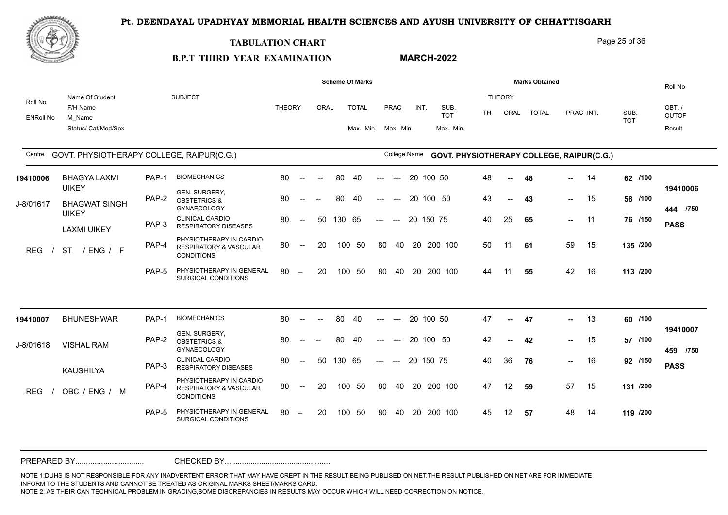

#### **TABULATION CHART**

**B.P.T THIRD YEAR EXAMINATION** 

### **MARCH-2022**

Page 25 of 36

|                  |                                                  |       |                                                                                   |               |                                                |                          |        | <b>Scheme Of Marks</b> |                           |               |              |            |           |    |              | <b>Marks Obtained</b>                     |        |           |                    |          | Roll No              |
|------------------|--------------------------------------------------|-------|-----------------------------------------------------------------------------------|---------------|------------------------------------------------|--------------------------|--------|------------------------|---------------------------|---------------|--------------|------------|-----------|----|--------------|-------------------------------------------|--------|-----------|--------------------|----------|----------------------|
| Roll No          | Name Of Student<br>F/H Name                      |       | <b>SUBJECT</b>                                                                    | <b>THEORY</b> |                                                | ORAL                     |        | <b>TOTAL</b>           |                           | PRAC          | INT.         | SUB.       |           |    | THEORY       |                                           |        |           |                    |          | OBT./                |
| <b>ENRoll No</b> | M_Name                                           |       |                                                                                   |               |                                                |                          |        |                        |                           |               |              | <b>TOT</b> |           | TH | ORAL         | <b>TOTAL</b>                              |        | PRAC INT. | SUB.<br><b>TOT</b> |          | <b>OUTOF</b>         |
|                  | Status/ Cat/Med/Sex                              |       |                                                                                   |               |                                                |                          |        | Max. Min. Max. Min.    |                           |               |              |            | Max. Min. |    |              |                                           |        |           |                    |          | Result               |
|                  | Centre GOVT. PHYSIOTHERAPY COLLEGE, RAIPUR(C.G.) |       |                                                                                   |               |                                                |                          |        |                        |                           |               | College Name |            |           |    |              | GOVT. PHYSIOTHERAPY COLLEGE, RAIPUR(C.G.) |        |           |                    |          |                      |
| 19410006         | <b>BHAGYA LAXMI</b><br><b>UIKEY</b>              | PAP-1 | <b>BIOMECHANICS</b>                                                               | 80            | $\sim$                                         | $\overline{\phantom{a}}$ | 80     | 40                     | ---                       | $---$         |              | 20 100 50  |           | 48 | $\sim$       | 48                                        | н.,    | 14        |                    | 62 /100  | 19410006             |
| J-8/01617        | <b>BHAGWAT SINGH</b><br><b>UIKEY</b>             | PAP-2 | <b>GEN. SURGERY.</b><br><b>OBSTETRICS &amp;</b><br>GYNAECOLOGY                    | 80            |                                                | $\overline{\phantom{a}}$ | 80     | -40                    |                           | $---$         |              | 20 100 50  |           | 43 | $\mathbf{u}$ | 43                                        | н.,    | 15        |                    | 58 /100  | 444 /750             |
|                  | <b>LAXMI UIKEY</b>                               | PAP-3 | <b>CLINICAL CARDIO</b><br><b>RESPIRATORY DISEASES</b>                             | 80            | $\overline{\phantom{a}}$                       | 50                       | 130 65 |                        | $---$                     | $---$         |              | 20 150 75  |           | 40 | 25           | 65                                        |        | $- 11$    |                    | 76 /150  | <b>PASS</b>          |
| <b>REG</b>       | <b>ST</b><br>/ ENG / F                           | PAP-4 | PHYSIOTHERAPY IN CARDIO<br><b>RESPIRATORY &amp; VASCULAR</b><br><b>CONDITIONS</b> | 80            | $\sim$                                         | 20                       |        | 100 50                 | 80                        | 40            |              | 20 200 100 |           | 50 | 11           | 61                                        | 59     | 15        |                    | 135 /200 |                      |
|                  |                                                  | PAP-5 | PHYSIOTHERAPY IN GENERAL<br>SURGICAL CONDITIONS                                   | 80            | $\sim$                                         | 20                       |        | 100 50                 | 80                        | 40            |              | 20 200 100 |           | 44 | 11           | 55                                        | 42     | 16        |                    | 113 /200 |                      |
|                  |                                                  |       |                                                                                   |               |                                                |                          |        |                        |                           |               |              |            |           |    |              |                                           |        |           |                    |          |                      |
| 19410007         | <b>BHUNESHWAR</b>                                | PAP-1 | <b>BIOMECHANICS</b>                                                               | 80            | $\sim$                                         | $\sim$                   | 80     | 40                     | $\qquad \qquad -\qquad -$ | $\sim$ $\sim$ |              | 20 100 50  |           | 47 | ж.,          | 47                                        | ш.     | 13        |                    | 60 /100  |                      |
| J-8/01618        | <b>VISHAL RAM</b>                                | PAP-2 | GEN. SURGERY,<br><b>OBSTETRICS &amp;</b><br>GYNAECOLOGY                           | 80            | $\overline{\phantom{a}}$                       | $\overline{\phantom{a}}$ | 80     | 40                     | $---$                     |               |              | 20 100 50  |           | 42 | $\sim$       | 42                                        | $\sim$ | 15        |                    | 57 /100  | 19410007<br>459 /750 |
|                  | KAUSHILYA                                        | PAP-3 | <b>CLINICAL CARDIO</b><br><b>RESPIRATORY DISEASES</b>                             | 80            | $\sim$                                         | 50                       | 130 65 |                        | $---$                     | $---$         |              | 20 150 75  |           | 40 | 36           | 76                                        | н.,    | 16        |                    | 92 /150  | <b>PASS</b>          |
| <b>REG</b>       | OBC / ENG / M                                    | PAP-4 | PHYSIOTHERAPY IN CARDIO<br><b>RESPIRATORY &amp; VASCULAR</b><br><b>CONDITIONS</b> | 80            | $\overline{\phantom{a}}$                       | 20                       |        | 100 50                 | 80                        | 40            |              | 20 200 100 |           | 47 | 12           | 59                                        | 57     | 15        |                    | 131 /200 |                      |
|                  |                                                  | PAP-5 | PHYSIOTHERAPY IN GENERAL<br>SURGICAL CONDITIONS                                   | 80            | $\hspace{0.1mm}-\hspace{0.1mm}-\hspace{0.1mm}$ | 20                       |        | 100 50                 | 80                        | - 40          |              | 20 200 100 |           | 45 | 12           | 57                                        | 48     | - 14      |                    | 119 /200 |                      |
|                  |                                                  |       |                                                                                   |               |                                                |                          |        |                        |                           |               |              |            |           |    |              |                                           |        |           |                    |          |                      |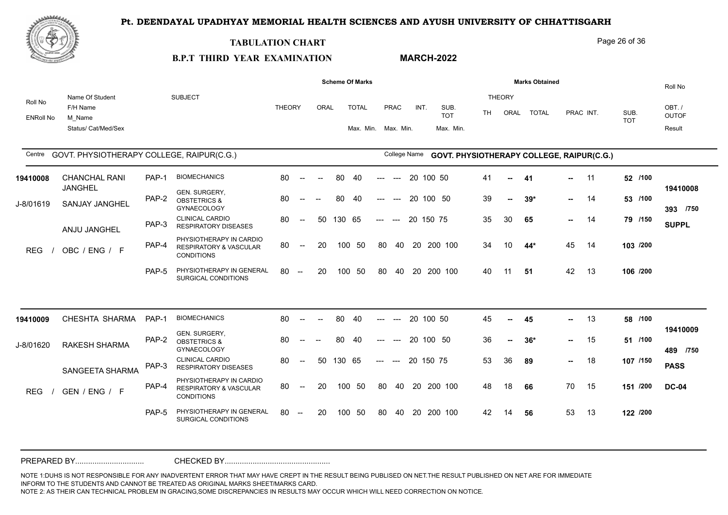

#### **TABULATION CHART**

**B.P.T THIRD YEAR EXAMINATION** 

# **MARCH-2022**

|                             |                                                              |       |                                                                                   |               |                          |                          |        | <b>Scheme Of Marks</b>    |       |                          |           |                                           |     |                | <b>Marks Obtained</b> |               |           |                    |          | Roll No                         |
|-----------------------------|--------------------------------------------------------------|-------|-----------------------------------------------------------------------------------|---------------|--------------------------|--------------------------|--------|---------------------------|-------|--------------------------|-----------|-------------------------------------------|-----|----------------|-----------------------|---------------|-----------|--------------------|----------|---------------------------------|
| Roll No<br><b>ENRoll No</b> | Name Of Student<br>F/H Name<br>M Name<br>Status/ Cat/Med/Sex |       | <b>SUBJECT</b>                                                                    | <b>THEORY</b> |                          | ORAL                     |        | <b>TOTAL</b><br>Max. Min. |       | <b>PRAC</b><br>Max. Min. | INT.      | SUB.<br><b>TOT</b><br>Max. Min.           | TH. | THEORY<br>ORAL | <b>TOTAL</b>          |               | PRAC INT. | SUB.<br><b>TOT</b> |          | OBT./<br><b>OUTOF</b><br>Result |
| Centre                      | GOVT. PHYSIOTHERAPY COLLEGE, RAIPUR(C.G.)                    |       |                                                                                   |               |                          |                          |        |                           |       | College Name             |           | GOVT. PHYSIOTHERAPY COLLEGE, RAIPUR(C.G.) |     |                |                       |               |           |                    |          |                                 |
| 19410008                    | <b>CHANCHAL RANI</b>                                         | PAP-1 | <b>BIOMECHANICS</b>                                                               | 80            | $\overline{\phantom{a}}$ | $\overline{\phantom{a}}$ | 80     | 40                        | $---$ | $---$                    | 20 100 50 |                                           | 41  | $\sim$         | -41                   | -- 1          | 11        |                    | 52 /100  |                                 |
| J-8/01619                   | <b>JANGHEL</b><br>SANJAY JANGHEL                             | PAP-2 | GEN. SURGERY,<br><b>OBSTETRICS &amp;</b><br><b>GYNAECOLOGY</b>                    | 80            |                          |                          | 80     | 40                        | $---$ | $---$                    | 20 100 50 |                                           | 39  | $\sim$         | $39*$                 | $\sim$        | 14        |                    | 53 /100  | 19410008<br>393 /750            |
|                             | ANJU JANGHEL                                                 | PAP-3 | <b>CLINICAL CARDIO</b><br><b>RESPIRATORY DISEASES</b>                             | 80            | $\overline{\phantom{a}}$ | 50                       | 130 65 |                           | $---$ | $---$                    | 20 150 75 |                                           | 35  | 30             | 65                    | $\sim$ $\sim$ | - 14      |                    | 79 /150  | <b>SUPPL</b>                    |
| <b>REG</b>                  | OBC / ENG / F                                                | PAP-4 | PHYSIOTHERAPY IN CARDIO<br><b>RESPIRATORY &amp; VASCULAR</b><br><b>CONDITIONS</b> | 80            | $\overline{\phantom{a}}$ | 20                       |        | 100 50                    | 80    |                          |           | 40 20 200 100                             | 34  | 10             | 44*                   | 45            | - 14      |                    | 103 /200 |                                 |
|                             |                                                              | PAP-5 | PHYSIOTHERAPY IN GENERAL<br>SURGICAL CONDITIONS                                   | 80            | $-$                      | 20                       | 100    | - 50                      | 80    | 40                       |           | 20 200 100                                | 40  | 11             | -51                   | 42            | - 13      |                    | 106 /200 |                                 |
|                             |                                                              |       |                                                                                   |               |                          |                          |        |                           |       |                          |           |                                           |     |                |                       |               |           |                    |          |                                 |
| 19410009                    | CHESHTA SHARMA                                               | PAP-1 | <b>BIOMECHANICS</b>                                                               | 80            | $\sim$                   |                          | 80     | 40                        | $---$ | $\qquad \qquad - -$      | 20 100 50 |                                           | 45  |                | 45                    | ш.            | - 13      |                    | 58 /100  |                                 |
| J-8/01620                   | <b>RAKESH SHARMA</b>                                         | PAP-2 | GEN. SURGERY,<br><b>OBSTETRICS &amp;</b><br><b>GYNAECOLOGY</b>                    | 80            |                          |                          | 80     | 40                        | $---$ | $---$                    | 20 100 50 |                                           | 36  |                | $36*$                 | $\sim$ $-$    | 15        |                    | 51 /100  | 19410009<br>489 /750            |
|                             | <b>SANGEETA SHARMA</b>                                       | PAP-3 | <b>CLINICAL CARDIO</b><br><b>RESPIRATORY DISEASES</b>                             | 80            | $\sim$                   | 50                       | 130 65 |                           | $---$ | $---$                    | 20 150 75 |                                           | 53  | 36             | 89                    | н.,           | - 18      |                    | 107 /150 | <b>PASS</b>                     |
| <b>REG</b>                  | GEN / ENG / F                                                | PAP-4 | PHYSIOTHERAPY IN CARDIO<br><b>RESPIRATORY &amp; VASCULAR</b><br><b>CONDITIONS</b> | 80            | $\overline{\phantom{a}}$ | 20                       |        | 100 50                    | 80    | 40                       |           | 20 200 100                                | 48  | 18             | 66                    | 70            | - 15      |                    | 151 /200 | <b>DC-04</b>                    |
|                             |                                                              | PAP-5 | PHYSIOTHERAPY IN GENERAL<br>SURGICAL CONDITIONS                                   | 80            | $--$                     | 20                       | 100    | - 50                      | 80    | 40                       |           | 20 200 100                                | 42  | 14             | 56                    | 53            | - 13      |                    | 122 /200 |                                 |
|                             |                                                              |       |                                                                                   |               |                          |                          |        |                           |       |                          |           |                                           |     |                |                       |               |           |                    |          |                                 |

NOTE 1:DUHS IS NOT RESPONSIBLE FOR ANY INADVERTENT ERROR THAT MAY HAVE CREPT IN THE RESULT BEING PUBLISED ON NET.THE RESULT PUBLISHED ON NET ARE FOR IMMEDIATE INFORM TO THE STUDENTS AND CANNOT BE TREATED AS ORIGINAL MARKS SHEET/MARKS CARD. NOTE 2: AS THEIR CAN TECHNICAL PROBLEM IN GRACING,SOME DISCREPANCIES IN RESULTS MAY OCCUR WHICH WILL NEED CORRECTION ON NOTICE. PREPARED BY................................ CHECKED BY.................................................

Page 26 of 36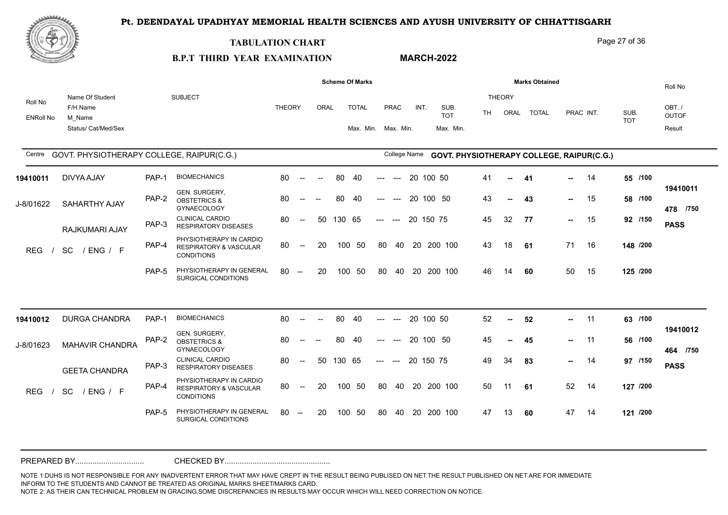

#### **TABULATION CHART**

**B.P.T THIRD YEAR EXAMINATION** 

#### **MARCH-2022**

Page 27 of 36

|                             |                                                              |       |                                                                                   |               |                                                  |                          |        | <b>Scheme Of Marks</b>              |       |              |           |        |                                           |     |                       | <b>Marks Obtained</b> |               |           |                    | Roll No                         |
|-----------------------------|--------------------------------------------------------------|-------|-----------------------------------------------------------------------------------|---------------|--------------------------------------------------|--------------------------|--------|-------------------------------------|-------|--------------|-----------|--------|-------------------------------------------|-----|-----------------------|-----------------------|---------------|-----------|--------------------|---------------------------------|
| Roll No<br><b>ENRoll No</b> | Name Of Student<br>F/H Name<br>M Name<br>Status/ Cat/Med/Sex |       | <b>SUBJECT</b>                                                                    | <b>THEORY</b> |                                                  | ORAL                     |        | <b>TOTAL</b><br>Max. Min. Max. Min. |       | PRAC         | INT.      |        | SUB.<br><b>TOT</b><br>Max. Min.           | TH. | <b>THEORY</b><br>ORAL | <b>TOTAL</b>          |               | PRAC INT. | SUB.<br><b>TOT</b> | OBT./<br><b>OUTOF</b><br>Result |
| Centre                      | GOVT. PHYSIOTHERAPY COLLEGE, RAIPUR(C.G.)                    |       |                                                                                   |               |                                                  |                          |        |                                     |       | College Name |           |        | GOVT. PHYSIOTHERAPY COLLEGE, RAIPUR(C.G.) |     |                       |                       |               |           |                    |                                 |
| 19410011                    | <b>DIVYA AJAY</b>                                            | PAP-1 | <b>BIOMECHANICS</b>                                                               | 80            | $\sim$                                           | $\overline{\phantom{a}}$ | 80     | 40                                  | ---   | $---$        | 20        | 100 50 |                                           | 41  | $\sim$                | 41                    | $\sim$        | -14       | 55 /100            |                                 |
| J-8/01622                   | <b>SAHARTHY AJAY</b>                                         | PAP-2 | GEN. SURGERY,<br><b>OBSTETRICS &amp;</b><br><b>GYNAECOLOGY</b>                    | 80            | $--$                                             |                          | 80     | -40                                 | ---   | $---$        | 20 100 50 |        |                                           | 43  | --                    | 43                    | н.,           | 15        | 58 /100            | 19410011<br>478 /750            |
|                             | RAJKUMARI AJAY                                               | PAP-3 | <b>CLINICAL CARDIO</b><br><b>RESPIRATORY DISEASES</b>                             | 80            | $\sim$                                           | 50                       | 130 65 |                                     | $---$ | $---$        | 20 150 75 |        |                                           | 45  | 32                    | 77                    | $\sim$ $\sim$ | 15        | 92 /150            | <b>PASS</b>                     |
| <b>REG</b>                  | SC<br>/ ENG / F                                              | PAP-4 | PHYSIOTHERAPY IN CARDIO<br>RESPIRATORY & VASCULAR<br><b>CONDITIONS</b>            | 80            | $\overline{\phantom{a}}$                         | 20                       | 100    | 50                                  | 80    | 40           |           |        | 20 200 100                                | 43  | 18                    | 61                    | 71            | 16        | 148 /200           |                                 |
|                             |                                                              | PAP-5 | PHYSIOTHERAPY IN GENERAL<br>SURGICAL CONDITIONS                                   | 80            | $\overline{\phantom{a}}$                         | 20                       | 100    | 50                                  | 80    | 40           |           |        | 20 200 100                                | 46  | 14                    | 60                    | 50            | 15        | 125 /200           |                                 |
|                             |                                                              |       |                                                                                   |               |                                                  |                          |        |                                     |       |              |           |        |                                           |     |                       |                       |               |           |                    |                                 |
| 19410012                    | <b>DURGA CHANDRA</b>                                         | PAP-1 | <b>BIOMECHANICS</b>                                                               | 80            | $\sim$                                           | $\overline{\phantom{a}}$ | 80     | 40                                  | ---   | $---$        | 20 100 50 |        |                                           | 52  | н.                    | 52                    | н.,           | 11        | 63 /100            |                                 |
| J-8/01623                   | MAHAVIR CHANDRA                                              | PAP-2 | GEN. SURGERY,<br><b>OBSTETRICS &amp;</b><br><b>GYNAECOLOGY</b>                    | 80            | $- -$                                            |                          | 80     | 40                                  | ---   | $---$        | 20 100 50 |        |                                           | 45  | --                    | 45                    |               | $-11$     | 56 /100            | 19410012<br>464 /750            |
|                             | <b>GEETA CHANDRA</b>                                         | PAP-3 | <b>CLINICAL CARDIO</b><br><b>RESPIRATORY DISEASES</b>                             | 80            | $\overline{\phantom{a}}$                         | 50                       | 130 65 |                                     | $---$ | $---$        | 20 150 75 |        |                                           | 49  | 34                    | 83                    | $\sim$        | -14       | 97 /150            | <b>PASS</b>                     |
| <b>REG</b>                  | <b>SC</b><br>/ ENG / F                                       | PAP-4 | PHYSIOTHERAPY IN CARDIO<br><b>RESPIRATORY &amp; VASCULAR</b><br><b>CONDITIONS</b> | 80            | $\hspace{0.1em} -\hspace{0.1em} -\hspace{0.1em}$ | 20                       | 100    | 50                                  | 80    | 40           |           |        | 20 200 100                                | 50  | 11                    | 61                    | 52            | 14        | 127 /200           |                                 |
|                             |                                                              | PAP-5 | PHYSIOTHERAPY IN GENERAL<br>SURGICAL CONDITIONS                                   | 80            | $\sim$                                           | 20                       |        | 100 50                              | 80    | 40           |           |        | 20 200 100                                | 47  | 13                    | 60                    | 47            | 14        | 121 /200           |                                 |
|                             |                                                              |       |                                                                                   |               |                                                  |                          |        |                                     |       |              |           |        |                                           |     |                       |                       |               |           |                    |                                 |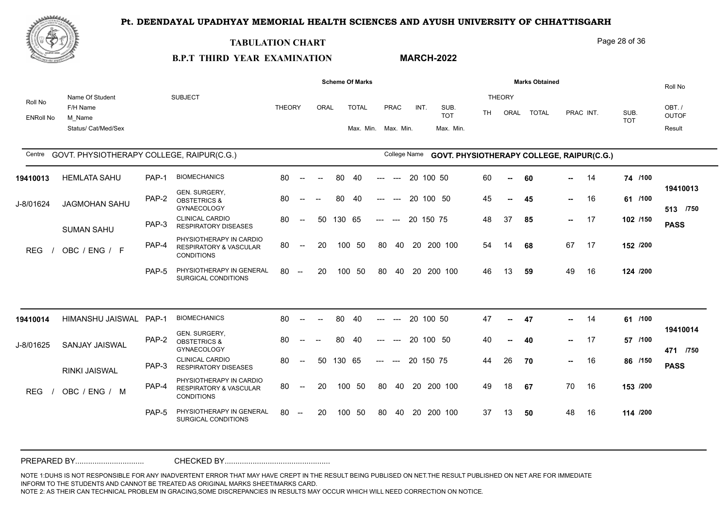

#### **TABULATION CHART**

**B.P.T THIRD YEAR EXAMINATION** 

### **MARCH-2022**

Page 28 of 36

|                             |                                           |       |                                                                                   |               |                          |                          |        | <b>Scheme Of Marks</b> |                                          |                                        |           |                                           |           |                | <b>Marks Obtained</b> |        |           |            | Roll No               |
|-----------------------------|-------------------------------------------|-------|-----------------------------------------------------------------------------------|---------------|--------------------------|--------------------------|--------|------------------------|------------------------------------------|----------------------------------------|-----------|-------------------------------------------|-----------|----------------|-----------------------|--------|-----------|------------|-----------------------|
| Roll No<br><b>ENRoll No</b> | Name Of Student<br>F/H Name<br>M Name     |       | <b>SUBJECT</b>                                                                    | <b>THEORY</b> |                          | ORAL                     |        | <b>TOTAL</b>           |                                          | PRAC                                   | INT.      | SUB.<br><b>TOT</b>                        | <b>TH</b> | THEORY<br>ORAL | <b>TOTAL</b>          |        | PRAC INT. | SUB.       | OBT./<br><b>OUTOF</b> |
|                             | Status/ Cat/Med/Sex                       |       |                                                                                   |               |                          |                          |        | Max. Min. Max. Min.    |                                          |                                        |           | Max. Min.                                 |           |                |                       |        |           | <b>TOT</b> | Result                |
| Centre                      | GOVT. PHYSIOTHERAPY COLLEGE, RAIPUR(C.G.) |       |                                                                                   |               |                          |                          |        |                        |                                          | College Name                           |           | GOVT. PHYSIOTHERAPY COLLEGE, RAIPUR(C.G.) |           |                |                       |        |           |            |                       |
| 19410013                    | <b>HEMLATA SAHU</b>                       | PAP-1 | <b>BIOMECHANICS</b>                                                               | 80            | $\sim$                   | $\overline{\phantom{a}}$ | 80     | 40                     | $\hspace{0.05cm} \ldots \hspace{0.05cm}$ | $\hspace{0.1em} \ldots \hspace{0.1em}$ | 20 100 50 |                                           | 60        | $\sim$         | 60                    | н.,    | 14        | 74 /100    |                       |
| J-8/01624                   | JAGMOHAN SAHU                             | PAP-2 | GEN. SURGERY,<br><b>OBSTETRICS &amp;</b><br><b>GYNAECOLOGY</b>                    | 80            |                          | $\overline{\phantom{a}}$ | 80     | 40                     | ---                                      | $---$                                  |           | 20 100 50                                 | 45        | $\sim$         | 45                    | $\sim$ | 16        | 61 /100    | 19410013<br>513 /750  |
|                             | <b>SUMAN SAHU</b>                         | PAP-3 | <b>CLINICAL CARDIO</b><br><b>RESPIRATORY DISEASES</b>                             | 80            | $\sim$                   | 50                       | 130 65 |                        | $---$                                    | $---$                                  | 20 150 75 |                                           | 48        | 37             | 85                    |        | $- 17$    | 102 /150   | <b>PASS</b>           |
| <b>REG</b>                  | OBC / ENG / F                             | PAP-4 | PHYSIOTHERAPY IN CARDIO<br><b>RESPIRATORY &amp; VASCULAR</b><br><b>CONDITIONS</b> | 80            | $--$                     | 20                       | 100    | 50                     | 80                                       | 40                                     | 20        | 200 100                                   | 54        | 14             | 68                    | 67     | 17        | 152 /200   |                       |
|                             |                                           | PAP-5 | PHYSIOTHERAPY IN GENERAL<br>SURGICAL CONDITIONS                                   | 80            | $-$                      | 20                       | 100    | -50                    | 80                                       | 40                                     |           | 20 200 100                                | 46        | 13             | 59                    | 49     | 16        | 124 /200   |                       |
|                             |                                           |       |                                                                                   |               |                          |                          |        |                        |                                          |                                        |           |                                           |           |                |                       |        |           |            |                       |
| 19410014                    | HIMANSHU JAISWAL                          | PAP-1 | <b>BIOMECHANICS</b>                                                               | 80            | $\sim$                   | $\overline{\phantom{a}}$ | 80     | 40                     | ---                                      | $\hspace{0.05cm}---$                   | 20 100 50 |                                           | 47        | $\sim$         | 47                    | $\sim$ | 14        | 61 /100    | 19410014              |
| J-8/01625                   | SANJAY JAISWAL                            | PAP-2 | GEN. SURGERY,<br><b>OBSTETRICS &amp;</b><br><b>GYNAECOLOGY</b>                    | 80            | $-$                      | $\sim$                   | 80     | -40                    | $---$                                    | $---$                                  |           | 20 100 50                                 | 40        | $\sim$         | 40                    | н.,    | - 17      | 57 /100    | 471 /750              |
|                             | <b>RINKI JAISWAL</b>                      | PAP-3 | <b>CLINICAL CARDIO</b><br><b>RESPIRATORY DISEASES</b>                             | 80            | $\overline{\phantom{a}}$ | 50                       | 130 65 |                        | $---$                                    | $\hspace{0.1em} \ldots \hspace{0.1em}$ | 20 150 75 |                                           | 44        | 26             | 70                    | $\sim$ | 16        | 86 /150    | <b>PASS</b>           |
| <b>REG</b>                  | OBC / ENG / M                             | PAP-4 | PHYSIOTHERAPY IN CARDIO<br><b>RESPIRATORY &amp; VASCULAR</b><br><b>CONDITIONS</b> | 80            | $\sim$                   | 20                       |        | 100 50                 | 80                                       | 40                                     |           | 20 200 100                                | 49        | 18             | 67                    | 70     | 16        | 153 /200   |                       |
|                             |                                           | PAP-5 | PHYSIOTHERAPY IN GENERAL<br>SURGICAL CONDITIONS                                   | 80            | $-$                      | 20                       |        | 100 50                 | 80                                       | -40                                    | -20       | 200 100                                   | 37        | 13             | 50                    | 48     | 16        | 114 /200   |                       |
|                             |                                           |       |                                                                                   |               |                          |                          |        |                        |                                          |                                        |           |                                           |           |                |                       |        |           |            |                       |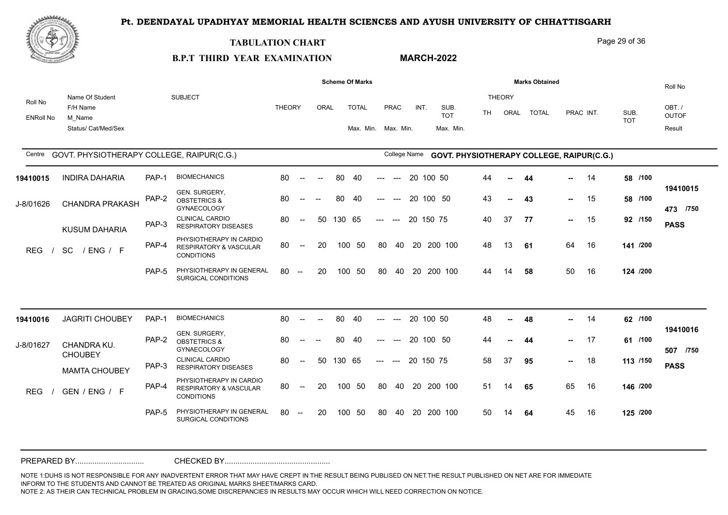

#### **TABULATION CHART**

**B.P.T THIRD YEAR EXAMINATION** 

# **MARCH-2022**

Page 29 of 36

|                             |                                                              |       |                                                                                   |               |                                                |                          |        | <b>Scheme Of Marks</b>              |                           |                      |           |                                           |           |                       | <b>Marks Obtained</b> |               |           |                    | Roll No                         |
|-----------------------------|--------------------------------------------------------------|-------|-----------------------------------------------------------------------------------|---------------|------------------------------------------------|--------------------------|--------|-------------------------------------|---------------------------|----------------------|-----------|-------------------------------------------|-----------|-----------------------|-----------------------|---------------|-----------|--------------------|---------------------------------|
| Roll No<br><b>ENRoll No</b> | Name Of Student<br>F/H Name<br>M Name<br>Status/ Cat/Med/Sex |       | <b>SUBJECT</b>                                                                    | <b>THEORY</b> |                                                | ORAL                     |        | <b>TOTAL</b><br>Max. Min. Max. Min. |                           | <b>PRAC</b>          | INT.      | SUB.<br><b>TOT</b><br>Max. Min.           | <b>TH</b> | <b>THEORY</b><br>ORAL | <b>TOTAL</b>          |               | PRAC INT. | SUB.<br><b>TOT</b> | OBT./<br><b>OUTOF</b><br>Result |
| Centre                      | GOVT. PHYSIOTHERAPY COLLEGE, RAIPUR(C.G.)                    |       |                                                                                   |               |                                                |                          |        |                                     |                           | College Name         |           | GOVT. PHYSIOTHERAPY COLLEGE, RAIPUR(C.G.) |           |                       |                       |               |           |                    |                                 |
| 19410015                    | <b>INDIRA DAHARIA</b>                                        | PAP-1 | <b>BIOMECHANICS</b>                                                               | 80            | $\sim$                                         | $\overline{\phantom{a}}$ | 80     | 40                                  | $\qquad \qquad -\qquad -$ | $\sim$ $\sim$ $\sim$ |           | 20 100 50                                 | 44        | $\sim$                | 44                    | <b>.</b>      | - 14      | 58 /100            |                                 |
| J-8/01626                   | CHANDRA PRAKASH                                              | PAP-2 | GEN. SURGERY,<br><b>OBSTETRICS &amp;</b><br><b>GYNAECOLOGY</b>                    | 80            | $\overline{\phantom{a}}$                       |                          | 80     | 40                                  |                           | $\qquad \qquad - -$  |           | 20 100 50                                 | 43        |                       | 43                    | ⊷.            | 15        | 58 /100            | 19410015<br>473 /750            |
|                             | <b>KUSUM DAHARIA</b>                                         | PAP-3 | <b>CLINICAL CARDIO</b><br><b>RESPIRATORY DISEASES</b>                             | 80            | $\hspace{0.1em} \dashv$                        | 50                       | 130 65 |                                     | $---$                     | $---$                | 20 150 75 |                                           | 40        | 37                    | 77                    |               | $- 15$    | 92 /150            | <b>PASS</b>                     |
| <b>REG</b>                  | <b>SC</b><br>/ENG / F                                        | PAP-4 | PHYSIOTHERAPY IN CARDIO<br><b>RESPIRATORY &amp; VASCULAR</b><br><b>CONDITIONS</b> | 80            | $\overline{\phantom{a}}$                       | 20                       | 100    | -50                                 | 80                        | 40                   |           | 20 200 100                                | 48        | 13                    | 61                    | 64            | 16        | 141 /200           |                                 |
|                             |                                                              | PAP-5 | PHYSIOTHERAPY IN GENERAL<br>SURGICAL CONDITIONS                                   | 80            | $\hspace{0.1mm}-\hspace{0.1mm}-\hspace{0.1mm}$ | 20                       | 100    | - 50                                | 80                        | 40                   |           | 20 200 100                                | 44        | 14                    | 58                    | 50            | 16        | 124 /200           |                                 |
|                             |                                                              |       |                                                                                   |               |                                                |                          |        |                                     |                           |                      |           |                                           |           |                       |                       |               |           |                    |                                 |
| 19410016                    | <b>JAGRITI CHOUBEY</b>                                       | PAP-1 | <b>BIOMECHANICS</b>                                                               | 80            | $\sim$                                         | $\sim$                   | 80     | 40                                  | $\qquad \qquad -\qquad -$ | $--$                 |           | 20 100 50                                 | 48        | $\sim$                | 48                    | ⊷.            | 14        | 62 /100            |                                 |
| J-8/01627                   | CHANDRA KU.<br><b>CHOUBEY</b>                                | PAP-2 | GEN. SURGERY,<br><b>OBSTETRICS &amp;</b><br><b>GYNAECOLOGY</b>                    | 80            | $\overline{\phantom{a}}$                       | $\overline{\phantom{a}}$ | 80     | 40                                  | $---$                     | $\sim$ $\sim$ $\sim$ |           | 20 100 50                                 | 44        |                       | 44                    | н.,           | 17        | 61 /100            | 19410016<br>507 /750            |
|                             | <b>MAMTA CHOUBEY</b>                                         | PAP-3 | <b>CLINICAL CARDIO</b><br><b>RESPIRATORY DISEASES</b>                             | 80            | $\overline{\phantom{a}}$                       | 50                       | 130 65 |                                     | $---$                     | $---$                | 20 150 75 |                                           | 58        | 37                    | 95                    | $\sim$ $\sim$ | 18        | 113 /150           | <b>PASS</b>                     |
| <b>REG</b>                  | GEN / ENG / F                                                | PAP-4 | PHYSIOTHERAPY IN CARDIO<br><b>RESPIRATORY &amp; VASCULAR</b><br><b>CONDITIONS</b> | 80            | $\overline{\phantom{a}}$                       | 20                       |        | 100 50                              | 80                        | 40                   |           | 20 200 100                                | 51        | 14                    | 65                    | 65            | 16        | 146 /200           |                                 |
|                             |                                                              | PAP-5 | PHYSIOTHERAPY IN GENERAL<br>SURGICAL CONDITIONS                                   | 80            | $\sim$                                         | 20                       | 100    | - 50                                | 80                        | 40                   |           | 20 200 100                                | 50        | 14                    | 64                    | 45            | 16        | 125 /200           |                                 |
|                             |                                                              |       |                                                                                   |               |                                                |                          |        |                                     |                           |                      |           |                                           |           |                       |                       |               |           |                    |                                 |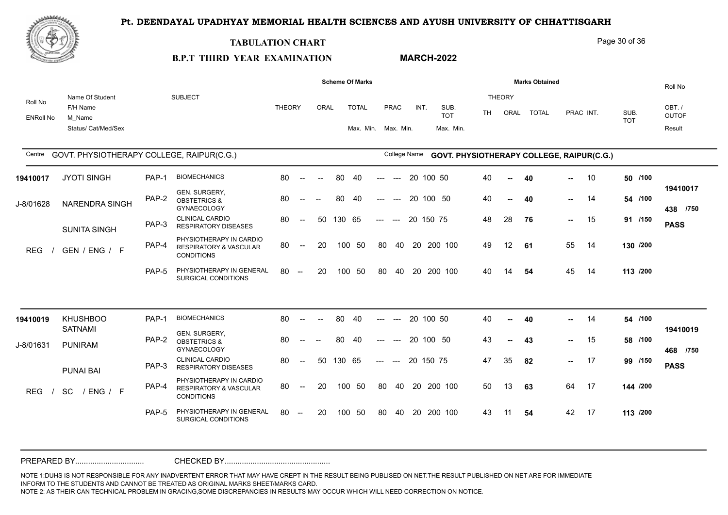

#### **TABULATION CHART**

**B.P.T THIRD YEAR EXAMINATION** 

### **MARCH-2022**

Page 30 of 36

#### ORAI TOTAL ENRoll No Roll No F/H Name Name Of Student M\_Name Status/ Cat/Med/Sex SUBJECT THEORY AND THEORY IN THE SUBJECTIVE OF THE SUBJECTIVE OF THE SUBJECTIVE OF THE ORY AND THE ORY AND THE ORY TH ORAI TOTAI PRAC INT OBT. / OUTOF Roll No Result Centre GOVT. PHYSIOTHERAPY COLLEGE, RAIPUR(C.G.) College Name SUB. TOT SUB. TOT THEORY ORAL TOTAL PRAC INT. Max. Min. Max. Min. **Scheme Of Marks Marks Marks Marks Marks** Obtained Max. Min. GOVT. PHYSIOTHERAPY COLLEGE, RAIPUR(C.G.) **GOVT. PHYSIOTHERAPY COLLEGE, RAIPUR(C.G.)** PAP-5 PHYSIOTHERAPY IN GENERAL 80 --SURGICAL CONDITIONS PHYSIOTHERAPY IN CARDIO<br>RESPIRATORY & VASCULAR 80 -- 20 100 50 PAP-4 RESPIRATORY & VASCULAR 80 CONDITIONS CLINICAL CARDIO PAP-3 RESPIRATORY DISEASES GEN. SURGERY,<br>PAP-2 OBSTETRICS & GYNAECOLOGY PAP-1 BIOMECHANICS 80 -80 -- 50 130 65 --- --- 20 150 75  **-- -- -- -- /750 438** -- 20 100 50 80 40 20 200 100 49 12 61 80 -- -- 80 40 --- --- 20 100 50 40 -- 40 80 -- -- 80 40 --- --- 20 100 50 80 -- 20 100 50 80 40 20 200 100 REG / GEN / ENG / F THE RESPIRATORT **40 /100 /100 /150 /200 /200** J-8/01628 NARENDRA SINGH THE OBSTETRICS & 19410017 JYOTI SINGH PAP-1 BIOMECHANIO SUNITA SINGH 40 **40** 10 **50** 40 -- **40** -- 14 54/100 48 **76** 15 **91** 49 12 **61** 55 14 **130** 40 **54** 45 14 **113 PASS 19410017 40** 28 **76 --** 15 14 54 45 14 PAP-5 PHYSIOTHERAPY IN GENERAL 80 --SURGICAL CONDITIONS PHYSIOTHERAPY IN CARDIO<br>RESPIRATORY & VASCULAR 80 -- 20 100 50 PAP-4 RESPIRATORY & VASCULAR 80 CONDITIONS CLINICAL CARDIO PAP-3 RESPIRATORY DISEASES GEN. SURGERY,<br>PAP-2 OBSTETRICS & GYNAECOLOGY PAP-1 BIOMECHANICS 80 -80 -- 50 130 65 --- --- 20 150 75  **-- -- -- -- /750 468**  $-20$  100 50 80 40 20 200 100 50 13 63 80 -- -- 80 40 --- --- 20 100 50 80 -- -- 80 40 --- --- 20 100 50 80 -- 20 100 50 80 40 20 200 100 REG / SC / ENG / F 17" RESPIRATORT **43 /100 /100 /150** 47 **82** 17 **99 /200** 50 13 **63** 64 17 **144 /200** 43 **54** 42 17 **113** J-8/01631 PUNIRAM PROPERTY AND STETRIUS KHUSHBOO **19410019** SATNAMI PUNAI BAI 40 **40** 14 **54** 43 -- **43** -- 15 58/100 **PASS 19410019 43** 82 42 17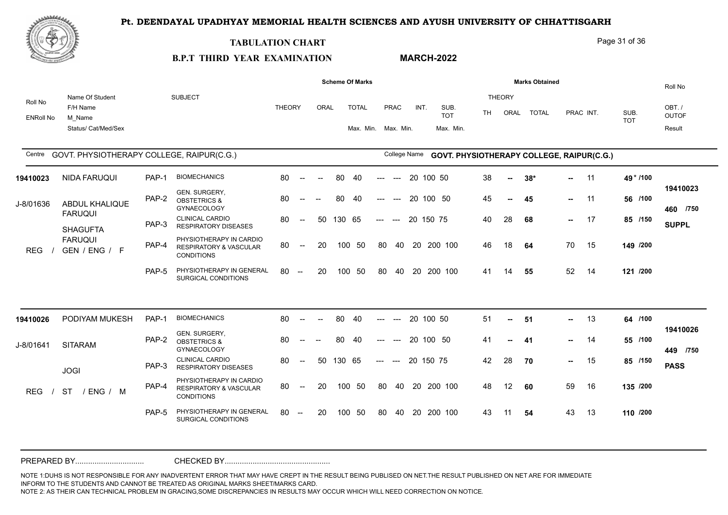

#### **TABULATION CHART**

#### Page 31 of 36

#### **B.P.T THIRD YEAR EXAMINATION MARCH-2022**

|                             |                                                              |       |                                                                                   |               |                                                |      |        | <b>Scheme Of Marks</b>              |       |              |           |                                           |    |                       |       | <b>Marks Obtained</b> |               |           |                    | Roll No                         |
|-----------------------------|--------------------------------------------------------------|-------|-----------------------------------------------------------------------------------|---------------|------------------------------------------------|------|--------|-------------------------------------|-------|--------------|-----------|-------------------------------------------|----|-----------------------|-------|-----------------------|---------------|-----------|--------------------|---------------------------------|
| Roll No<br><b>ENRoll No</b> | Name Of Student<br>F/H Name<br>M Name<br>Status/ Cat/Med/Sex |       | <b>SUBJECT</b>                                                                    | <b>THEORY</b> |                                                | ORAL |        | <b>TOTAL</b><br>Max. Min. Max. Min. |       | PRAC         | INT.      | SUB.<br><b>TOT</b><br>Max. Min.           | TH | <b>THEORY</b><br>ORAL |       | <b>TOTAL</b>          |               | PRAC INT. | SUB.<br><b>TOT</b> | OBT./<br><b>OUTOF</b><br>Result |
| Centre                      | GOVT. PHYSIOTHERAPY COLLEGE, RAIPUR(C.G.)                    |       |                                                                                   |               |                                                |      |        |                                     |       | College Name |           | GOVT. PHYSIOTHERAPY COLLEGE, RAIPUR(C.G.) |    |                       |       |                       |               |           |                    |                                 |
| 19410023                    | NIDA FARUQUI                                                 | PAP-1 | <b>BIOMECHANICS</b>                                                               | 80            | $\sim$                                         |      | 80     | 40                                  |       | $---$        | 20 100 50 |                                           | 38 | $\sim$                | $38*$ |                       | н.,           | 11        | 49 * /100          |                                 |
| J-8/01636                   | <b>ABDUL KHALIQUE</b>                                        | PAP-2 | GEN. SURGERY,<br><b>OBSTETRICS &amp;</b><br><b>GYNAECOLOGY</b>                    | 80            | $--$                                           |      | 80     | -40                                 | ---   | $---$        | 20 100 50 |                                           | 45 | ⊷.                    | 45    |                       | $\sim$ $\sim$ | 11        | 56 /100            | 19410023<br>460 /750            |
|                             | <b>FARUQUI</b><br><b>SHAGUFTA</b>                            | PAP-3 | <b>CLINICAL CARDIO</b><br><b>RESPIRATORY DISEASES</b>                             | 80            | $--$                                           | 50   | 130 65 |                                     | $---$ | $---$        | 20 150 75 |                                           | 40 | 28                    | 68    |                       | $\sim$        | 17        | 85 /150            | <b>SUPPL</b>                    |
| <b>REG</b>                  | <b>FARUQUI</b><br>GEN / ENG / F                              | PAP-4 | PHYSIOTHERAPY IN CARDIO<br><b>RESPIRATORY &amp; VASCULAR</b><br><b>CONDITIONS</b> | 80            | $\hspace{0.1mm}-\hspace{0.1mm}-\hspace{0.1mm}$ | 20   |        | 100 50                              | 80    | 40           |           | 20 200 100                                | 46 | 18                    | 64    |                       | 70            | 15        | 149 /200           |                                 |
|                             |                                                              | PAP-5 | PHYSIOTHERAPY IN GENERAL<br>SURGICAL CONDITIONS                                   | 80            | $\hspace{0.1mm}-\hspace{0.1mm}-\hspace{0.1mm}$ | 20   | 100    | 50                                  | 80    | 40           |           | 20 200 100                                | 41 | 14                    | 55    |                       | 52            | 14        | 121 /200           |                                 |
|                             |                                                              |       |                                                                                   |               |                                                |      |        |                                     |       |              |           |                                           |    |                       |       |                       |               |           |                    |                                 |
| 19410026                    | PODIYAM MUKESH                                               | PAP-1 | <b>BIOMECHANICS</b>                                                               | 80            | $\overline{\phantom{a}}$                       |      | 80     | 40                                  |       |              | 20 100 50 |                                           | 51 | н.                    | 51    |                       | -- 1          | 13        | 64 /100            |                                 |
| J-8/01641                   | <b>SITARAM</b>                                               | PAP-2 | GEN. SURGERY,<br><b>OBSTETRICS &amp;</b><br><b>GYNAECOLOGY</b>                    | 80            | $--$                                           |      | 80     | 40                                  | ---   | $---$        | 20 100 50 |                                           | 41 | --                    | 41    |                       | -- 1          | -14       | 55 /100            | 19410026<br>449 /750            |
|                             | <b>JOGI</b>                                                  | PAP-3 | <b>CLINICAL CARDIO</b><br><b>RESPIRATORY DISEASES</b>                             | 80            | $\sim$                                         | 50   | 130 65 |                                     | $---$ | $---$        | 20 150 75 |                                           | 42 | 28                    | 70    |                       | $\sim$        | 15        | 85 /150            | <b>PASS</b>                     |
| <b>REG</b>                  | <b>ST</b><br>/ ENG / M                                       | PAP-4 | PHYSIOTHERAPY IN CARDIO<br><b>RESPIRATORY &amp; VASCULAR</b><br><b>CONDITIONS</b> | 80            | $--$                                           | 20   | 100    | 50                                  | 80    | 40           |           | 20 200 100                                | 48 | 12                    | 60    |                       | 59            | 16        | 135 /200           |                                 |
|                             |                                                              | PAP-5 | PHYSIOTHERAPY IN GENERAL<br>SURGICAL CONDITIONS                                   | 80            | $\sim$                                         | 20   | 100    | 50                                  | 80    | 40           |           | 20 200 100                                | 43 | 11                    | 54    |                       | 43            | 13        | 110 /200           |                                 |
|                             |                                                              |       |                                                                                   |               |                                                |      |        |                                     |       |              |           |                                           |    |                       |       |                       |               |           |                    |                                 |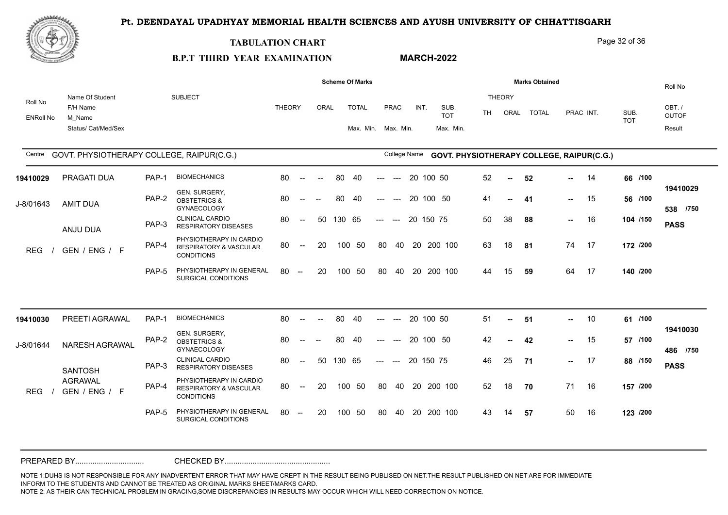

#### **TABULATION CHART**

**B.P.T THIRD YEAR EXAMINATION** 

### **MARCH-2022**

Page 32 of 36

|                             |                                                              |       |                                                                                   |               |                                                |                          |        | <b>Scheme Of Marks</b>              |       |                                        |           |                                           |     |                       | <b>Marks Obtained</b> |     |           |                    | Roll No                         |
|-----------------------------|--------------------------------------------------------------|-------|-----------------------------------------------------------------------------------|---------------|------------------------------------------------|--------------------------|--------|-------------------------------------|-------|----------------------------------------|-----------|-------------------------------------------|-----|-----------------------|-----------------------|-----|-----------|--------------------|---------------------------------|
| Roll No<br><b>ENRoll No</b> | Name Of Student<br>F/H Name<br>M Name<br>Status/ Cat/Med/Sex |       | <b>SUBJECT</b>                                                                    | <b>THEORY</b> |                                                | ORAL                     |        | <b>TOTAL</b><br>Max. Min. Max. Min. |       | <b>PRAC</b>                            | INT.      | SUB.<br><b>TOT</b><br>Max. Min.           | TH. | <b>THEORY</b><br>ORAL | <b>TOTAL</b>          |     | PRAC INT. | SUB.<br><b>TOT</b> | OBT./<br><b>OUTOF</b><br>Result |
| Centre                      | GOVT. PHYSIOTHERAPY COLLEGE, RAIPUR(C.G.)                    |       |                                                                                   |               |                                                |                          |        |                                     |       | College Name                           |           | GOVT. PHYSIOTHERAPY COLLEGE, RAIPUR(C.G.) |     |                       |                       |     |           |                    |                                 |
| 19410029                    | PRAGATI DUA                                                  | PAP-1 | <b>BIOMECHANICS</b>                                                               | 80            | $\sim$                                         | $\overline{\phantom{a}}$ | 80     | 40                                  | ---   | $---$                                  |           | 20 100 50                                 | 52  | $\sim$                | 52                    | ш.  | 14        | 66 /100            |                                 |
| J-8/01643                   | <b>AMIT DUA</b>                                              | PAP-2 | GEN. SURGERY,<br><b>OBSTETRICS &amp;</b><br><b>GYNAECOLOGY</b>                    | 80            | $\hspace{0.05cm}$ – $\hspace{0.05cm}$          | $\overline{a}$           | 80     | 40                                  | ---   | $---$                                  |           | 20 100 50                                 | 41  | н.                    | 41                    | н., | 15        | 56 /100            | 19410029<br>538 /750            |
|                             | ANJU DUA                                                     | PAP-3 | <b>CLINICAL CARDIO</b><br><b>RESPIRATORY DISEASES</b>                             | 80            | $\sim$                                         | 50                       | 130 65 |                                     | $---$ | $--$                                   | 20 150 75 |                                           | 50  | 38                    | 88                    | н., | 16        | 104 /150           | <b>PASS</b>                     |
| <b>REG</b>                  | GEN / ENG / F                                                | PAP-4 | PHYSIOTHERAPY IN CARDIO<br><b>RESPIRATORY &amp; VASCULAR</b><br><b>CONDITIONS</b> | 80            | $\overline{\phantom{a}}$                       | 20                       |        | 100 50                              | 80    | 40                                     | 20        | 200 100                                   | 63  | 18                    | 81                    | 74  | 17        | 172 /200           |                                 |
|                             |                                                              | PAP-5 | PHYSIOTHERAPY IN GENERAL<br>SURGICAL CONDITIONS                                   | 80            | $\sim$                                         | 20                       | 100    | 50                                  | 80    | 40                                     | 20        | 200 100                                   | 44  | 15                    | 59                    | 64  | 17        | 140 /200           |                                 |
| 19410030                    | PREETI AGRAWAL                                               | PAP-1 | <b>BIOMECHANICS</b>                                                               | 80            | $\sim$                                         | $\overline{\phantom{a}}$ | 80     | 40                                  | ---   | $\hspace{0.1em} \ldots \hspace{0.1em}$ |           | 20 100 50                                 | 51  | $\sim$                | 51                    | н., | 10        | 61 /100            |                                 |
| J-8/01644                   | NARESH AGRAWAL                                               | PAP-2 | GEN. SURGERY,<br><b>OBSTETRICS &amp;</b><br>GYNAECOLOGY                           | 80            |                                                |                          | 80     | 40                                  | ---   | $---$                                  |           | 20 100 50                                 | 42  | --                    | 42                    | н.  | 15        | 57 /100            | 19410030<br>486 /750            |
|                             | <b>SANTOSH</b>                                               | PAP-3 | <b>CLINICAL CARDIO</b><br><b>RESPIRATORY DISEASES</b>                             | 80            | $\sim$                                         | 50                       | 130 65 |                                     | $---$ | $---$                                  | 20 150 75 |                                           | 46  | 25                    | 71                    | - 1 | 17        | 88 /150            | <b>PASS</b>                     |
| <b>REG</b>                  | <b>AGRAWAL</b><br>GEN / ENG / F                              | PAP-4 | PHYSIOTHERAPY IN CARDIO<br><b>RESPIRATORY &amp; VASCULAR</b><br><b>CONDITIONS</b> | 80            | $--$                                           | 20                       | 100    | 50                                  | 80    | 40                                     | 20        | 200 100                                   | 52  | 18                    | 70                    | 71  | 16        | 157 /200           |                                 |
|                             |                                                              | PAP-5 | PHYSIOTHERAPY IN GENERAL<br>SURGICAL CONDITIONS                                   | 80            | $\hspace{0.1mm}-\hspace{0.1mm}-\hspace{0.1mm}$ | 20                       |        | 100 50                              | 80    | 40                                     | -20       | 200 100                                   | 43  | 14                    | 57                    | 50  | 16        | 123 /200           |                                 |
|                             |                                                              |       |                                                                                   |               |                                                |                          |        |                                     |       |                                        |           |                                           |     |                       |                       |     |           |                    |                                 |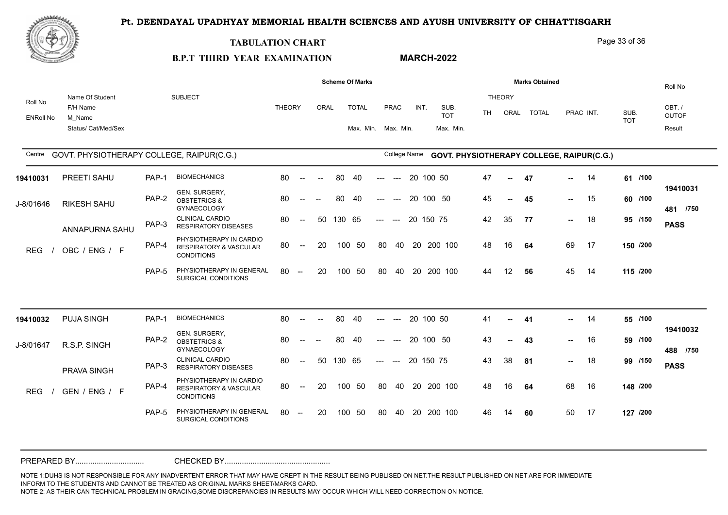

#### **TABULATION CHART**

**B.P.T THIRD YEAR EXAMINATION** 

# **MARCH-2022**

Page 33 of 36

|                             |                                                              |       |                                                                                   |               |                          |                          |        | <b>Scheme Of Marks</b>              |                     |       |              |                                           |     |                | <b>Marks Obtained</b> |             |           |                    |          | Roll No                         |
|-----------------------------|--------------------------------------------------------------|-------|-----------------------------------------------------------------------------------|---------------|--------------------------|--------------------------|--------|-------------------------------------|---------------------|-------|--------------|-------------------------------------------|-----|----------------|-----------------------|-------------|-----------|--------------------|----------|---------------------------------|
| Roll No<br><b>ENRoll No</b> | Name Of Student<br>F/H Name<br>M Name<br>Status/ Cat/Med/Sex |       | <b>SUBJECT</b>                                                                    | <b>THEORY</b> |                          | ORAL                     |        | <b>TOTAL</b><br>Max. Min. Max. Min. |                     | PRAC  | INT.         | SUB.<br><b>TOT</b><br>Max. Min.           | TH. | THEORY<br>ORAL | <b>TOTAL</b>          |             | PRAC INT. | SUB.<br><b>TOT</b> |          | OBT./<br><b>OUTOF</b><br>Result |
| Centre                      | GOVT. PHYSIOTHERAPY COLLEGE, RAIPUR(C.G.)                    |       |                                                                                   |               |                          |                          |        |                                     |                     |       | College Name | GOVT. PHYSIOTHERAPY COLLEGE, RAIPUR(C.G.) |     |                |                       |             |           |                    |          |                                 |
| 19410031                    | PREETI SAHU                                                  | PAP-1 | <b>BIOMECHANICS</b>                                                               | 80            | $\sim$                   | $\overline{\phantom{a}}$ | 80     | 40                                  | ---                 | $--$  |              | 20 100 50                                 | 47  | $\sim$         | 47                    | н.,         | 14        |                    | 61 /100  |                                 |
| J-8/01646                   | <b>RIKESH SAHU</b>                                           | PAP-2 | GEN. SURGERY,<br><b>OBSTETRICS &amp;</b><br><b>GYNAECOLOGY</b>                    | 80            | $-$                      | $\overline{\phantom{a}}$ | 80     | -40                                 | $---$               | $-$   |              | 20 100 50                                 | 45  | $\mathbf{u}$   | 45                    | н.,         | 15        |                    | 60 /100  | 19410031<br>481 /750            |
|                             | ANNAPURNA SAHU                                               | PAP-3 | <b>CLINICAL CARDIO</b><br><b>RESPIRATORY DISEASES</b>                             | 80            | $\overline{\phantom{a}}$ | 50                       | 130 65 |                                     | $\qquad \qquad - -$ | $---$ |              | 20 150 75                                 | 42  | 35             | 77                    | <b>HALL</b> | 18        |                    | 95 /150  | <b>PASS</b>                     |
| <b>REG</b>                  | OBC / ENG / F                                                | PAP-4 | PHYSIOTHERAPY IN CARDIO<br><b>RESPIRATORY &amp; VASCULAR</b><br><b>CONDITIONS</b> | 80            | $\overline{\phantom{a}}$ | 20                       |        | 100 50                              | 80                  | 40    |              | 20 200 100                                | 48  | 16             | 64                    | 69          | 17        |                    | 150 /200 |                                 |
|                             |                                                              | PAP-5 | PHYSIOTHERAPY IN GENERAL<br>SURGICAL CONDITIONS                                   | 80            | $\sim$                   | 20                       |        | 100 50                              | 80                  | 40    |              | 20 200 100                                | 44  | 12             | 56                    | 45          | 14        |                    | 115 /200 |                                 |
|                             |                                                              |       |                                                                                   |               |                          |                          |        |                                     |                     |       |              |                                           |     |                |                       |             |           |                    |          |                                 |
| 19410032                    | <b>PUJA SINGH</b>                                            | PAP-1 | <b>BIOMECHANICS</b>                                                               | 80            | $\overline{\phantom{a}}$ |                          | 80     | 40                                  | $---$               | $---$ |              | 20 100 50                                 | 41  | $\sim$         | 41                    | н.,         | - 14      |                    | 55 /100  |                                 |
| J-8/01647                   | R.S.P. SINGH                                                 | PAP-2 | GEN. SURGERY,<br><b>OBSTETRICS &amp;</b><br><b>GYNAECOLOGY</b>                    | 80            |                          |                          | 80     | 40                                  | ---                 | $---$ |              | 20 100 50                                 | 43  | $\sim$         | 43                    | н.,         | 16        |                    | 59 /100  | 19410032<br>488 /750            |
|                             | PRAVA SINGH                                                  | PAP-3 | <b>CLINICAL CARDIO</b><br><b>RESPIRATORY DISEASES</b>                             | 80            | $\sim$                   | 50                       | 130 65 |                                     | $---$               | $---$ |              | 20 150 75                                 | 43  | 38             | 81                    | н.,         | 18        |                    | 99 /150  | <b>PASS</b>                     |
| <b>REG</b>                  | GEN / ENG / F                                                | PAP-4 | PHYSIOTHERAPY IN CARDIO<br>RESPIRATORY & VASCULAR<br><b>CONDITIONS</b>            | 80            | $\overline{\phantom{a}}$ | 20                       |        | 100 50                              | 80                  |       |              | 40 20 200 100                             | 48  | 16             | 64                    | 68          | 16        |                    | 148 /200 |                                 |
|                             |                                                              | PAP-5 | PHYSIOTHERAPY IN GENERAL<br>SURGICAL CONDITIONS                                   | 80            | $\overline{\phantom{a}}$ | 20                       |        | 100 50                              | 80                  | -40   | -20          | 200 100                                   | 46  | 14             | 60                    | 50          | 17        |                    | 127 /200 |                                 |
|                             |                                                              |       |                                                                                   |               |                          |                          |        |                                     |                     |       |              |                                           |     |                |                       |             |           |                    |          |                                 |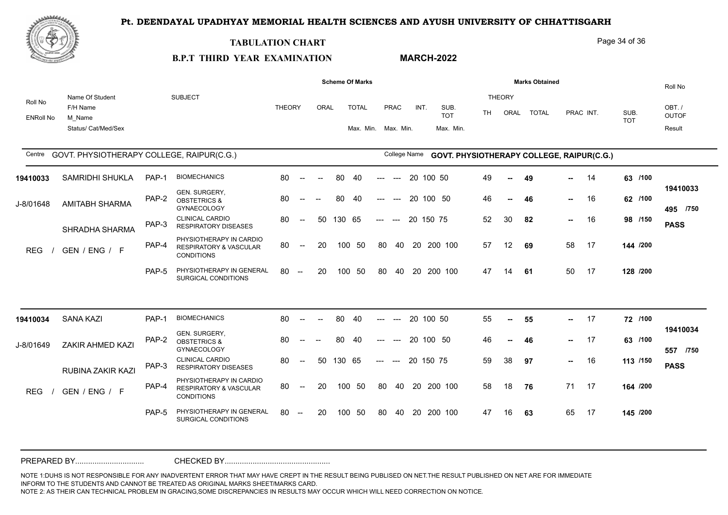

#### **TABULATION CHART**

Page 34 of 36

#### **B.P.T THIRD YEAR EXAMINATION MARCH-2022**

|                             |                                                              |       |                                                                                   |               |                                                |      |        | <b>Scheme Of Marks</b>              |       |              |    |           |                                           |     |                       | <b>Marks Obtained</b> |               |           |                    | Roll No                         |
|-----------------------------|--------------------------------------------------------------|-------|-----------------------------------------------------------------------------------|---------------|------------------------------------------------|------|--------|-------------------------------------|-------|--------------|----|-----------|-------------------------------------------|-----|-----------------------|-----------------------|---------------|-----------|--------------------|---------------------------------|
| Roll No<br><b>ENRoll No</b> | Name Of Student<br>F/H Name<br>M Name<br>Status/ Cat/Med/Sex |       | <b>SUBJECT</b>                                                                    | <b>THEORY</b> |                                                | ORAL |        | <b>TOTAL</b><br>Max. Min. Max. Min. |       | PRAC         |    | INT.      | SUB.<br><b>TOT</b><br>Max. Min.           | TH. | <b>THEORY</b><br>ORAL | <b>TOTAL</b>          |               | PRAC INT. | SUB.<br><b>TOT</b> | OBT./<br><b>OUTOF</b><br>Result |
| Centre                      | GOVT. PHYSIOTHERAPY COLLEGE, RAIPUR(C.G.)                    |       |                                                                                   |               |                                                |      |        |                                     |       | College Name |    |           | GOVT. PHYSIOTHERAPY COLLEGE, RAIPUR(C.G.) |     |                       |                       |               |           |                    |                                 |
| 19410033                    | SAMRIDHI SHUKLA                                              | PAP-1 | <b>BIOMECHANICS</b>                                                               | 80            | $\overline{\phantom{a}}$                       |      | 80     | 40                                  |       | $---$        |    | 20 100 50 |                                           | 49  | --                    | 49                    | --            | -14       | 63 /100            |                                 |
| J-8/01648                   | <b>AMITABH SHARMA</b>                                        | PAP-2 | GEN. SURGERY,<br><b>OBSTETRICS &amp;</b><br><b>GYNAECOLOGY</b>                    | 80            |                                                |      | 80     | 40                                  |       |              |    |           | 20 100 50                                 | 46  | ⊷.                    | 46                    | н.,           | 16        | 62 /100            | 19410033<br>495 /750            |
|                             | SHRADHA SHARMA                                               | PAP-3 | <b>CLINICAL CARDIO</b><br><b>RESPIRATORY DISEASES</b>                             | 80            | $\overline{\phantom{a}}$                       | 50   | 130 65 |                                     | $---$ | $---$        |    | 20 150 75 |                                           | 52  | 30                    | 82                    | $\sim$        | 16        | 98 /150            | <b>PASS</b>                     |
| <b>REG</b>                  | GEN / ENG / F                                                | PAP-4 | PHYSIOTHERAPY IN CARDIO<br><b>RESPIRATORY &amp; VASCULAR</b><br><b>CONDITIONS</b> | 80            | $\hspace{0.1mm}-\hspace{0.1mm}-\hspace{0.1mm}$ | 20   |        | 100 50                              | 80    |              |    |           | 40 20 200 100                             | 57  | 12                    | 69                    | 58            | 17        | 144 /200           |                                 |
|                             |                                                              | PAP-5 | PHYSIOTHERAPY IN GENERAL<br>SURGICAL CONDITIONS                                   | 80            | $-$                                            | 20   | 100    | 50                                  | 80    | 40           |    |           | 20 200 100                                | 47  | 14                    | 61                    | 50            | 17        | 128 /200           |                                 |
|                             |                                                              |       |                                                                                   |               |                                                |      |        |                                     |       |              |    |           |                                           |     |                       |                       |               |           |                    |                                 |
| 19410034                    | <b>SANA KAZI</b>                                             | PAP-1 | <b>BIOMECHANICS</b>                                                               | 80            | $\overline{\phantom{a}}$                       |      | 80     | 40                                  | $---$ | $---$        |    | 20 100 50 |                                           | 55  | $\sim$                | 55                    | -- 1          | 17        | 72 /100            |                                 |
| J-8/01649                   | <b>ZAKIR AHMED KAZI</b>                                      | PAP-2 | GEN. SURGERY,<br><b>OBSTETRICS &amp;</b><br><b>GYNAECOLOGY</b>                    | 80            |                                                |      | 80     | 40                                  |       |              |    |           | 20 100 50                                 | 46  |                       | 46                    | $\sim$ $\sim$ | 17        | 63 /100            | 19410034<br>557 /750            |
|                             | RUBINA ZAKIR KAZI                                            | PAP-3 | <b>CLINICAL CARDIO</b><br><b>RESPIRATORY DISEASES</b>                             | 80            | $\overline{\phantom{a}}$                       | 50   | 130 65 |                                     | $---$ | $---$        |    | 20 150 75 |                                           | 59  | 38                    | 97                    | $\sim$ $\sim$ | 16        | 113 /150           | <b>PASS</b>                     |
| <b>REG</b>                  | GEN / ENG / F                                                | PAP-4 | PHYSIOTHERAPY IN CARDIO<br><b>RESPIRATORY &amp; VASCULAR</b><br><b>CONDITIONS</b> | 80            | $\sim$                                         | 20   |        | 100 50                              | 80    |              |    |           | 40 20 200 100                             | 58  | 18                    | 76                    |               | 71 17     | 164 /200           |                                 |
|                             |                                                              | PAP-5 | PHYSIOTHERAPY IN GENERAL<br>SURGICAL CONDITIONS                                   | 80            | $-$                                            | 20   | 100    | 50                                  | 80    | 40           | 20 |           | 200 100                                   | 47  | 16                    | 63                    | 65            | 17        | 145 /200           |                                 |
|                             |                                                              |       |                                                                                   |               |                                                |      |        |                                     |       |              |    |           |                                           |     |                       |                       |               |           |                    |                                 |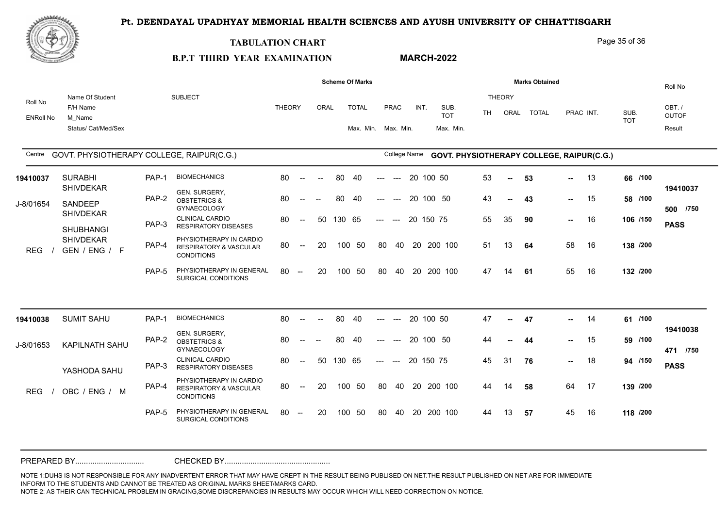

#### **TABULATION CHART**

**B.P.T THIRD YEAR EXAMINATION** 

### **MARCH-2022**

Page 35 of 36

|                  |                                           |       |                                                                                   |               |                                                |        |        | <b>Scheme Of Marks</b> |                     |                                        |           |                                                  |     |                | <b>Marks Obtained</b> |      |           |            | Roll No               |
|------------------|-------------------------------------------|-------|-----------------------------------------------------------------------------------|---------------|------------------------------------------------|--------|--------|------------------------|---------------------|----------------------------------------|-----------|--------------------------------------------------|-----|----------------|-----------------------|------|-----------|------------|-----------------------|
| Roll No          | Name Of Student<br>F/H Name               |       | <b>SUBJECT</b>                                                                    | <b>THEORY</b> |                                                | ORAL   |        | <b>TOTAL</b>           |                     | <b>PRAC</b>                            | INT.      | SUB.<br><b>TOT</b>                               | TH. | THEORY<br>ORAL | <b>TOTAL</b>          |      | PRAC INT. | SUB.       | OBT./<br><b>OUTOF</b> |
| <b>ENRoll No</b> | M Name<br>Status/ Cat/Med/Sex             |       |                                                                                   |               |                                                |        |        | Max. Min. Max. Min.    |                     |                                        |           | Max. Min.                                        |     |                |                       |      |           | <b>TOT</b> | Result                |
| Centre           | GOVT. PHYSIOTHERAPY COLLEGE, RAIPUR(C.G.) |       |                                                                                   |               |                                                |        |        |                        |                     | <b>College Name</b>                    |           | <b>GOVT. PHYSIOTHERAPY COLLEGE, RAIPUR(C.G.)</b> |     |                |                       |      |           |            |                       |
| 19410037         | <b>SURABHI</b><br><b>SHIVDEKAR</b>        | PAP-1 | <b>BIOMECHANICS</b>                                                               | 80            | $\sim$                                         | $\sim$ | 80     | 40                     | ---                 | $\hspace{0.1em} \ldots \hspace{0.1em}$ | 20 100 50 |                                                  | 53  | $\sim$         | 53                    | -- 1 | -13       | 66 /100    | 19410037              |
| J-8/01654        | SANDEEP                                   | PAP-2 | GEN. SURGERY,<br><b>OBSTETRICS &amp;</b><br><b>GYNAECOLOGY</b>                    | 80            | $\overline{\phantom{a}}$                       | $-$    | 80     | 40                     |                     | $---$                                  | 20        | 100 50                                           | 43  | $\sim$         | 43                    | н.,  | 15        | 58 /100    | 500 /750              |
|                  | <b>SHIVDEKAR</b><br><b>SHUBHANGI</b>      | PAP-3 | <b>CLINICAL CARDIO</b><br><b>RESPIRATORY DISEASES</b>                             | 80            | $\sim$                                         | 50     | 130 65 |                        | $---$               | $---$                                  | 20 150 75 |                                                  | 55  | 35             | 90                    | н.,  | 16        | 106 /150   | <b>PASS</b>           |
| <b>REG</b>       | <b>SHIVDEKAR</b><br>GEN / ENG / F         | PAP-4 | PHYSIOTHERAPY IN CARDIO<br><b>RESPIRATORY &amp; VASCULAR</b><br><b>CONDITIONS</b> | 80            | $\sim$                                         | 20     |        | 100 50                 | 80                  | 40                                     |           | 20 200 100                                       | 51  | 13             | 64                    | 58   | 16        | 138 /200   |                       |
|                  |                                           | PAP-5 | PHYSIOTHERAPY IN GENERAL<br>SURGICAL CONDITIONS                                   | 80            | $\sim$                                         | 20     |        | 100 50                 | -80                 | 40                                     |           | 20 200 100                                       | 47  | 14             | 61                    | 55   | 16        | 132 /200   |                       |
|                  |                                           |       |                                                                                   |               |                                                |        |        |                        |                     |                                        |           |                                                  |     |                |                       |      |           |            |                       |
| 19410038         | <b>SUMIT SAHU</b>                         | PAP-1 | <b>BIOMECHANICS</b>                                                               | 80            | $\sim$                                         | $\sim$ | 80     | 40                     | ---                 | $\qquad \qquad -\qquad -$              | 20 100 50 |                                                  | 47  | $\sim$         | 47                    | н.,  | 14        | 61 /100    | 19410038              |
| J-8/01653        | <b>KAPILNATH SAHU</b>                     | PAP-2 | GEN. SURGERY,<br><b>OBSTETRICS &amp;</b><br><b>GYNAECOLOGY</b>                    | 80            |                                                |        | 80     | 40                     |                     |                                        |           | 20 100 50                                        | 44  | --             | 44                    | --   | 15        | 59 /100    | 471 /750              |
|                  | YASHODA SAHU                              | PAP-3 | <b>CLINICAL CARDIO</b><br><b>RESPIRATORY DISEASES</b>                             | 80            | $\overline{a}$                                 | 50     | 130 65 |                        | $\qquad \qquad - -$ | $\sim$                                 | 20 150 75 |                                                  | 45  | 31             | 76                    | н.,  | 18        | 94 /150    | <b>PASS</b>           |
| <b>REG</b>       | OBC / ENG / M                             | PAP-4 | PHYSIOTHERAPY IN CARDIO<br><b>RESPIRATORY &amp; VASCULAR</b><br><b>CONDITIONS</b> | 80            | $\sim$                                         | 20     |        | 100 50                 | 80                  |                                        |           | 40 20 200 100                                    | 44  | 14             | 58                    | 64   | 17        | 139 /200   |                       |
|                  |                                           | PAP-5 | PHYSIOTHERAPY IN GENERAL<br>SURGICAL CONDITIONS                                   | 80            | $\hspace{0.1mm}-\hspace{0.1mm}-\hspace{0.1mm}$ | 20     |        | 100 50                 | 80                  | 40                                     |           | 20 200 100                                       | 44  | 13             | 57                    | 45   | 16        | 118 /200   |                       |
|                  |                                           |       |                                                                                   |               |                                                |        |        |                        |                     |                                        |           |                                                  |     |                |                       |      |           |            |                       |